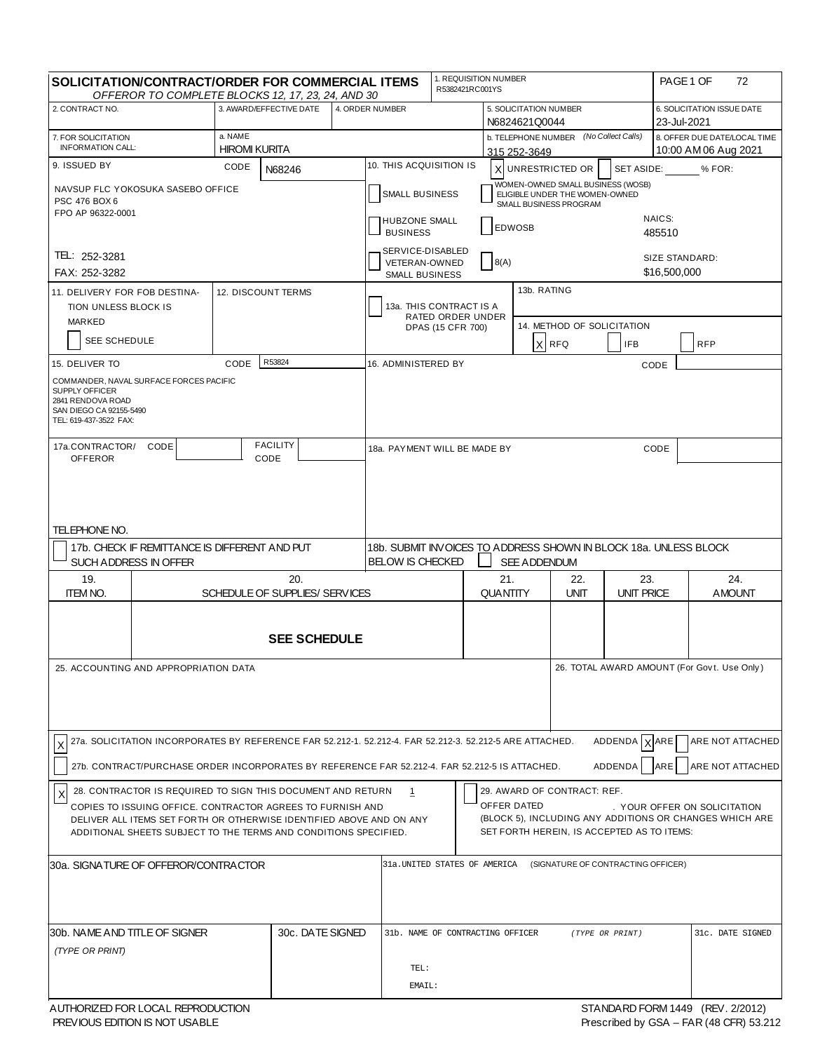|                                                    | SOLICITATION/CONTRACT/ORDER FOR COMMERCIAL ITEMS<br>OFFEROR TO COMPLETE BLOCKS 12, 17, 23, 24, AND 30 |                      |                                                                                                                                          |            | 1. REQUISITION NUMBER<br>PAGE 1 OF<br>R5382421RC001YS                                                              |                   |                   |                                                                  |                                                                                                       |                   | 72             |                              |                              |
|----------------------------------------------------|-------------------------------------------------------------------------------------------------------|----------------------|------------------------------------------------------------------------------------------------------------------------------------------|------------|--------------------------------------------------------------------------------------------------------------------|-------------------|-------------------|------------------------------------------------------------------|-------------------------------------------------------------------------------------------------------|-------------------|----------------|------------------------------|------------------------------|
| 2. CONTRACT NO.                                    |                                                                                                       |                      | 3. AWARD/EFFECTIVE DATE                                                                                                                  |            | 4. ORDER NUMBER                                                                                                    |                   |                   | 5. SOLICITATION NUMBER                                           |                                                                                                       |                   |                | 6. SOLICITATION ISSUE DATE   |                              |
|                                                    |                                                                                                       |                      |                                                                                                                                          |            |                                                                                                                    |                   |                   | N6824621Q0044                                                    |                                                                                                       |                   | 23-Jul-2021    |                              |                              |
| 7. FOR SOLICITATION                                |                                                                                                       | a. NAME              |                                                                                                                                          |            |                                                                                                                    |                   |                   |                                                                  | b. TELEPHONE NUMBER (No Collect Calls)                                                                |                   |                |                              | 8. OFFER DUE DATE/LOCAL TIME |
| <b>INFORMATION CALL:</b>                           |                                                                                                       | <b>HIROMI KURITA</b> |                                                                                                                                          |            |                                                                                                                    |                   |                   | 315 252 3649                                                     |                                                                                                       |                   |                | 10:00 AM 06 Aug 2021         |                              |
| 9. ISSUED BY                                       |                                                                                                       | CODE                 | N68246                                                                                                                                   |            | 10. THIS ACQUISITION IS                                                                                            |                   | X                 |                                                                  | UNRESTRICTED OR                                                                                       | <b>SET ASIDE:</b> |                | % FOR:                       |                              |
| NAVSUP FLC YOKOSUKA SASEBO OFFICE<br>PSC 476 BOX 6 |                                                                                                       |                      |                                                                                                                                          |            | SMALL BUSINESS                                                                                                     |                   |                   |                                                                  | WOMEN-OWNED SMALL BUSINESS (WOSB)<br>ELIGIBLE UNDER THE WOMEN-OWNED<br>SMALL BUSINESS PROGRAM         |                   |                |                              |                              |
| FPO AP 96322-0001                                  |                                                                                                       |                      |                                                                                                                                          |            | <b>HUBZONE SMALL</b>                                                                                               |                   |                   |                                                                  |                                                                                                       |                   | NAICS:         |                              |                              |
|                                                    |                                                                                                       |                      |                                                                                                                                          |            | <b>BUSINESS</b>                                                                                                    |                   |                   | <b>EDWOSB</b>                                                    |                                                                                                       |                   | 485510         |                              |                              |
| TEL: 252-3281                                      |                                                                                                       |                      |                                                                                                                                          |            | SERVICE-DISABLED                                                                                                   |                   |                   |                                                                  |                                                                                                       |                   | SIZE STANDARD: |                              |                              |
| FAX: 252-3282                                      |                                                                                                       |                      |                                                                                                                                          |            | VETERAN-OWNED<br><b>SMALL BUSINESS</b>                                                                             |                   | 8(A)              |                                                                  |                                                                                                       |                   | \$16,500,000   |                              |                              |
| 11. DELIVERY FOR FOB DESTINA-                      |                                                                                                       | 12. DISCOUNT TERMS   |                                                                                                                                          |            |                                                                                                                    |                   |                   | 13b. RATING                                                      |                                                                                                       |                   |                |                              |                              |
| TION UNLESS BLOCK IS                               |                                                                                                       |                      |                                                                                                                                          |            | 13a. THIS CONTRACT IS A                                                                                            |                   |                   |                                                                  |                                                                                                       |                   |                |                              |                              |
| <b>MARKED</b>                                      |                                                                                                       |                      |                                                                                                                                          |            |                                                                                                                    | DPAS (15 CFR 700) | RATED ORDER UNDER |                                                                  | 14. METHOD OF SOLICITATION                                                                            |                   |                |                              |                              |
| SEE SCHEDULE                                       |                                                                                                       |                      |                                                                                                                                          |            |                                                                                                                    |                   |                   |                                                                  | $X$ RFQ                                                                                               | <b>IFB</b>        |                | <b>RFP</b>                   |                              |
| 15. DELIVER TO                                     |                                                                                                       | CODE                 | R53824                                                                                                                                   |            | 16. ADMINISTERED BY                                                                                                |                   |                   |                                                                  |                                                                                                       |                   | CODE           |                              |                              |
| COMMANDER, NAVAL SURFACE FORCES PACIFIC            |                                                                                                       |                      |                                                                                                                                          |            |                                                                                                                    |                   |                   |                                                                  |                                                                                                       |                   |                |                              |                              |
| SUPPLY OFFICER<br>2841 RENDOVA ROAD                |                                                                                                       |                      |                                                                                                                                          |            |                                                                                                                    |                   |                   |                                                                  |                                                                                                       |                   |                |                              |                              |
| SAN DIEGO CA 92155-5490                            |                                                                                                       |                      |                                                                                                                                          |            |                                                                                                                    |                   |                   |                                                                  |                                                                                                       |                   |                |                              |                              |
| TEL: 619-437-3522 FAX:                             |                                                                                                       |                      |                                                                                                                                          |            |                                                                                                                    |                   |                   |                                                                  |                                                                                                       |                   |                |                              |                              |
| 17a.CONTRACTOR/                                    | CODE                                                                                                  |                      | <b>FACILITY</b>                                                                                                                          |            | 18a. PAYMENT WILL BE MADE BY                                                                                       |                   |                   |                                                                  |                                                                                                       |                   | CODE           |                              |                              |
| <b>OFFEROR</b>                                     |                                                                                                       |                      | CODE                                                                                                                                     |            |                                                                                                                    |                   |                   |                                                                  |                                                                                                       |                   |                |                              |                              |
|                                                    |                                                                                                       |                      |                                                                                                                                          |            |                                                                                                                    |                   |                   |                                                                  |                                                                                                       |                   |                |                              |                              |
|                                                    |                                                                                                       |                      |                                                                                                                                          |            |                                                                                                                    |                   |                   |                                                                  |                                                                                                       |                   |                |                              |                              |
|                                                    |                                                                                                       |                      |                                                                                                                                          |            |                                                                                                                    |                   |                   |                                                                  |                                                                                                       |                   |                |                              |                              |
| TELEPHONE NO.                                      |                                                                                                       |                      |                                                                                                                                          |            |                                                                                                                    |                   |                   |                                                                  |                                                                                                       |                   |                |                              |                              |
|                                                    | 17b. CHECK IF REMITTANCE IS DIFFERENT AND PUT<br>SUCH ADDRESS IN OFFER                                |                      |                                                                                                                                          |            | 18b. SUBMIT INVOICES TO ADDRESS SHOWN IN BLOCK 18a. UNLESS BLOCK<br><b>BELOW IS CHECKED</b><br><b>SEE ADDENDUM</b> |                   |                   |                                                                  |                                                                                                       |                   |                |                              |                              |
| 19.<br>20.                                         |                                                                                                       |                      |                                                                                                                                          | 22.<br>21. |                                                                                                                    |                   | 23.               |                                                                  |                                                                                                       | 24.               |                |                              |                              |
| <b>ITEM NO.</b>                                    |                                                                                                       |                      | SCHEDULE OF SUPPLIES/ SERVICES                                                                                                           |            |                                                                                                                    |                   | <b>QUANTITY</b>   |                                                                  | <b>UNIT</b>                                                                                           | <b>UNIT PRICE</b> |                |                              | <b>AMOUNT</b>                |
|                                                    |                                                                                                       |                      |                                                                                                                                          |            |                                                                                                                    |                   |                   |                                                                  |                                                                                                       |                   |                |                              |                              |
|                                                    |                                                                                                       |                      | <b>SEE SCHEDULE</b>                                                                                                                      |            |                                                                                                                    |                   |                   |                                                                  |                                                                                                       |                   |                |                              |                              |
|                                                    |                                                                                                       |                      |                                                                                                                                          |            |                                                                                                                    |                   |                   |                                                                  |                                                                                                       |                   |                |                              |                              |
| 25. ACCOUNTING AND APPROPRIATION DATA              |                                                                                                       |                      |                                                                                                                                          |            |                                                                                                                    |                   |                   |                                                                  | 26. TOTAL AWARD AMOUNT (For Govt. Use Only)                                                           |                   |                |                              |                              |
|                                                    |                                                                                                       |                      |                                                                                                                                          |            |                                                                                                                    |                   |                   |                                                                  |                                                                                                       |                   |                |                              |                              |
|                                                    |                                                                                                       |                      |                                                                                                                                          |            |                                                                                                                    |                   |                   |                                                                  |                                                                                                       |                   |                |                              |                              |
|                                                    |                                                                                                       |                      |                                                                                                                                          |            |                                                                                                                    |                   |                   |                                                                  |                                                                                                       |                   |                |                              |                              |
| ΙX                                                 |                                                                                                       |                      | 27a. SOLICITATION INCORPORATES BY REFERENCE FAR 52.212-1. 52.212-4. FAR 52.212-3. 52.212-5 ARE ATTACHED.                                 |            |                                                                                                                    |                   |                   |                                                                  |                                                                                                       | ADDENDA   X ARE   |                |                              | ARE NOT ATTACHED             |
|                                                    |                                                                                                       |                      |                                                                                                                                          |            |                                                                                                                    |                   |                   |                                                                  |                                                                                                       |                   |                |                              |                              |
|                                                    |                                                                                                       |                      | 27b. CONTRACT/PURCHASE ORDER INCORPORATES BY REFERENCE FAR 52.212-4. FAR 52.212-5 IS ATTACHED.                                           |            |                                                                                                                    |                   |                   |                                                                  |                                                                                                       | <b>ADDENDA</b>    |                |                              | ARE NOT ATTACHED             |
| X                                                  |                                                                                                       |                      | 28. CONTRACTOR IS REQUIRED TO SIGN THIS DOCUMENT AND RETURN                                                                              |            | $\overline{1}$                                                                                                     |                   |                   |                                                                  | 29. AWARD OF CONTRACT: REF.                                                                           |                   |                |                              |                              |
|                                                    |                                                                                                       |                      | COPIES TO ISSUING OFFICE. CONTRACTOR AGREES TO FURNISH AND                                                                               |            |                                                                                                                    |                   |                   | OFFER DATED                                                      |                                                                                                       |                   |                | . YOUR OFFER ON SOLICITATION |                              |
|                                                    |                                                                                                       |                      | DELIVER ALL ITEMS SET FORTH OR OTHERWISE IDENTIFIED ABOVE AND ON ANY<br>ADDITIONAL SHEETS SUBJECT TO THE TERMS AND CONDITIONS SPECIFIED. |            |                                                                                                                    |                   |                   |                                                                  | (BLOCK 5), INCLUDING ANY ADDITIONS OR CHANGES WHICH ARE<br>SET FORTH HEREIN, IS ACCEPTED AS TO ITEMS: |                   |                |                              |                              |
|                                                    |                                                                                                       |                      |                                                                                                                                          |            |                                                                                                                    |                   |                   |                                                                  |                                                                                                       |                   |                |                              |                              |
| 30a. SIGNATURE OF OFFEROR/CONTRACTOR               |                                                                                                       |                      |                                                                                                                                          |            |                                                                                                                    |                   |                   | 31a. UNITED STATES OF AMERICA (SIGNATURE OF CONTRACTING OFFICER) |                                                                                                       |                   |                |                              |                              |
|                                                    |                                                                                                       |                      |                                                                                                                                          |            |                                                                                                                    |                   |                   |                                                                  |                                                                                                       |                   |                |                              |                              |
|                                                    |                                                                                                       |                      |                                                                                                                                          |            |                                                                                                                    |                   |                   |                                                                  |                                                                                                       |                   |                |                              |                              |
|                                                    |                                                                                                       |                      |                                                                                                                                          |            |                                                                                                                    |                   |                   |                                                                  |                                                                                                       |                   |                |                              |                              |
| 30b. NAME AND TITLE OF SIGNER                      |                                                                                                       |                      | 30c. DATE SIGNED                                                                                                                         |            | 31b. NAME OF CONTRACTING OFFICER                                                                                   |                   |                   |                                                                  |                                                                                                       | (TYPE OR PRINT)   |                |                              | 31c. DATE SIGNED             |
| (TYPE OR PRINT)                                    |                                                                                                       |                      |                                                                                                                                          |            |                                                                                                                    |                   |                   |                                                                  |                                                                                                       |                   |                |                              |                              |
|                                                    |                                                                                                       |                      |                                                                                                                                          |            | TEL:                                                                                                               |                   |                   |                                                                  |                                                                                                       |                   |                |                              |                              |
|                                                    |                                                                                                       |                      |                                                                                                                                          |            | EMAIL:                                                                                                             |                   |                   |                                                                  |                                                                                                       |                   |                |                              |                              |
|                                                    |                                                                                                       |                      |                                                                                                                                          |            |                                                                                                                    |                   |                   |                                                                  |                                                                                                       |                   |                |                              |                              |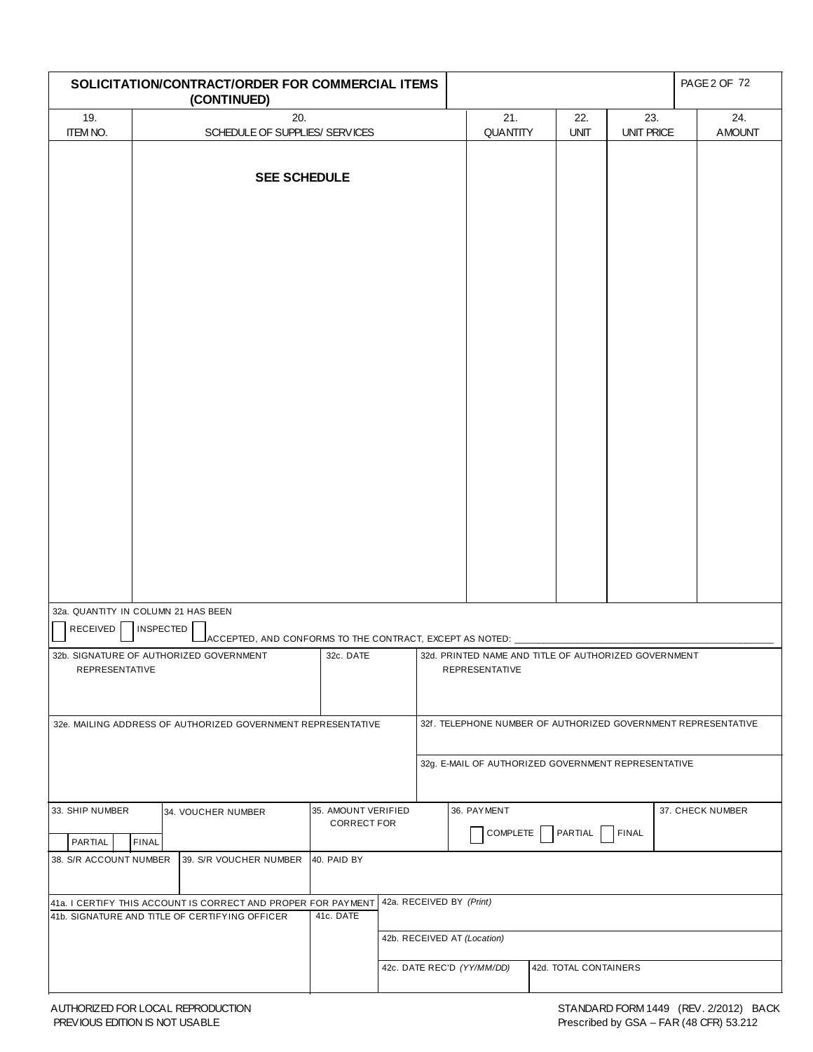| 21.<br>23.<br>19.<br>20.<br>22.<br>24.<br>ITEM NO.<br>QUANTITY<br><b>UNIT PRICE</b><br>SCHEDULE OF SUPPLIES/ SERVICES<br><b>UNIT</b><br><b>AMOUNT</b><br><b>SEE SCHEDULE</b>                |  | SOLICITATION/CONTRACT/ORDER FOR COMMERCIAL ITEMS<br>(CONTINUED) |  |  |  |  |  |  |  | PAGE 2 OF 72 |  |
|---------------------------------------------------------------------------------------------------------------------------------------------------------------------------------------------|--|-----------------------------------------------------------------|--|--|--|--|--|--|--|--------------|--|
|                                                                                                                                                                                             |  |                                                                 |  |  |  |  |  |  |  |              |  |
|                                                                                                                                                                                             |  |                                                                 |  |  |  |  |  |  |  |              |  |
|                                                                                                                                                                                             |  |                                                                 |  |  |  |  |  |  |  |              |  |
| 32a. QUANTITY IN COLUMN 21 HAS BEEN                                                                                                                                                         |  |                                                                 |  |  |  |  |  |  |  |              |  |
| RECEIVED<br><b>INSPECTED</b><br>ACCEPTED, AND CONFORMS TO THE CONTRACT, EXCEPT AS NOTED:                                                                                                    |  |                                                                 |  |  |  |  |  |  |  |              |  |
| 32b. SIGNATURE OF AUTHORIZED GOVERNMENT<br>32c. DATE<br>32d. PRINTED NAME AND TITLE OF AUTHORIZED GOVERNMENT<br>REPRESENTATIVE<br>REPRESENTATIVE                                            |  |                                                                 |  |  |  |  |  |  |  |              |  |
| 32f. TELEPHONE NUMBER OF AUTHORIZED GOVERNMENT REPRESENTATIVE<br>32e. MAILING ADDRESS OF AUTHORIZED GOVERNMENT REPRESENTATIVE                                                               |  |                                                                 |  |  |  |  |  |  |  |              |  |
| 32g. E-MAIL OF AUTHORIZED GOVERNMENT REPRESENTATIVE                                                                                                                                         |  |                                                                 |  |  |  |  |  |  |  |              |  |
| 36. PAYMENT<br>33. SHIP NUMBER<br>35. AMOUNT VERIFIED<br>37. CHECK NUMBER<br>34. VOUCHER NUMBER<br><b>CORRECT FOR</b><br>COMPLETE<br>PARTIAL    <br><b>FINAL</b><br>PARTIAL<br><b>FINAL</b> |  |                                                                 |  |  |  |  |  |  |  |              |  |
| 38. S/R ACCOUNT NUMBER<br>39. S/R VOUCHER NUMBER<br>40. PAID BY                                                                                                                             |  |                                                                 |  |  |  |  |  |  |  |              |  |
| 41a. I CERTIFY THIS ACCOUNT IS CORRECT AND PROPER FOR PAYMENT 42a. RECEIVED BY (Print)<br>41c. DATE<br>41b. SIGNATURE AND TITLE OF CERTIFYING OFFICER                                       |  |                                                                 |  |  |  |  |  |  |  |              |  |
| 42b. RECEIVED AT (Location)                                                                                                                                                                 |  |                                                                 |  |  |  |  |  |  |  |              |  |
| 42c. DATE REC'D (YY/MM/DD)<br>42d. TOTAL CONTAINERS                                                                                                                                         |  |                                                                 |  |  |  |  |  |  |  |              |  |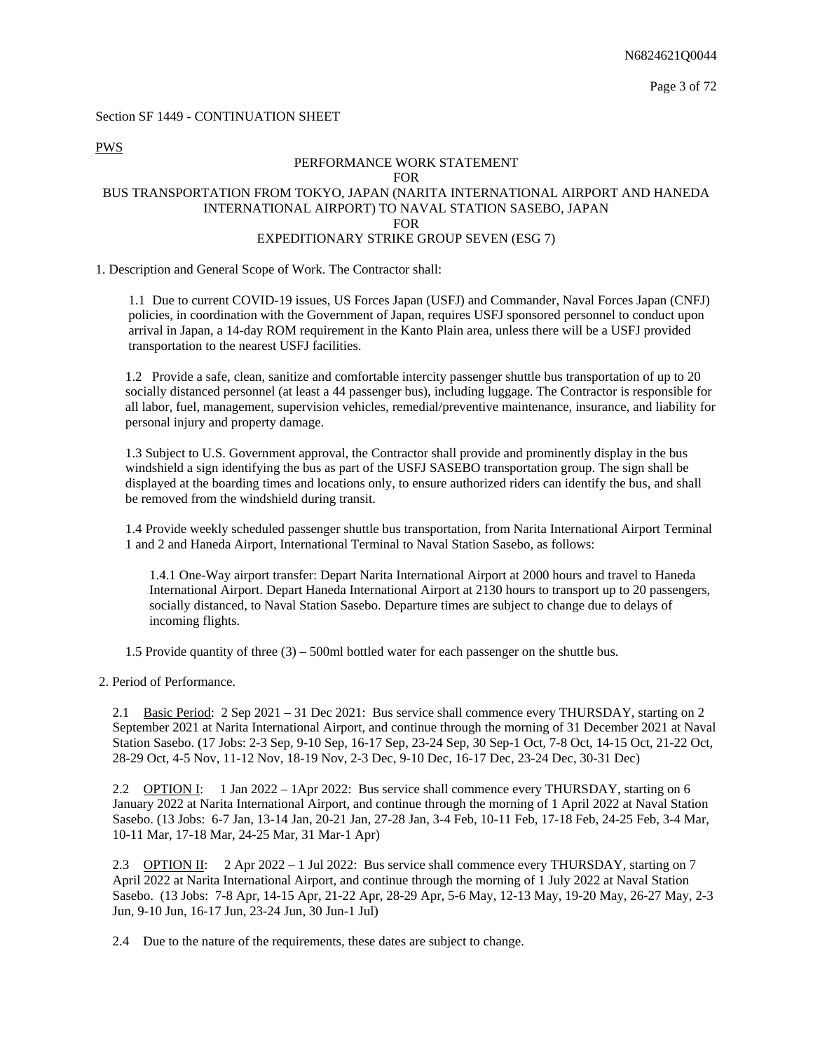### Section SF 1449 - CONTINUATION SHEET

PWS

# PERFORMANCE WORK STATEMENT FOR BUS TRANSPORTATION FROM TOKYO, JAPAN (NARITA INTERNATIONAL AIRPORT AND HANEDA

#### INTERNATIONAL AIRPORT) TO NAVAL STATION SASEBO, JAPAN FOR

# EXPEDITIONARY STRIKE GROUP SEVEN (ESG 7)

1. Description and General Scope of Work. The Contractor shall:

1.1 Due to current COVID-19 issues, US Forces Japan (USFJ) and Commander, Naval Forces Japan (CNFJ) policies, in coordination with the Government of Japan, requires USFJ sponsored personnel to conduct upon arrival in Japan, a 14-day ROM requirement in the Kanto Plain area, unless there will be a USFJ provided transportation to the nearest USFJ facilities.

1.2 Provide a safe, clean, sanitize and comfortable intercity passenger shuttle bus transportation of up to 20 socially distanced personnel (at least a 44 passenger bus), including luggage. The Contractor is responsible for all labor, fuel, management, supervision vehicles, remedial/preventive maintenance, insurance, and liability for personal injury and property damage.

1.3 Subject to U.S. Government approval, the Contractor shall provide and prominently display in the bus windshield a sign identifying the bus as part of the USFJ SASEBO transportation group. The sign shall be displayed at the boarding times and locations only, to ensure authorized riders can identify the bus, and shall be removed from the windshield during transit.

1.4 Provide weekly scheduled passenger shuttle bus transportation, from Narita International Airport Terminal 1 and 2 and Haneda Airport, International Terminal to Naval Station Sasebo, as follows:

1.4.1 One-Way airport transfer: Depart Narita International Airport at 2000 hours and travel to Haneda International Airport. Depart Haneda International Airport at 2130 hours to transport up to 20 passengers, socially distanced, to Naval Station Sasebo. Departure times are subject to change due to delays of incoming flights.

1.5 Provide quantity of three (3) – 500ml bottled water for each passenger on the shuttle bus.

2. Period of Performance.

2.1 Basic Period: 2 Sep 2021 – 31 Dec 2021: Bus service shall commence every THURSDAY, starting on 2 September 2021 at Narita International Airport, and continue through the morning of 31 December 2021 at Naval Station Sasebo. (17 Jobs: 2-3 Sep, 9-10 Sep, 16-17 Sep, 23-24 Sep, 30 Sep-1 Oct, 7-8 Oct, 14-15 Oct, 21-22 Oct, 28-29 Oct, 4-5 Nov, 11-12 Nov, 18-19 Nov, 2-3 Dec, 9-10 Dec, 16-17 Dec, 23-24 Dec, 30-31 Dec)

2.2 OPTION I: 1 Jan 2022 – 1Apr 2022: Bus service shall commence every THURSDAY, starting on 6 January 2022 at Narita International Airport, and continue through the morning of 1 April 2022 at Naval Station Sasebo. (13 Jobs: 6-7 Jan, 13-14 Jan, 20-21 Jan, 27-28 Jan, 3-4 Feb, 10-11 Feb, 17-18 Feb, 24-25 Feb, 3-4 Mar, 10-11 Mar, 17-18 Mar, 24-25 Mar, 31 Mar-1 Apr)

2.3 OPTION II: 2 Apr 2022 – 1 Jul 2022: Bus service shall commence every THURSDAY, starting on 7 April 2022 at Narita International Airport, and continue through the morning of 1 July 2022 at Naval Station Sasebo. (13 Jobs: 7-8 Apr, 14-15 Apr, 21-22 Apr, 28-29 Apr, 5-6 May, 12-13 May, 19-20 May, 26-27 May, 2-3 Jun, 9-10 Jun, 16-17 Jun, 23-24 Jun, 30 Jun-1 Jul)

2.4 Due to the nature of the requirements, these dates are subject to change.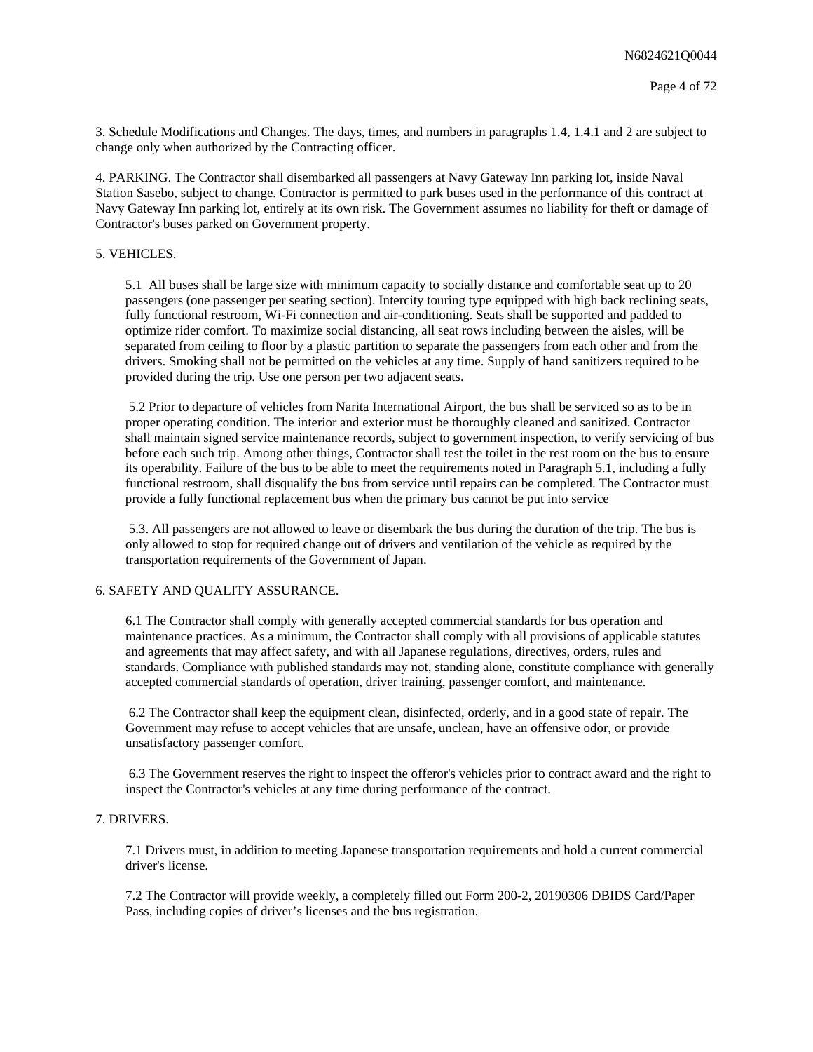3. Schedule Modifications and Changes. The days, times, and numbers in paragraphs 1.4, 1.4.1 and 2 are subject to change only when authorized by the Contracting officer.

4. PARKING. The Contractor shall disembarked all passengers at Navy Gateway Inn parking lot, inside Naval Station Sasebo, subject to change. Contractor is permitted to park buses used in the performance of this contract at Navy Gateway Inn parking lot, entirely at its own risk. The Government assumes no liability for theft or damage of Contractor's buses parked on Government property.

## 5. VEHICLES.

5.1 All buses shall be large size with minimum capacity to socially distance and comfortable seat up to 20 passengers (one passenger per seating section). Intercity touring type equipped with high back reclining seats, fully functional restroom, Wi-Fi connection and air-conditioning. Seats shall be supported and padded to optimize rider comfort. To maximize social distancing, all seat rows including between the aisles, will be separated from ceiling to floor by a plastic partition to separate the passengers from each other and from the drivers. Smoking shall not be permitted on the vehicles at any time. Supply of hand sanitizers required to be provided during the trip. Use one person per two adjacent seats.

5.2 Prior to departure of vehicles from Narita International Airport, the bus shall be serviced so as to be in proper operating condition. The interior and exterior must be thoroughly cleaned and sanitized. Contractor shall maintain signed service maintenance records, subject to government inspection, to verify servicing of bus before each such trip. Among other things, Contractor shall test the toilet in the rest room on the bus to ensure its operability. Failure of the bus to be able to meet the requirements noted in Paragraph 5.1, including a fully functional restroom, shall disqualify the bus from service until repairs can be completed. The Contractor must provide a fully functional replacement bus when the primary bus cannot be put into service

5.3. All passengers are not allowed to leave or disembark the bus during the duration of the trip. The bus is only allowed to stop for required change out of drivers and ventilation of the vehicle as required by the transportation requirements of the Government of Japan.

## 6. SAFETY AND QUALITY ASSURANCE.

6.1 The Contractor shall comply with generally accepted commercial standards for bus operation and maintenance practices. As a minimum, the Contractor shall comply with all provisions of applicable statutes and agreements that may affect safety, and with all Japanese regulations, directives, orders, rules and standards. Compliance with published standards may not, standing alone, constitute compliance with generally accepted commercial standards of operation, driver training, passenger comfort, and maintenance.

6.2 The Contractor shall keep the equipment clean, disinfected, orderly, and in a good state of repair. The Government may refuse to accept vehicles that are unsafe, unclean, have an offensive odor, or provide unsatisfactory passenger comfort.

6.3 The Government reserves the right to inspect the offeror's vehicles prior to contract award and the right to inspect the Contractor's vehicles at any time during performance of the contract.

# 7. DRIVERS.

7.1 Drivers must, in addition to meeting Japanese transportation requirements and hold a current commercial driver's license.

7.2 The Contractor will provide weekly, a completely filled out Form 200-2, 20190306 DBIDS Card/Paper Pass, including copies of driver's licenses and the bus registration.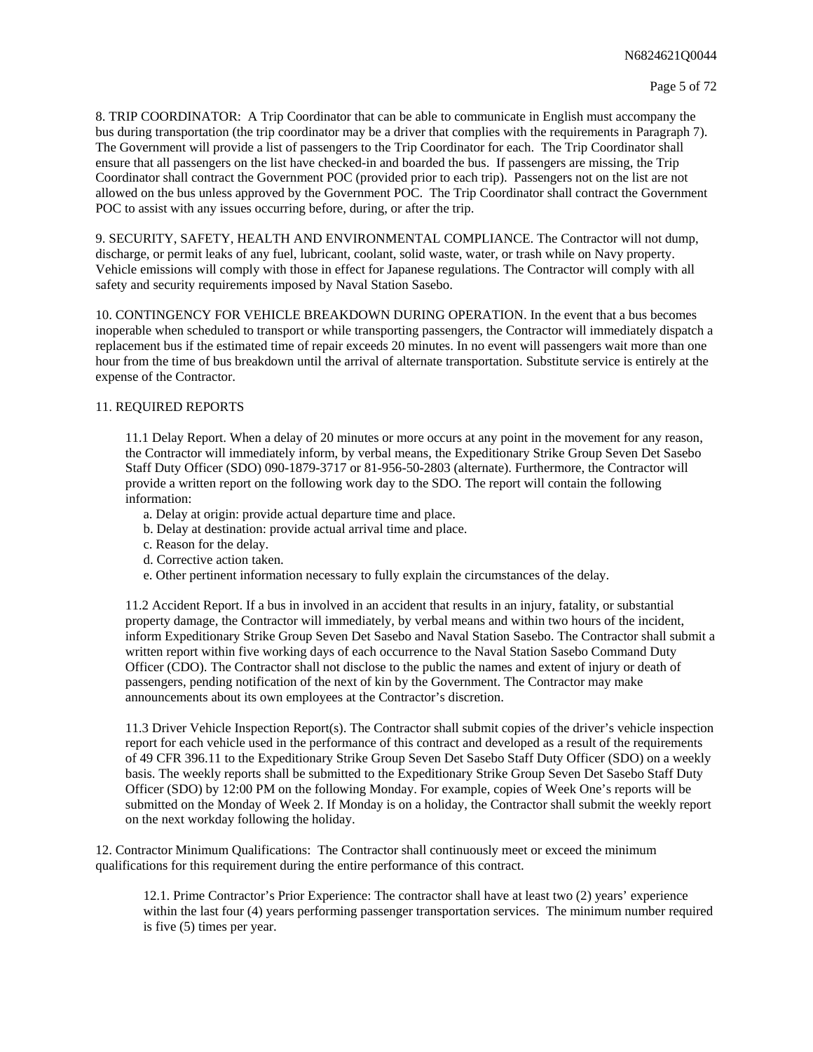8. TRIP COORDINATOR: A Trip Coordinator that can be able to communicate in English must accompany the bus during transportation (the trip coordinator may be a driver that complies with the requirements in Paragraph 7). The Government will provide a list of passengers to the Trip Coordinator for each. The Trip Coordinator shall ensure that all passengers on the list have checked-in and boarded the bus. If passengers are missing, the Trip Coordinator shall contract the Government POC (provided prior to each trip). Passengers not on the list are not allowed on the bus unless approved by the Government POC. The Trip Coordinator shall contract the Government POC to assist with any issues occurring before, during, or after the trip.

9. SECURITY, SAFETY, HEALTH AND ENVIRONMENTAL COMPLIANCE. The Contractor will not dump, discharge, or permit leaks of any fuel, lubricant, coolant, solid waste, water, or trash while on Navy property. Vehicle emissions will comply with those in effect for Japanese regulations. The Contractor will comply with all safety and security requirements imposed by Naval Station Sasebo.

10. CONTINGENCY FOR VEHICLE BREAKDOWN DURING OPERATION. In the event that a bus becomes inoperable when scheduled to transport or while transporting passengers, the Contractor will immediately dispatch a replacement bus if the estimated time of repair exceeds 20 minutes. In no event will passengers wait more than one hour from the time of bus breakdown until the arrival of alternate transportation. Substitute service is entirely at the expense of the Contractor.

## 11. REQUIRED REPORTS

11.1 Delay Report. When a delay of 20 minutes or more occurs at any point in the movement for any reason, the Contractor will immediately inform, by verbal means, the Expeditionary Strike Group Seven Det Sasebo Staff Duty Officer (SDO) 090-1879-3717 or 81-956-50-2803 (alternate). Furthermore, the Contractor will provide a written report on the following work day to the SDO. The report will contain the following information:

- a. Delay at origin: provide actual departure time and place.
- b. Delay at destination: provide actual arrival time and place.
- c. Reason for the delay.
- d. Corrective action taken.
- e. Other pertinent information necessary to fully explain the circumstances of the delay.

11.2 Accident Report. If a bus in involved in an accident that results in an injury, fatality, or substantial property damage, the Contractor will immediately, by verbal means and within two hours of the incident, inform Expeditionary Strike Group Seven Det Sasebo and Naval Station Sasebo. The Contractor shall submit a written report within five working days of each occurrence to the Naval Station Sasebo Command Duty Officer (CDO). The Contractor shall not disclose to the public the names and extent of injury or death of passengers, pending notification of the next of kin by the Government. The Contractor may make announcements about its own employees at the Contractor's discretion.

11.3 Driver Vehicle Inspection Report(s). The Contractor shall submit copies of the driver's vehicle inspection report for each vehicle used in the performance of this contract and developed as a result of the requirements of 49 CFR 396.11 to the Expeditionary Strike Group Seven Det Sasebo Staff Duty Officer (SDO) on a weekly basis. The weekly reports shall be submitted to the Expeditionary Strike Group Seven Det Sasebo Staff Duty Officer (SDO) by 12:00 PM on the following Monday. For example, copies of Week One's reports will be submitted on the Monday of Week 2. If Monday is on a holiday, the Contractor shall submit the weekly report on the next workday following the holiday.

12. Contractor Minimum Qualifications: The Contractor shall continuously meet or exceed the minimum qualifications for this requirement during the entire performance of this contract.

12.1. Prime Contractor's Prior Experience: The contractor shall have at least two (2) years' experience within the last four (4) years performing passenger transportation services. The minimum number required is five (5) times per year.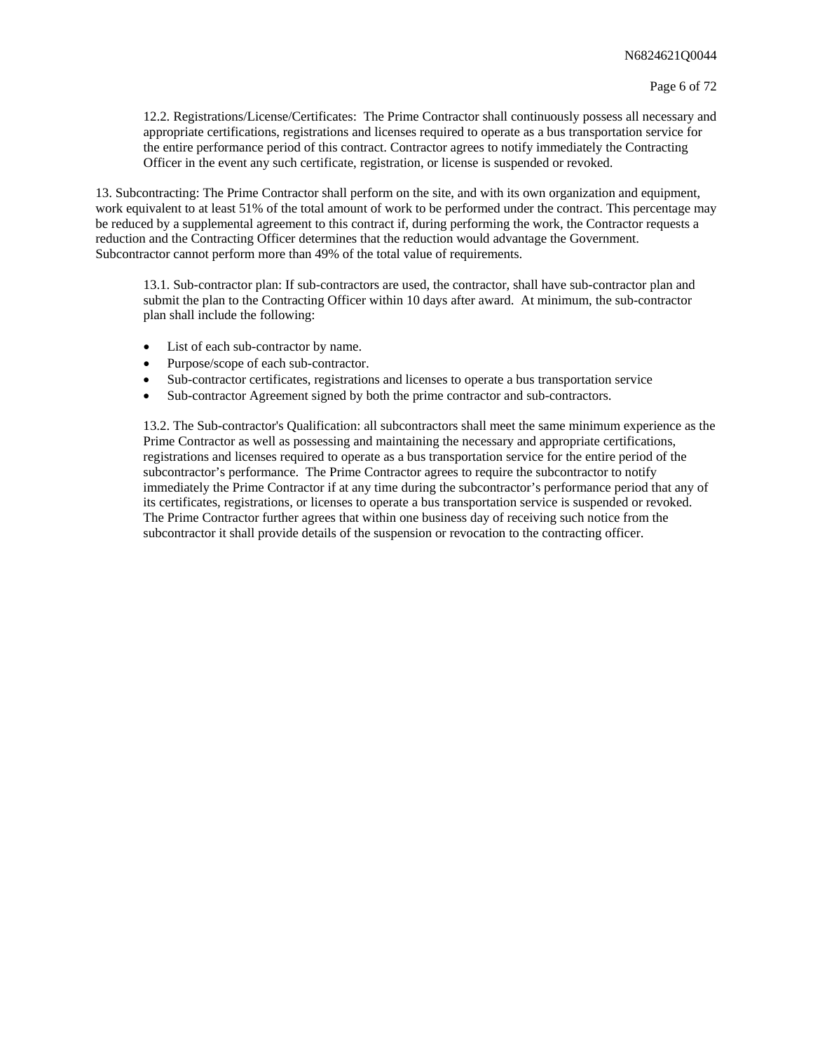12.2. Registrations/License/Certificates: The Prime Contractor shall continuously possess all necessary and appropriate certifications, registrations and licenses required to operate as a bus transportation service for the entire performance period of this contract. Contractor agrees to notify immediately the Contracting Officer in the event any such certificate, registration, or license is suspended or revoked.

13. Subcontracting: The Prime Contractor shall perform on the site, and with its own organization and equipment, work equivalent to at least 51% of the total amount of work to be performed under the contract. This percentage may be reduced by a supplemental agreement to this contract if, during performing the work, the Contractor requests a reduction and the Contracting Officer determines that the reduction would advantage the Government. Subcontractor cannot perform more than 49% of the total value of requirements.

13.1. Sub-contractor plan: If sub-contractors are used, the contractor, shall have sub-contractor plan and submit the plan to the Contracting Officer within 10 days after award. At minimum, the sub-contractor plan shall include the following:

- List of each sub-contractor by name.
- Purpose/scope of each sub-contractor.
- Sub-contractor certificates, registrations and licenses to operate a bus transportation service
- Sub-contractor Agreement signed by both the prime contractor and sub-contractors.

13.2. The Sub-contractor's Qualification: all subcontractors shall meet the same minimum experience as the Prime Contractor as well as possessing and maintaining the necessary and appropriate certifications, registrations and licenses required to operate as a bus transportation service for the entire period of the subcontractor's performance. The Prime Contractor agrees to require the subcontractor to notify immediately the Prime Contractor if at any time during the subcontractor's performance period that any of its certificates, registrations, or licenses to operate a bus transportation service is suspended or revoked. The Prime Contractor further agrees that within one business day of receiving such notice from the subcontractor it shall provide details of the suspension or revocation to the contracting officer.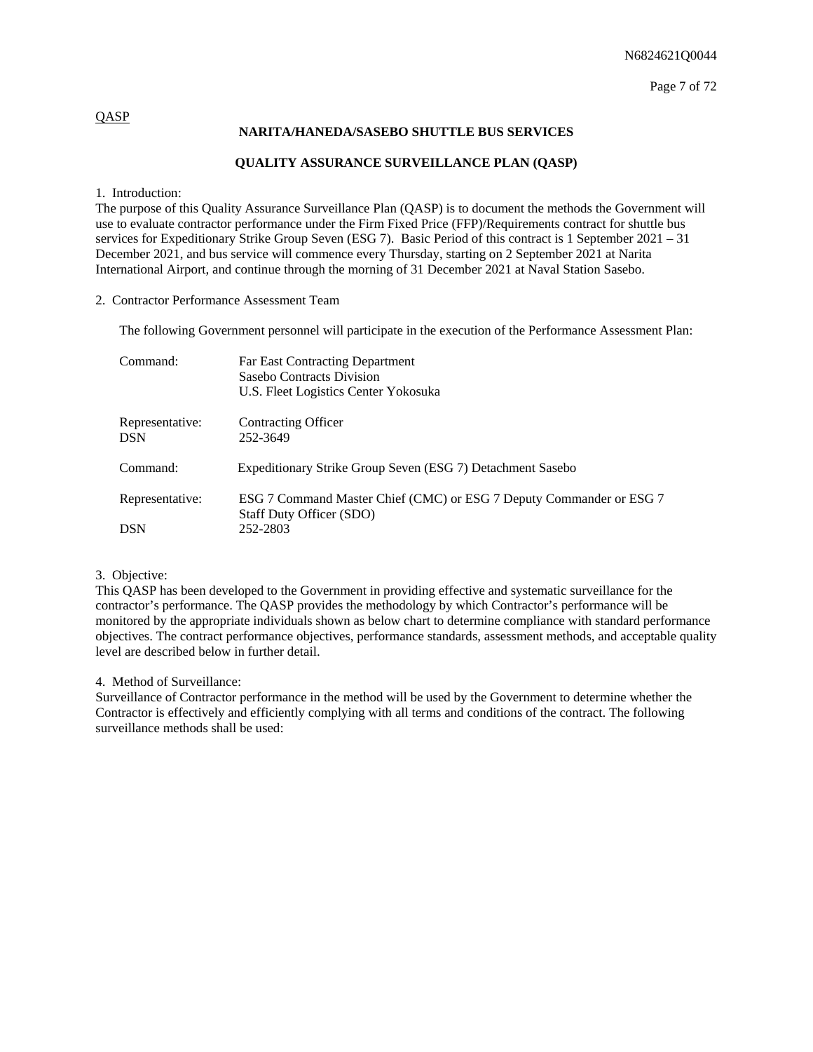Page 7 of 72

# **QASP**

# **NARITA/HANEDA/SASEBO SHUTTLE BUS SERVICES**

## **QUALITY ASSURANCE SURVEILLANCE PLAN (QASP)**

1. Introduction:

The purpose of this Quality Assurance Surveillance Plan (QASP) is to document the methods the Government will use to evaluate contractor performance under the Firm Fixed Price (FFP)/Requirements contract for shuttle bus services for Expeditionary Strike Group Seven (ESG 7). Basic Period of this contract is 1 September 2021 – 31 December 2021, and bus service will commence every Thursday, starting on 2 September 2021 at Narita International Airport, and continue through the morning of 31 December 2021 at Naval Station Sasebo.

## 2. Contractor Performance Assessment Team

The following Government personnel will participate in the execution of the Performance Assessment Plan:

| Command:               | Far East Contracting Department<br>Sasebo Contracts Division<br>U.S. Fleet Logistics Center Yokosuka |
|------------------------|------------------------------------------------------------------------------------------------------|
| Representative:<br>DSN | Contracting Officer<br>252-3649                                                                      |
| Command:               | Expeditionary Strike Group Seven (ESG 7) Detachment Sasebo                                           |
| Representative:        | ESG 7 Command Master Chief (CMC) or ESG 7 Deputy Commander or ESG 7<br>Staff Duty Officer (SDO)      |
| DSN                    | 252-2803                                                                                             |

### 3. Objective:

This QASP has been developed to the Government in providing effective and systematic surveillance for the contractor's performance. The QASP provides the methodology by which Contractor's performance will be monitored by the appropriate individuals shown as below chart to determine compliance with standard performance objectives. The contract performance objectives, performance standards, assessment methods, and acceptable quality level are described below in further detail.

## 4. Method of Surveillance:

Surveillance of Contractor performance in the method will be used by the Government to determine whether the Contractor is effectively and efficiently complying with all terms and conditions of the contract. The following surveillance methods shall be used: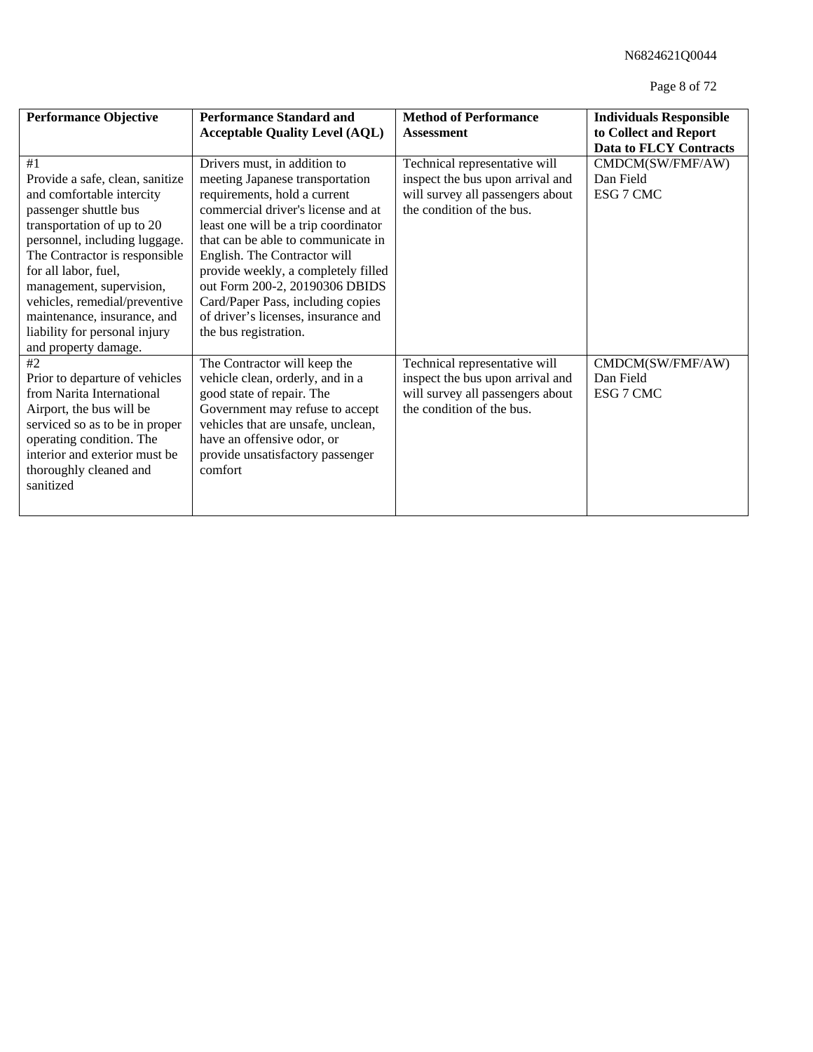| <b>Performance Objective</b>                                                                                                                                                                                                                                                                                                                                             | <b>Performance Standard and</b>                                                                                                                                                                                                                                                                                                                                                                                                   | <b>Method of Performance</b>                                                                                                       | <b>Individuals Responsible</b>             |
|--------------------------------------------------------------------------------------------------------------------------------------------------------------------------------------------------------------------------------------------------------------------------------------------------------------------------------------------------------------------------|-----------------------------------------------------------------------------------------------------------------------------------------------------------------------------------------------------------------------------------------------------------------------------------------------------------------------------------------------------------------------------------------------------------------------------------|------------------------------------------------------------------------------------------------------------------------------------|--------------------------------------------|
|                                                                                                                                                                                                                                                                                                                                                                          | <b>Acceptable Quality Level (AQL)</b>                                                                                                                                                                                                                                                                                                                                                                                             | <b>Assessment</b>                                                                                                                  | to Collect and Report                      |
|                                                                                                                                                                                                                                                                                                                                                                          |                                                                                                                                                                                                                                                                                                                                                                                                                                   |                                                                                                                                    | <b>Data to FLCY Contracts</b>              |
| #1<br>Provide a safe, clean, sanitize<br>and comfortable intercity<br>passenger shuttle bus<br>transportation of up to 20<br>personnel, including luggage.<br>The Contractor is responsible<br>for all labor, fuel,<br>management, supervision,<br>vehicles, remedial/preventive<br>maintenance, insurance, and<br>liability for personal injury<br>and property damage. | Drivers must, in addition to<br>meeting Japanese transportation<br>requirements, hold a current<br>commercial driver's license and at<br>least one will be a trip coordinator<br>that can be able to communicate in<br>English. The Contractor will<br>provide weekly, a completely filled<br>out Form 200-2, 20190306 DBIDS<br>Card/Paper Pass, including copies<br>of driver's licenses, insurance and<br>the bus registration. | Technical representative will<br>inspect the bus upon arrival and<br>will survey all passengers about<br>the condition of the bus. | CMDCM(SW/FMF/AW)<br>Dan Field<br>ESG 7 CMC |
| #2<br>Prior to departure of vehicles<br>from Narita International<br>Airport, the bus will be<br>serviced so as to be in proper<br>operating condition. The<br>interior and exterior must be<br>thoroughly cleaned and<br>sanitized                                                                                                                                      | The Contractor will keep the<br>vehicle clean, orderly, and in a<br>good state of repair. The<br>Government may refuse to accept<br>vehicles that are unsafe, unclean,<br>have an offensive odor, or<br>provide unsatisfactory passenger<br>comfort                                                                                                                                                                               | Technical representative will<br>inspect the bus upon arrival and<br>will survey all passengers about<br>the condition of the bus. | CMDCM(SW/FMF/AW)<br>Dan Field<br>ESG 7 CMC |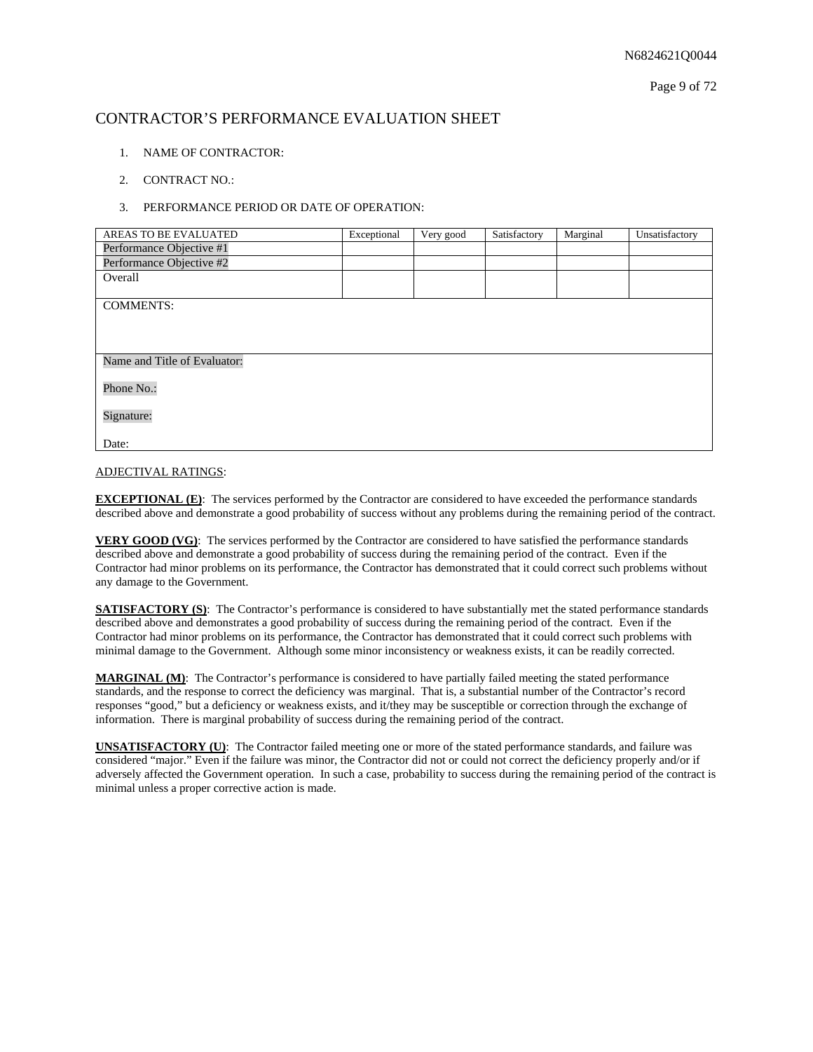# CONTRACTOR'S PERFORMANCE EVALUATION SHEET

- 1. NAME OF CONTRACTOR:
- 2. CONTRACT NO.:
- 3. PERFORMANCE PERIOD OR DATE OF OPERATION:

| AREAS TO BE EVALUATED        | Exceptional | Very good | Satisfactory | Marginal | Unsatisfactory |
|------------------------------|-------------|-----------|--------------|----------|----------------|
| Performance Objective #1     |             |           |              |          |                |
| Performance Objective #2     |             |           |              |          |                |
| Overall                      |             |           |              |          |                |
|                              |             |           |              |          |                |
| <b>COMMENTS:</b>             |             |           |              |          |                |
|                              |             |           |              |          |                |
|                              |             |           |              |          |                |
|                              |             |           |              |          |                |
| Name and Title of Evaluator: |             |           |              |          |                |
| Phone No.:                   |             |           |              |          |                |
| Signature:                   |             |           |              |          |                |
| Date:                        |             |           |              |          |                |

#### ADJECTIVAL RATINGS:

**EXCEPTIONAL (E)**: The services performed by the Contractor are considered to have exceeded the performance standards described above and demonstrate a good probability of success without any problems during the remaining period of the contract.

**VERY GOOD (VG)**: The services performed by the Contractor are considered to have satisfied the performance standards described above and demonstrate a good probability of success during the remaining period of the contract. Even if the Contractor had minor problems on its performance, the Contractor has demonstrated that it could correct such problems without any damage to the Government.

**SATISFACTORY (S)**: The Contractor's performance is considered to have substantially met the stated performance standards described above and demonstrates a good probability of success during the remaining period of the contract. Even if the Contractor had minor problems on its performance, the Contractor has demonstrated that it could correct such problems with minimal damage to the Government. Although some minor inconsistency or weakness exists, it can be readily corrected.

**MARGINAL (M)**: The Contractor's performance is considered to have partially failed meeting the stated performance standards, and the response to correct the deficiency was marginal. That is, a substantial number of the Contractor's record responses "good," but a deficiency or weakness exists, and it/they may be susceptible or correction through the exchange of information. There is marginal probability of success during the remaining period of the contract.

**UNSATISFACTORY (U)**: The Contractor failed meeting one or more of the stated performance standards, and failure was considered "major." Even if the failure was minor, the Contractor did not or could not correct the deficiency properly and/or if adversely affected the Government operation. In such a case, probability to success during the remaining period of the contract is minimal unless a proper corrective action is made.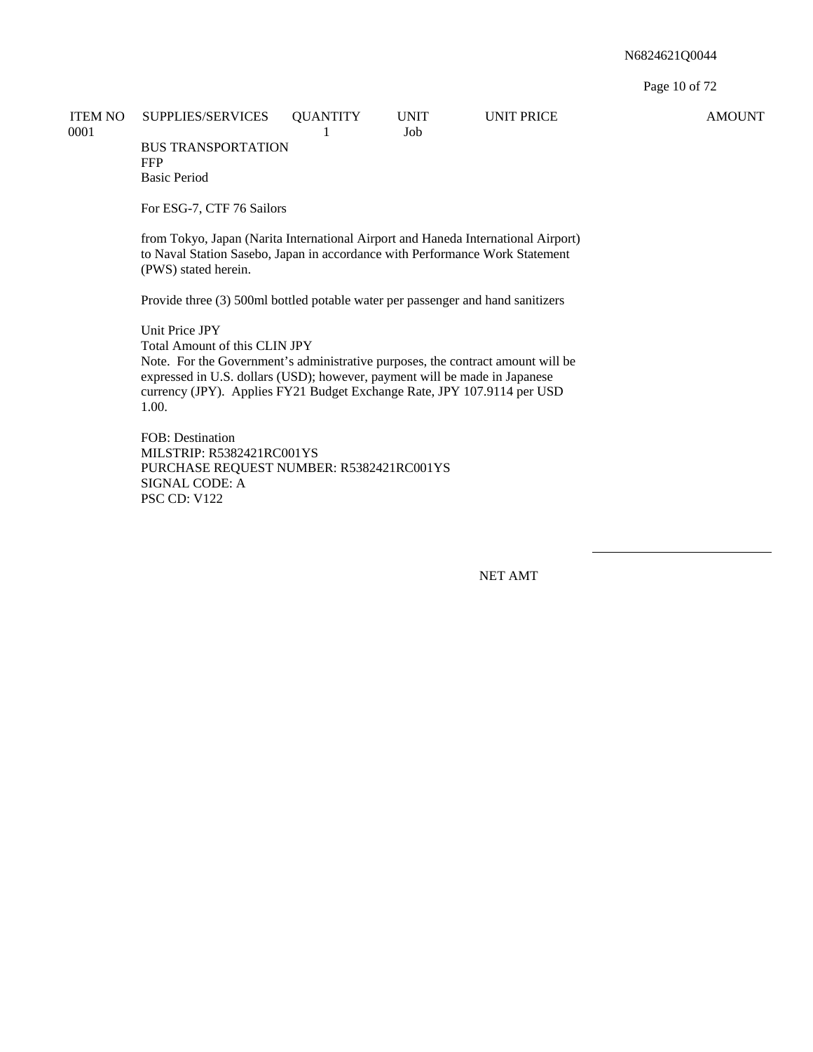Page 10 of 72

# ITEM NO SUPPLIES/SERVICES QUANTITY UNIT UNIT PRICE AMOUNT 0001 0001 1 Job

BUS TRANSPORTATION FFP Basic Period

For ESG-7, CTF 76 Sailors

from Tokyo, Japan (Narita International Airport and Haneda International Airport) to Naval Station Sasebo, Japan in accordance with Performance Work Statement (PWS) stated herein.

Provide three (3) 500ml bottled potable water per passenger and hand sanitizers

Unit Price JPY Total Amount of this CLIN JPY Note. For the Government's administrative purposes, the contract amount will be expressed in U.S. dollars (USD); however, payment will be made in Japanese currency (JPY). Applies FY21 Budget Exchange Rate, JPY 107.9114 per USD 1.00.

FOB: Destination MILSTRIP: R5382421RC001YS PURCHASE REQUEST NUMBER: R5382421RC001YS SIGNAL CODE: A PSC CD: V122

NET AMT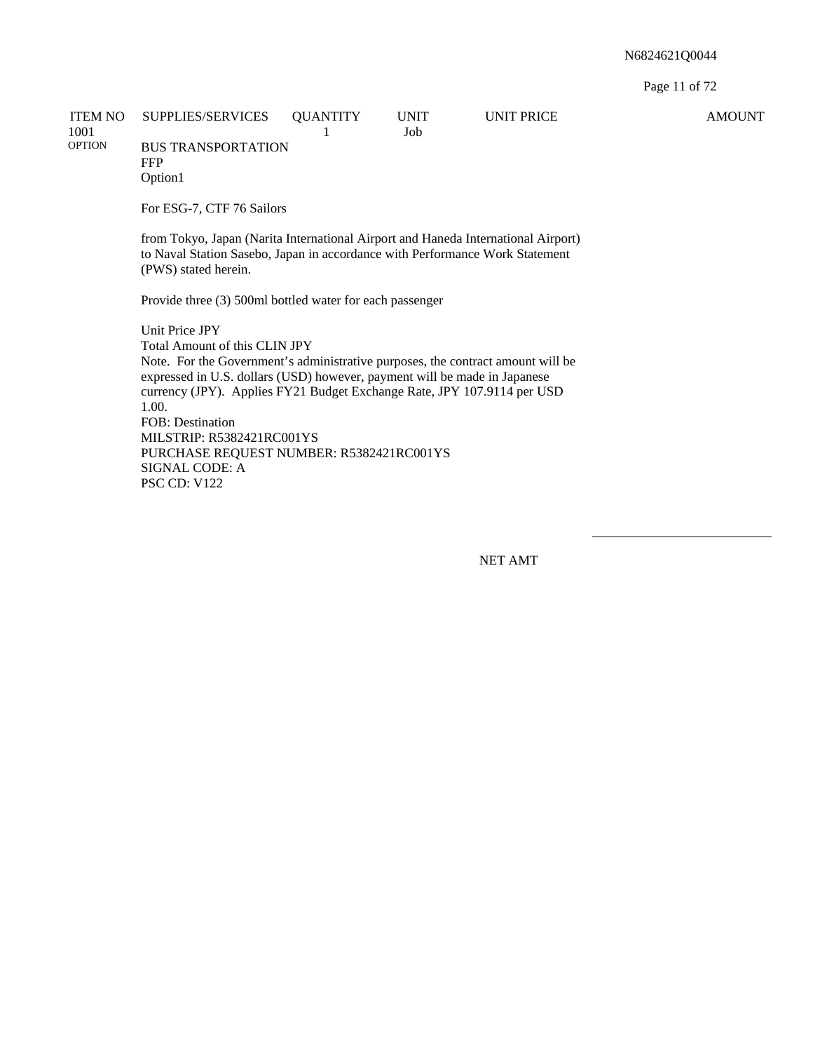Page 11 of 72

|                                         |                                                                                                                                                                                           |                 |                    |                   | $1 \, \text{g}$ $1 \, \text{u}$ $1 \, \text{u}$ |  |  |  |  |
|-----------------------------------------|-------------------------------------------------------------------------------------------------------------------------------------------------------------------------------------------|-----------------|--------------------|-------------------|-------------------------------------------------|--|--|--|--|
| <b>ITEM NO</b><br>1001<br><b>OPTION</b> | <b>SUPPLIES/SERVICES</b><br><b>BUS TRANSPORTATION</b><br><b>FFP</b><br>Option1                                                                                                            | <b>QUANTITY</b> | <b>UNIT</b><br>Job | <b>UNIT PRICE</b> | <b>AMOUNT</b>                                   |  |  |  |  |
|                                         | For ESG-7, CTF 76 Sailors                                                                                                                                                                 |                 |                    |                   |                                                 |  |  |  |  |
|                                         | from Tokyo, Japan (Narita International Airport and Haneda International Airport)<br>to Naval Station Sasebo, Japan in accordance with Performance Work Statement<br>(PWS) stated herein. |                 |                    |                   |                                                 |  |  |  |  |
|                                         | Provide three (3) 500ml bottled water for each passenger                                                                                                                                  |                 |                    |                   |                                                 |  |  |  |  |
|                                         | <b>Unit Price JPY</b><br>Total Amount of this CLIN JPY                                                                                                                                    |                 |                    |                   |                                                 |  |  |  |  |

Note. For the Government's administrative purposes, the contract amount will be expressed in U.S. dollars (USD) however, payment will be made in Japanese currency (JPY). Applies FY21 Budget Exchange Rate, JPY 107.9114 per USD 1.00. FOB: Destination MILSTRIP: R5382421RC001YS PURCHASE REQUEST NUMBER: R5382421RC001YS SIGNAL CODE: A PSC CD: V122

NET AMT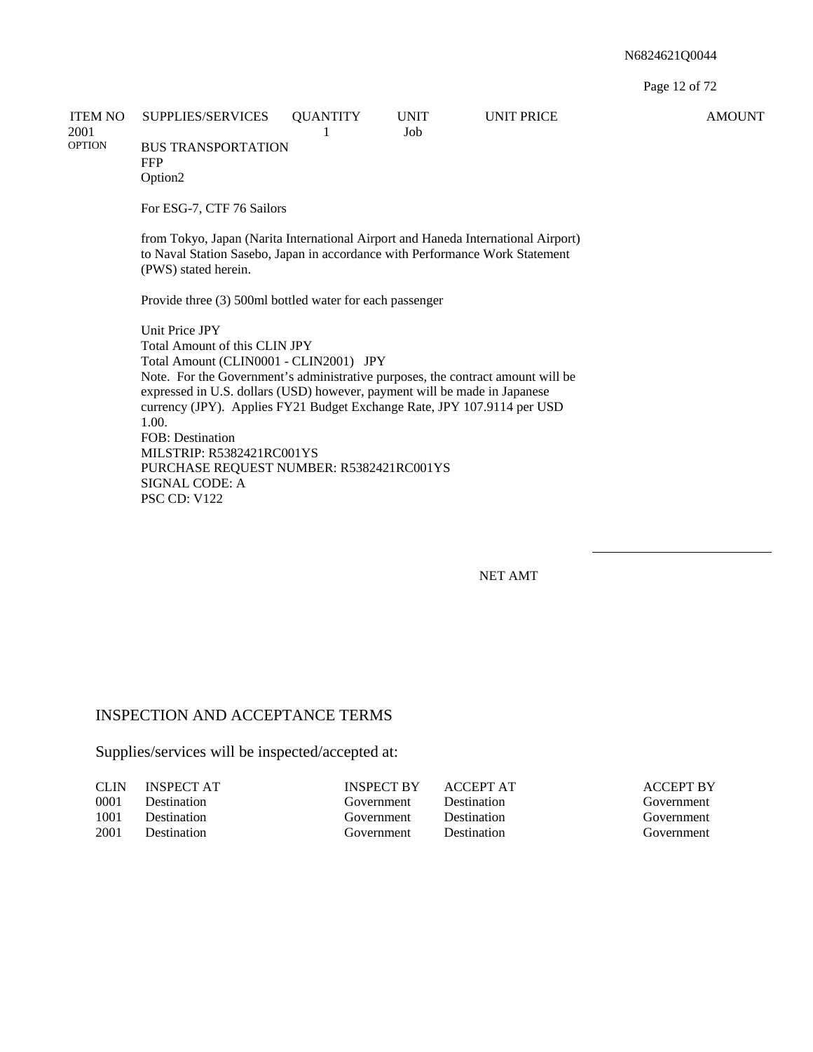Page 12 of 72

| <b>ITEM NO</b><br>2001 | <b>SUPPLIES/SERVICES</b>                                                                                                                                                                  | <b>QUANTITY</b>                                                                 | <b>UNIT</b><br>Job | <b>UNIT PRICE</b> | AMOUNT |  |  |  |  |  |
|------------------------|-------------------------------------------------------------------------------------------------------------------------------------------------------------------------------------------|---------------------------------------------------------------------------------|--------------------|-------------------|--------|--|--|--|--|--|
| <b>OPTION</b>          | <b>BUS TRANSPORTATION</b><br><b>FFP</b>                                                                                                                                                   |                                                                                 |                    |                   |        |  |  |  |  |  |
|                        | Option <sub>2</sub>                                                                                                                                                                       |                                                                                 |                    |                   |        |  |  |  |  |  |
|                        | For ESG-7, CTF 76 Sailors                                                                                                                                                                 |                                                                                 |                    |                   |        |  |  |  |  |  |
|                        | from Tokyo, Japan (Narita International Airport and Haneda International Airport)<br>to Naval Station Sasebo, Japan in accordance with Performance Work Statement<br>(PWS) stated herein. |                                                                                 |                    |                   |        |  |  |  |  |  |
|                        | Provide three (3) 500ml bottled water for each passenger                                                                                                                                  |                                                                                 |                    |                   |        |  |  |  |  |  |
|                        | Unit Price JPY                                                                                                                                                                            |                                                                                 |                    |                   |        |  |  |  |  |  |
|                        | Total Amount of this CLIN JPY                                                                                                                                                             |                                                                                 |                    |                   |        |  |  |  |  |  |
|                        |                                                                                                                                                                                           | Total Amount (CLIN0001 - CLIN2001) JPY                                          |                    |                   |        |  |  |  |  |  |
|                        |                                                                                                                                                                                           | Note. For the Government's administrative purposes, the contract amount will be |                    |                   |        |  |  |  |  |  |
|                        | expressed in U.S. dollars (USD) however, payment will be made in Japanese                                                                                                                 |                                                                                 |                    |                   |        |  |  |  |  |  |
|                        | currency (JPY). Applies FY21 Budget Exchange Rate, JPY 107.9114 per USD                                                                                                                   |                                                                                 |                    |                   |        |  |  |  |  |  |
|                        | 1.00.                                                                                                                                                                                     |                                                                                 |                    |                   |        |  |  |  |  |  |
|                        | <b>FOB</b> : Destination                                                                                                                                                                  |                                                                                 |                    |                   |        |  |  |  |  |  |

MILSTRIP: R5382421RC001YS PURCHASE REQUEST NUMBER: R5382421RC001YS SIGNAL CODE: A PSC CD: V122

NET AMT

# INSPECTION AND ACCEPTANCE TERMS

Supplies/services will be inspected/accepted at:

| <b>CLIN</b><br>0001 | INSPECT AT<br><b>Destination</b> | <b>INSPECT BY</b><br>Government | ACCEPT AT<br>Destination | <b>ACCEPT BY</b><br>Government |
|---------------------|----------------------------------|---------------------------------|--------------------------|--------------------------------|
| 1001                | <b>Destination</b>               | Government                      | <b>Destination</b>       | Government                     |
| 2001                | <b>Destination</b>               | Government                      | <b>Destination</b>       | Government                     |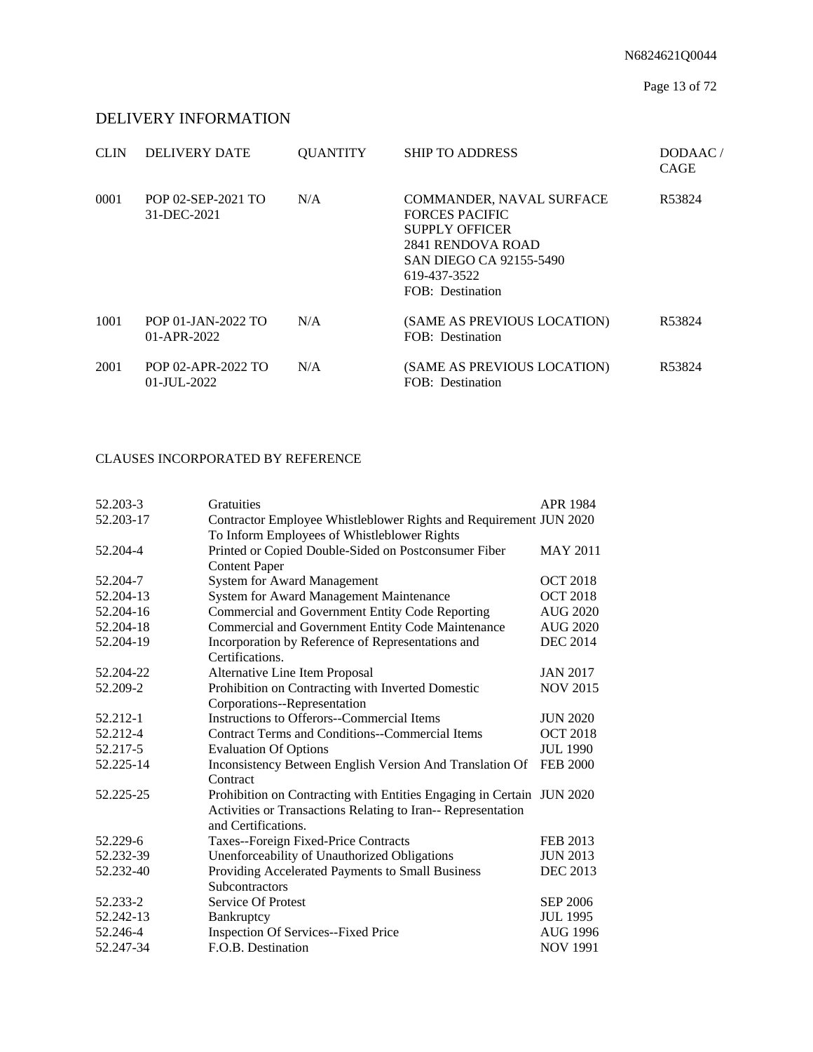# DELIVERY INFORMATION

| <b>CLIN</b> | <b>DELIVERY DATE</b>                    | <b>OUANTITY</b> | <b>SHIP TO ADDRESS</b>                                                                                                                                                | DODAAC/<br><b>CAGE</b> |
|-------------|-----------------------------------------|-----------------|-----------------------------------------------------------------------------------------------------------------------------------------------------------------------|------------------------|
| 0001        | POP 02-SEP-2021 TO<br>31-DEC-2021       | N/A             | <b>COMMANDER, NAVAL SURFACE</b><br><b>FORCES PACIFIC</b><br><b>SUPPLY OFFICER</b><br>2841 RENDOVA ROAD<br>SAN DIEGO CA 92155-5490<br>619-437-3522<br>FOB: Destination | R53824                 |
| 1001        | POP 01-JAN-2022 TO<br>$01 - APR - 2022$ | N/A             | (SAME AS PREVIOUS LOCATION)<br>FOB: Destination                                                                                                                       | R53824                 |
| 2001        | POP 02-APR-2022 TO<br>$01$ -JUL-2022    | N/A             | (SAME AS PREVIOUS LOCATION)<br>FOB: Destination                                                                                                                       | R53824                 |

# CLAUSES INCORPORATED BY REFERENCE

| 52.203-3  | Gratuities                                                            | <b>APR 1984</b> |
|-----------|-----------------------------------------------------------------------|-----------------|
| 52.203-17 | Contractor Employee Whistleblower Rights and Requirement JUN 2020     |                 |
|           | To Inform Employees of Whistleblower Rights                           |                 |
| 52.204-4  | Printed or Copied Double-Sided on Postconsumer Fiber                  | <b>MAY 2011</b> |
|           | <b>Content Paper</b>                                                  |                 |
| 52.204-7  | <b>System for Award Management</b>                                    | <b>OCT 2018</b> |
| 52.204-13 | System for Award Management Maintenance                               | <b>OCT 2018</b> |
| 52.204-16 | Commercial and Government Entity Code Reporting                       | <b>AUG 2020</b> |
| 52.204-18 | Commercial and Government Entity Code Maintenance                     | <b>AUG 2020</b> |
| 52.204-19 | Incorporation by Reference of Representations and                     | <b>DEC 2014</b> |
|           | Certifications.                                                       |                 |
| 52.204-22 | Alternative Line Item Proposal                                        | <b>JAN 2017</b> |
| 52.209-2  | Prohibition on Contracting with Inverted Domestic                     | <b>NOV 2015</b> |
|           | Corporations--Representation                                          |                 |
| 52.212-1  | Instructions to Offerors--Commercial Items                            | <b>JUN 2020</b> |
| 52.212-4  | <b>Contract Terms and Conditions--Commercial Items</b>                | <b>OCT 2018</b> |
| 52.217-5  | <b>Evaluation Of Options</b>                                          | <b>JUL 1990</b> |
| 52.225-14 | Inconsistency Between English Version And Translation Of              | <b>FEB 2000</b> |
|           | Contract                                                              |                 |
| 52.225-25 | Prohibition on Contracting with Entities Engaging in Certain JUN 2020 |                 |
|           | Activities or Transactions Relating to Iran-- Representation          |                 |
|           | and Certifications.                                                   |                 |
| 52.229-6  | Taxes--Foreign Fixed-Price Contracts                                  | <b>FEB 2013</b> |
| 52.232-39 | Unenforceability of Unauthorized Obligations                          | <b>JUN 2013</b> |
| 52.232-40 | Providing Accelerated Payments to Small Business                      | <b>DEC 2013</b> |
|           | <b>Subcontractors</b>                                                 |                 |
| 52.233-2  | Service Of Protest                                                    | <b>SEP 2006</b> |
| 52.242-13 | Bankruptcy                                                            | <b>JUL 1995</b> |
| 52.246-4  | <b>Inspection Of Services--Fixed Price</b>                            | <b>AUG 1996</b> |
| 52.247-34 | F.O.B. Destination                                                    | <b>NOV 1991</b> |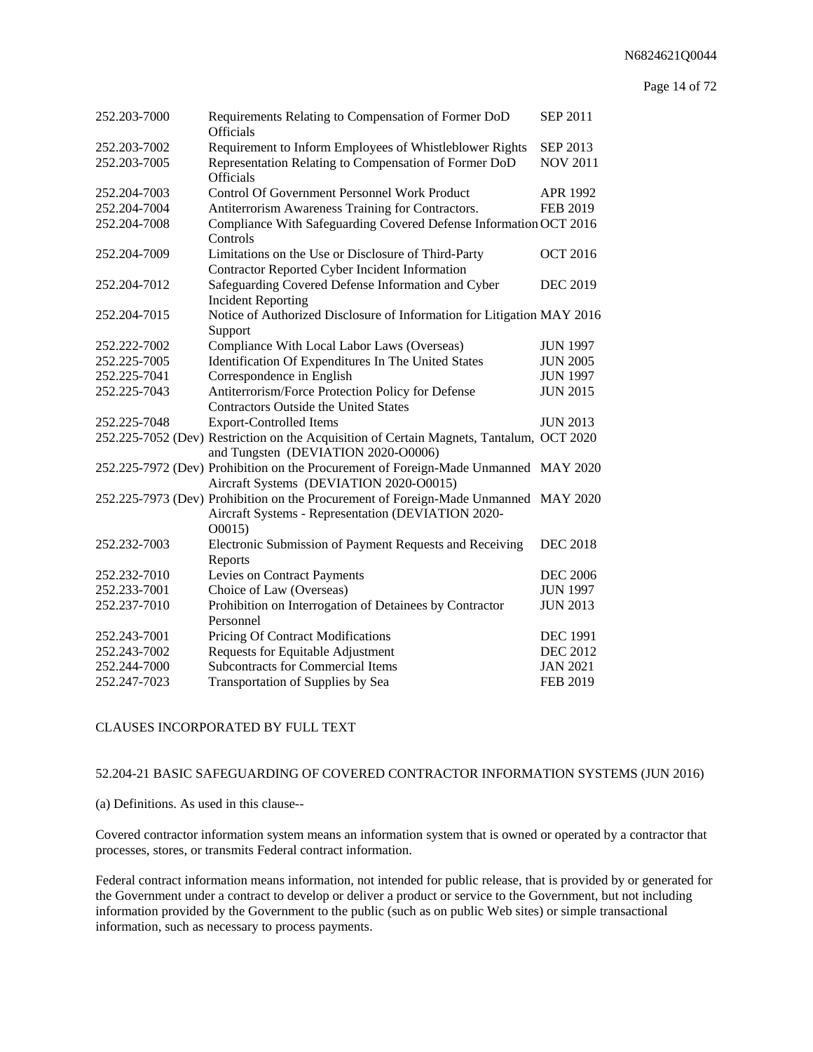Page 14 of 72

| 252.203-7000 | Requirements Relating to Compensation of Former DoD<br><b>Officials</b>                                                                            | <b>SEP 2011</b> |
|--------------|----------------------------------------------------------------------------------------------------------------------------------------------------|-----------------|
| 252.203-7002 | Requirement to Inform Employees of Whistleblower Rights                                                                                            | SEP 2013        |
| 252.203-7005 | Representation Relating to Compensation of Former DoD<br><b>Officials</b>                                                                          | <b>NOV 2011</b> |
| 252.204-7003 | Control Of Government Personnel Work Product                                                                                                       | APR 1992        |
| 252.204-7004 | Antiterrorism Awareness Training for Contractors.                                                                                                  | FEB 2019        |
| 252.204-7008 | Compliance With Safeguarding Covered Defense Information OCT 2016<br>Controls                                                                      |                 |
| 252.204-7009 | Limitations on the Use or Disclosure of Third-Party                                                                                                | <b>OCT 2016</b> |
|              | Contractor Reported Cyber Incident Information                                                                                                     |                 |
| 252.204-7012 | Safeguarding Covered Defense Information and Cyber<br><b>Incident Reporting</b>                                                                    | <b>DEC 2019</b> |
| 252.204-7015 | Notice of Authorized Disclosure of Information for Litigation MAY 2016<br>Support                                                                  |                 |
| 252.222-7002 | Compliance With Local Labor Laws (Overseas)                                                                                                        | <b>JUN 1997</b> |
| 252.225-7005 | Identification Of Expenditures In The United States                                                                                                | <b>JUN 2005</b> |
| 252.225-7041 | Correspondence in English                                                                                                                          | <b>JUN 1997</b> |
| 252.225-7043 | Antiterrorism/Force Protection Policy for Defense                                                                                                  | <b>JUN 2015</b> |
|              | <b>Contractors Outside the United States</b>                                                                                                       |                 |
| 252.225-7048 | <b>Export-Controlled Items</b>                                                                                                                     | <b>JUN 2013</b> |
|              | 252.225-7052 (Dev) Restriction on the Acquisition of Certain Magnets, Tantalum, OCT 2020<br>and Tungsten (DEVIATION 2020-O0006)                    |                 |
|              | 252.225-7972 (Dev) Prohibition on the Procurement of Foreign-Made Unmanned MAY 2020<br>Aircraft Systems (DEVIATION 2020-O0015)                     |                 |
|              | 252.225-7973 (Dev) Prohibition on the Procurement of Foreign-Made Unmanned MAY 2020<br>Aircraft Systems - Representation (DEVIATION 2020-<br>00015 |                 |
| 252.232-7003 | Electronic Submission of Payment Requests and Receiving<br>Reports                                                                                 | <b>DEC 2018</b> |
| 252.232-7010 | Levies on Contract Payments                                                                                                                        | <b>DEC 2006</b> |
| 252.233-7001 | Choice of Law (Overseas)                                                                                                                           | <b>JUN 1997</b> |
| 252.237-7010 | Prohibition on Interrogation of Detainees by Contractor<br>Personnel                                                                               | <b>JUN 2013</b> |
| 252.243-7001 | <b>Pricing Of Contract Modifications</b>                                                                                                           | <b>DEC 1991</b> |
| 252.243-7002 | Requests for Equitable Adjustment                                                                                                                  | <b>DEC 2012</b> |
| 252.244-7000 | <b>Subcontracts for Commercial Items</b>                                                                                                           | <b>JAN 2021</b> |
| 252.247-7023 | Transportation of Supplies by Sea                                                                                                                  | <b>FEB 2019</b> |

### CLAUSES INCORPORATED BY FULL TEXT

### 52.204-21 BASIC SAFEGUARDING OF COVERED CONTRACTOR INFORMATION SYSTEMS (JUN 2016)

(a) Definitions. As used in this clause--

Covered contractor information system means an information system that is owned or operated by a contractor that processes, stores, or transmits Federal contract information.

Federal contract information means information, not intended for public release, that is provided by or generated for the Government under a contract to develop or deliver a product or service to the Government, but not including information provided by the Government to the public (such as on public Web sites) or simple transactional information, such as necessary to process payments.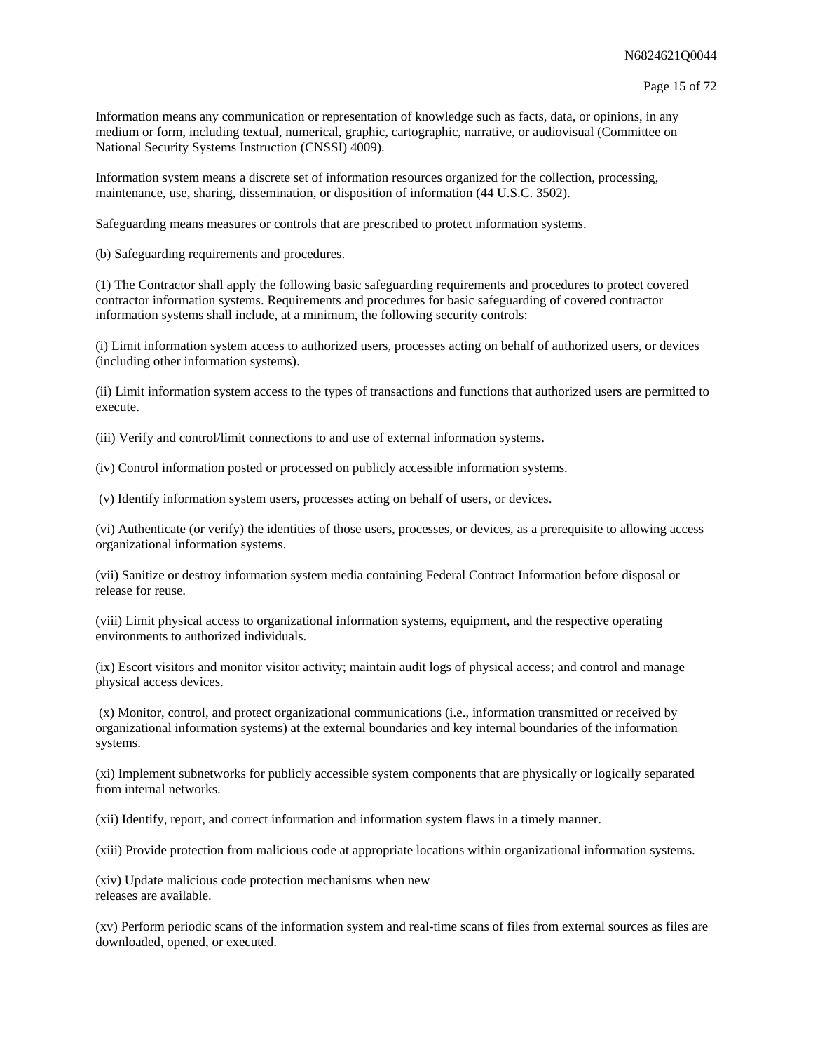### Page 15 of 72

Information means any communication or representation of knowledge such as facts, data, or opinions, in any medium or form, including textual, numerical, graphic, cartographic, narrative, or audiovisual (Committee on National Security Systems Instruction (CNSSI) 4009).

Information system means a discrete set of information resources organized for the collection, processing, maintenance, use, sharing, dissemination, or disposition of information (44 U.S.C. 3502).

Safeguarding means measures or controls that are prescribed to protect information systems.

(b) Safeguarding requirements and procedures.

(1) The Contractor shall apply the following basic safeguarding requirements and procedures to protect covered contractor information systems. Requirements and procedures for basic safeguarding of covered contractor information systems shall include, at a minimum, the following security controls:

(i) Limit information system access to authorized users, processes acting on behalf of authorized users, or devices (including other information systems).

(ii) Limit information system access to the types of transactions and functions that authorized users are permitted to execute.

(iii) Verify and control/limit connections to and use of external information systems.

(iv) Control information posted or processed on publicly accessible information systems.

(v) Identify information system users, processes acting on behalf of users, or devices.

(vi) Authenticate (or verify) the identities of those users, processes, or devices, as a prerequisite to allowing access organizational information systems.

(vii) Sanitize or destroy information system media containing Federal Contract Information before disposal or release for reuse.

(viii) Limit physical access to organizational information systems, equipment, and the respective operating environments to authorized individuals.

(ix) Escort visitors and monitor visitor activity; maintain audit logs of physical access; and control and manage physical access devices.

(x) Monitor, control, and protect organizational communications (i.e., information transmitted or received by organizational information systems) at the external boundaries and key internal boundaries of the information systems.

(xi) Implement subnetworks for publicly accessible system components that are physically or logically separated from internal networks.

(xii) Identify, report, and correct information and information system flaws in a timely manner.

(xiii) Provide protection from malicious code at appropriate locations within organizational information systems.

(xiv) Update malicious code protection mechanisms when new releases are available.

(xv) Perform periodic scans of the information system and real-time scans of files from external sources as files are downloaded, opened, or executed.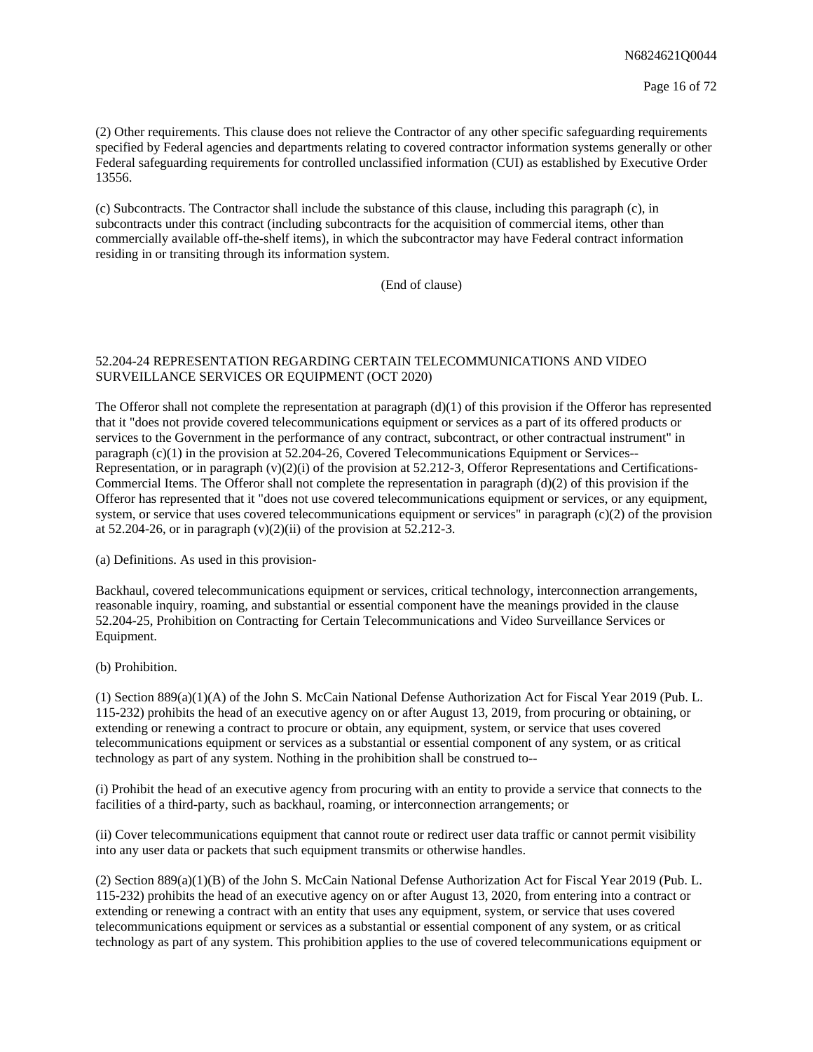(2) Other requirements. This clause does not relieve the Contractor of any other specific safeguarding requirements specified by Federal agencies and departments relating to covered contractor information systems generally or other Federal safeguarding requirements for controlled unclassified information (CUI) as established by Executive Order 13556.

(c) Subcontracts. The Contractor shall include the substance of this clause, including this paragraph (c), in subcontracts under this contract (including subcontracts for the acquisition of commercial items, other than commercially available off-the-shelf items), in which the subcontractor may have Federal contract information residing in or transiting through its information system.

(End of clause)

# 52.204-24 REPRESENTATION REGARDING CERTAIN TELECOMMUNICATIONS AND VIDEO SURVEILLANCE SERVICES OR EQUIPMENT (OCT 2020)

The Offeror shall not complete the representation at paragraph  $(d)(1)$  of this provision if the Offeror has represented that it "does not provide covered telecommunications equipment or services as a part of its offered products or services to the Government in the performance of any contract, subcontract, or other contractual instrument" in paragraph (c)(1) in the provision at 52.204-26, Covered Telecommunications Equipment or Services-- Representation, or in paragraph  $(v)(2)(i)$  of the provision at 52.212-3, Offeror Representations and Certifications-Commercial Items. The Offeror shall not complete the representation in paragraph (d)(2) of this provision if the Offeror has represented that it "does not use covered telecommunications equipment or services, or any equipment, system, or service that uses covered telecommunications equipment or services" in paragraph (c)(2) of the provision at  $52.204-26$ , or in paragraph  $(v)(2)(ii)$  of the provision at  $52.212-3$ .

(a) Definitions. As used in this provision-

Backhaul, covered telecommunications equipment or services, critical technology, interconnection arrangements, reasonable inquiry, roaming, and substantial or essential component have the meanings provided in the clause 52.204-25, Prohibition on Contracting for Certain Telecommunications and Video Surveillance Services or Equipment.

(b) Prohibition.

(1) Section 889(a)(1)(A) of the John S. McCain National Defense Authorization Act for Fiscal Year 2019 (Pub. L. 115-232) prohibits the head of an executive agency on or after August 13, 2019, from procuring or obtaining, or extending or renewing a contract to procure or obtain, any equipment, system, or service that uses covered telecommunications equipment or services as a substantial or essential component of any system, or as critical technology as part of any system. Nothing in the prohibition shall be construed to--

(i) Prohibit the head of an executive agency from procuring with an entity to provide a service that connects to the facilities of a third-party, such as backhaul, roaming, or interconnection arrangements; or

(ii) Cover telecommunications equipment that cannot route or redirect user data traffic or cannot permit visibility into any user data or packets that such equipment transmits or otherwise handles.

(2) Section 889(a)(1)(B) of the John S. McCain National Defense Authorization Act for Fiscal Year 2019 (Pub. L. 115-232) prohibits the head of an executive agency on or after August 13, 2020, from entering into a contract or extending or renewing a contract with an entity that uses any equipment, system, or service that uses covered telecommunications equipment or services as a substantial or essential component of any system, or as critical technology as part of any system. This prohibition applies to the use of covered telecommunications equipment or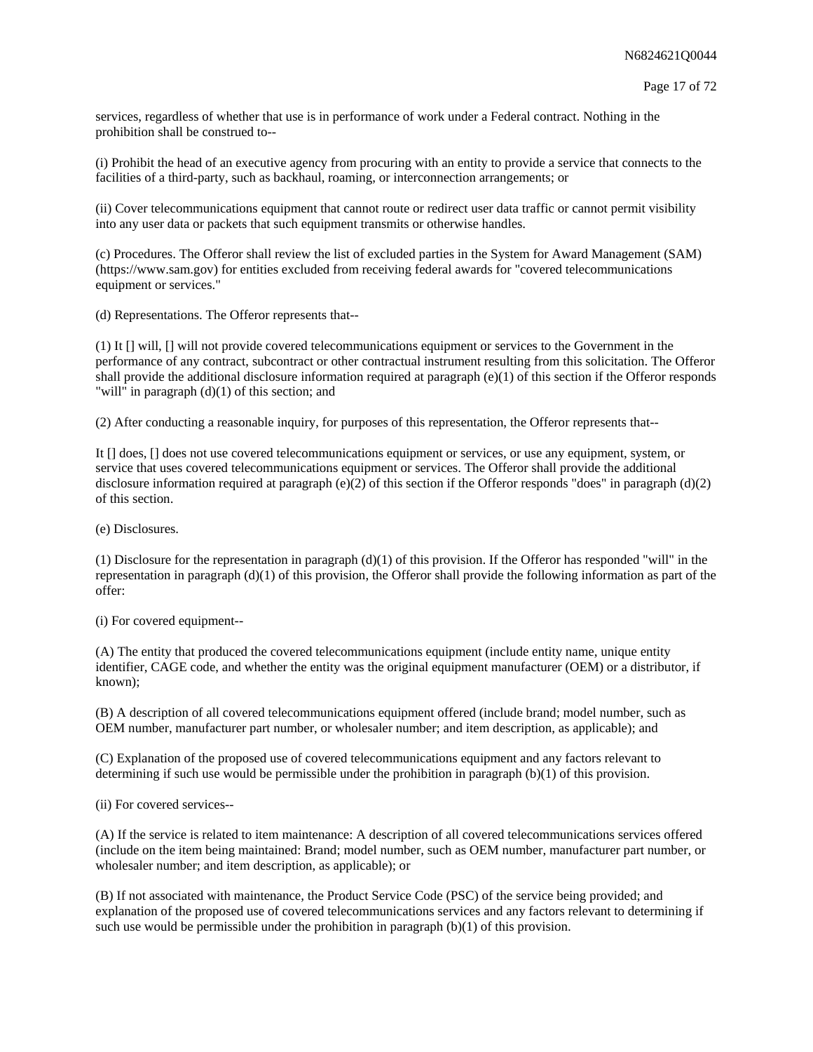services, regardless of whether that use is in performance of work under a Federal contract. Nothing in the prohibition shall be construed to--

(i) Prohibit the head of an executive agency from procuring with an entity to provide a service that connects to the facilities of a third-party, such as backhaul, roaming, or interconnection arrangements; or

(ii) Cover telecommunications equipment that cannot route or redirect user data traffic or cannot permit visibility into any user data or packets that such equipment transmits or otherwise handles.

(c) Procedures. The Offeror shall review the list of excluded parties in the System for Award Management (SAM) (https://www.sam.gov) for entities excluded from receiving federal awards for "covered telecommunications equipment or services."

(d) Representations. The Offeror represents that--

(1) It [] will, [] will not provide covered telecommunications equipment or services to the Government in the performance of any contract, subcontract or other contractual instrument resulting from this solicitation. The Offeror shall provide the additional disclosure information required at paragraph (e)(1) of this section if the Offeror responds "will" in paragraph (d)(1) of this section; and

(2) After conducting a reasonable inquiry, for purposes of this representation, the Offeror represents that--

It [] does, [] does not use covered telecommunications equipment or services, or use any equipment, system, or service that uses covered telecommunications equipment or services. The Offeror shall provide the additional disclosure information required at paragraph (e)(2) of this section if the Offeror responds "does" in paragraph (d)(2) of this section.

(e) Disclosures.

(1) Disclosure for the representation in paragraph  $(d)(1)$  of this provision. If the Offeror has responded "will" in the representation in paragraph  $(d)(1)$  of this provision, the Offeror shall provide the following information as part of the offer:

(i) For covered equipment--

(A) The entity that produced the covered telecommunications equipment (include entity name, unique entity identifier, CAGE code, and whether the entity was the original equipment manufacturer (OEM) or a distributor, if known);

(B) A description of all covered telecommunications equipment offered (include brand; model number, such as OEM number, manufacturer part number, or wholesaler number; and item description, as applicable); and

(C) Explanation of the proposed use of covered telecommunications equipment and any factors relevant to determining if such use would be permissible under the prohibition in paragraph (b)(1) of this provision.

(ii) For covered services--

(A) If the service is related to item maintenance: A description of all covered telecommunications services offered (include on the item being maintained: Brand; model number, such as OEM number, manufacturer part number, or wholesaler number; and item description, as applicable); or

(B) If not associated with maintenance, the Product Service Code (PSC) of the service being provided; and explanation of the proposed use of covered telecommunications services and any factors relevant to determining if such use would be permissible under the prohibition in paragraph  $(b)(1)$  of this provision.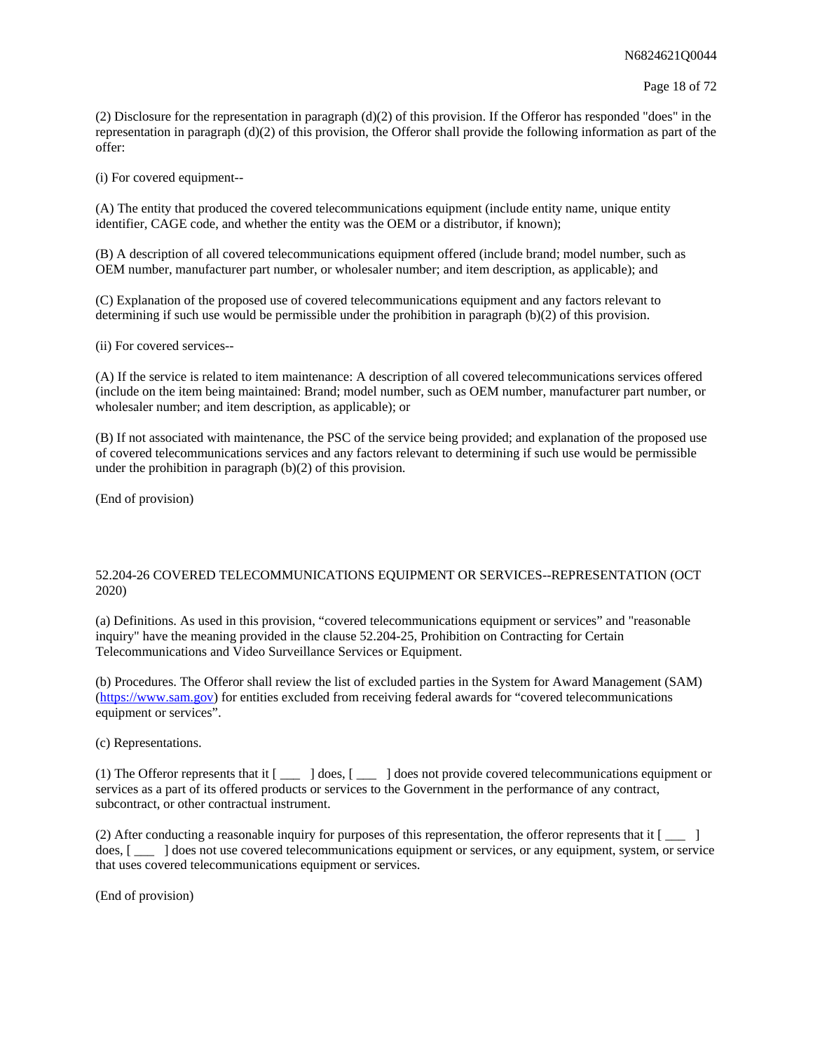(2) Disclosure for the representation in paragraph  $(d)(2)$  of this provision. If the Offeror has responded "does" in the representation in paragraph (d)(2) of this provision, the Offeror shall provide the following information as part of the offer:

(i) For covered equipment--

(A) The entity that produced the covered telecommunications equipment (include entity name, unique entity identifier, CAGE code, and whether the entity was the OEM or a distributor, if known);

(B) A description of all covered telecommunications equipment offered (include brand; model number, such as OEM number, manufacturer part number, or wholesaler number; and item description, as applicable); and

(C) Explanation of the proposed use of covered telecommunications equipment and any factors relevant to determining if such use would be permissible under the prohibition in paragraph (b)(2) of this provision.

(ii) For covered services--

(A) If the service is related to item maintenance: A description of all covered telecommunications services offered (include on the item being maintained: Brand; model number, such as OEM number, manufacturer part number, or wholesaler number; and item description, as applicable); or

(B) If not associated with maintenance, the PSC of the service being provided; and explanation of the proposed use of covered telecommunications services and any factors relevant to determining if such use would be permissible under the prohibition in paragraph (b)(2) of this provision.

(End of provision)

## 52.204-26 COVERED TELECOMMUNICATIONS EQUIPMENT OR SERVICES--REPRESENTATION (OCT 2020)

(a) Definitions. As used in this provision, "covered telecommunications equipment or services" and "reasonable inquiry" have the meaning provided in the clause 52.204-25, Prohibition on Contracting for Certain Telecommunications and Video Surveillance Services or Equipment.

(b) Procedures. The Offeror shall review the list of excluded parties in the System for Award Management (SAM) [\(https://www.sam.gov\)](https://www.sam.gov/) for entities excluded from receiving federal awards for "covered telecommunications equipment or services".

### (c) Representations.

(1) The Offeror represents that it [ \_\_\_ ] does, [ \_\_\_ ] does not provide covered telecommunications equipment or services as a part of its offered products or services to the Government in the performance of any contract, subcontract, or other contractual instrument.

(2) After conducting a reasonable inquiry for purposes of this representation, the offeror represents that it [ \_\_\_ ] does,  $\lceil \cdot \rfloor$  does not use covered telecommunications equipment or services, or any equipment, system, or service that uses covered telecommunications equipment or services.

(End of provision)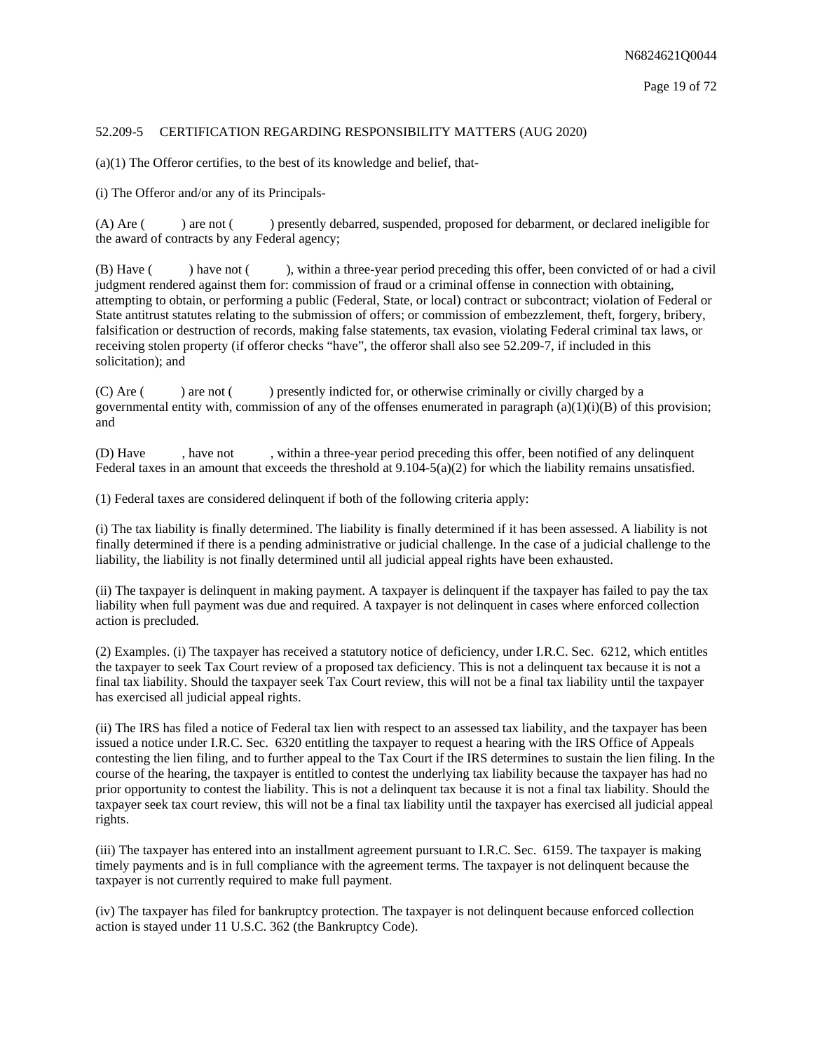Page 19 of 72

# 52.209-5 CERTIFICATION REGARDING RESPONSIBILITY MATTERS (AUG 2020)

 $(a)(1)$  The Offeror certifies, to the best of its knowledge and belief, that-

(i) The Offeror and/or any of its Principals-

(A) Are ( ) are not ( ) presently debarred, suspended, proposed for debarment, or declared ineligible for the award of contracts by any Federal agency;

(B) Have ( ) have not ( ), within a three-year period preceding this offer, been convicted of or had a civil judgment rendered against them for: commission of fraud or a criminal offense in connection with obtaining, attempting to obtain, or performing a public (Federal, State, or local) contract or subcontract; violation of Federal or State antitrust statutes relating to the submission of offers; or commission of embezzlement, theft, forgery, bribery, falsification or destruction of records, making false statements, tax evasion, violating Federal criminal tax laws, or receiving stolen property (if offeror checks "have", the offeror shall also see 52.209-7, if included in this solicitation); and

(C) Are (a) are not (c) presently indicted for, or otherwise criminally or civilly charged by a governmental entity with, commission of any of the offenses enumerated in paragraph  $(a)(1)(i)(B)$  of this provision; and

(D) Have , have not , within a three-year period preceding this offer, been notified of any delinquent Federal taxes in an amount that exceeds the threshold at 9.104-5(a)(2) for which the liability remains unsatisfied.

(1) Federal taxes are considered delinquent if both of the following criteria apply:

(i) The tax liability is finally determined. The liability is finally determined if it has been assessed. A liability is not finally determined if there is a pending administrative or judicial challenge. In the case of a judicial challenge to the liability, the liability is not finally determined until all judicial appeal rights have been exhausted.

(ii) The taxpayer is delinquent in making payment. A taxpayer is delinquent if the taxpayer has failed to pay the tax liability when full payment was due and required. A taxpayer is not delinquent in cases where enforced collection action is precluded.

(2) Examples. (i) The taxpayer has received a statutory notice of deficiency, under I.R.C. Sec. 6212, which entitles the taxpayer to seek Tax Court review of a proposed tax deficiency. This is not a delinquent tax because it is not a final tax liability. Should the taxpayer seek Tax Court review, this will not be a final tax liability until the taxpayer has exercised all judicial appeal rights.

(ii) The IRS has filed a notice of Federal tax lien with respect to an assessed tax liability, and the taxpayer has been issued a notice under I.R.C. Sec. 6320 entitling the taxpayer to request a hearing with the IRS Office of Appeals contesting the lien filing, and to further appeal to the Tax Court if the IRS determines to sustain the lien filing. In the course of the hearing, the taxpayer is entitled to contest the underlying tax liability because the taxpayer has had no prior opportunity to contest the liability. This is not a delinquent tax because it is not a final tax liability. Should the taxpayer seek tax court review, this will not be a final tax liability until the taxpayer has exercised all judicial appeal rights.

(iii) The taxpayer has entered into an installment agreement pursuant to I.R.C. Sec. 6159. The taxpayer is making timely payments and is in full compliance with the agreement terms. The taxpayer is not delinquent because the taxpayer is not currently required to make full payment.

(iv) The taxpayer has filed for bankruptcy protection. The taxpayer is not delinquent because enforced collection action is stayed under 11 U.S.C. 362 (the Bankruptcy Code).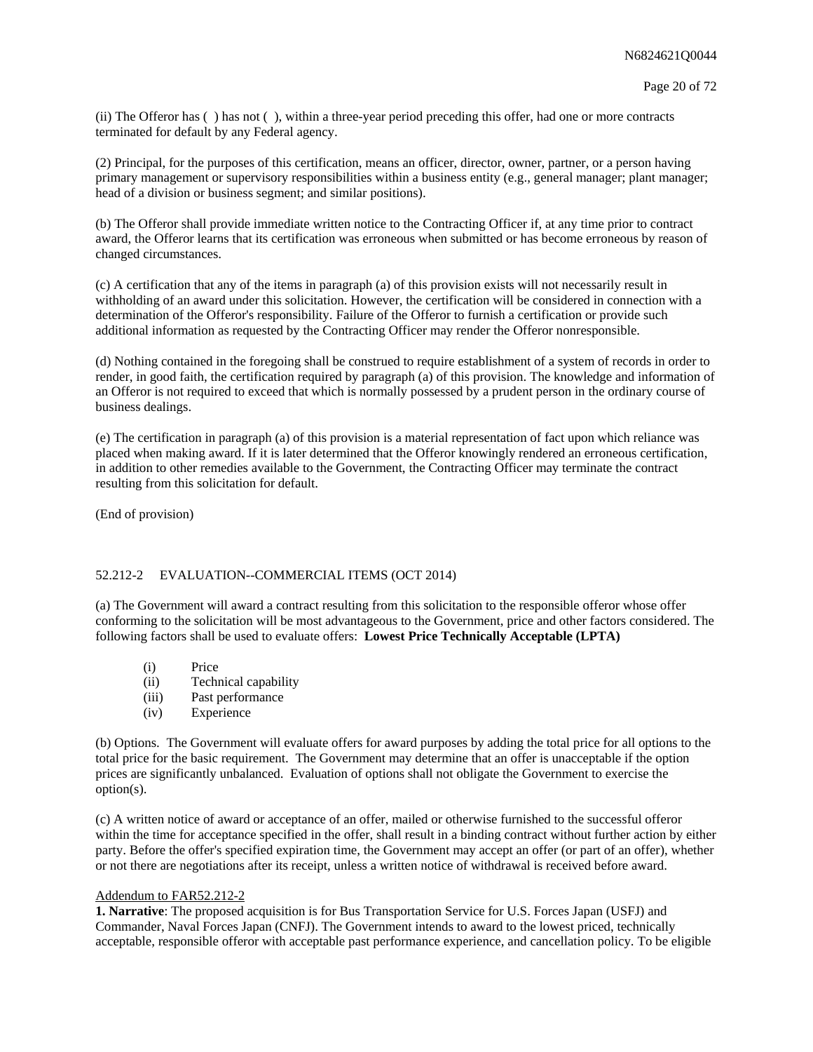(ii) The Offeror has ( ) has not ( ), within a three-year period preceding this offer, had one or more contracts terminated for default by any Federal agency.

(2) Principal, for the purposes of this certification, means an officer, director, owner, partner, or a person having primary management or supervisory responsibilities within a business entity (e.g., general manager; plant manager; head of a division or business segment; and similar positions).

(b) The Offeror shall provide immediate written notice to the Contracting Officer if, at any time prior to contract award, the Offeror learns that its certification was erroneous when submitted or has become erroneous by reason of changed circumstances.

(c) A certification that any of the items in paragraph (a) of this provision exists will not necessarily result in withholding of an award under this solicitation. However, the certification will be considered in connection with a determination of the Offeror's responsibility. Failure of the Offeror to furnish a certification or provide such additional information as requested by the Contracting Officer may render the Offeror nonresponsible.

(d) Nothing contained in the foregoing shall be construed to require establishment of a system of records in order to render, in good faith, the certification required by paragraph (a) of this provision. The knowledge and information of an Offeror is not required to exceed that which is normally possessed by a prudent person in the ordinary course of business dealings.

(e) The certification in paragraph (a) of this provision is a material representation of fact upon which reliance was placed when making award. If it is later determined that the Offeror knowingly rendered an erroneous certification, in addition to other remedies available to the Government, the Contracting Officer may terminate the contract resulting from this solicitation for default.

(End of provision)

# 52.212-2 EVALUATION--COMMERCIAL ITEMS (OCT 2014)

(a) The Government will award a contract resulting from this solicitation to the responsible offeror whose offer conforming to the solicitation will be most advantageous to the Government, price and other factors considered. The following factors shall be used to evaluate offers: **Lowest Price Technically Acceptable (LPTA)**

- (i) Price
- (ii) Technical capability
- (iii) Past performance
- (iv) Experience

(b) Options. The Government will evaluate offers for award purposes by adding the total price for all options to the total price for the basic requirement. The Government may determine that an offer is unacceptable if the option prices are significantly unbalanced. Evaluation of options shall not obligate the Government to exercise the option(s).

(c) A written notice of award or acceptance of an offer, mailed or otherwise furnished to the successful offeror within the time for acceptance specified in the offer, shall result in a binding contract without further action by either party. Before the offer's specified expiration time, the Government may accept an offer (or part of an offer), whether or not there are negotiations after its receipt, unless a written notice of withdrawal is received before award.

### Addendum to FAR52.212-2

**1. Narrative**: The proposed acquisition is for Bus Transportation Service for U.S. Forces Japan (USFJ) and Commander, Naval Forces Japan (CNFJ). The Government intends to award to the lowest priced, technically acceptable, responsible offeror with acceptable past performance experience, and cancellation policy. To be eligible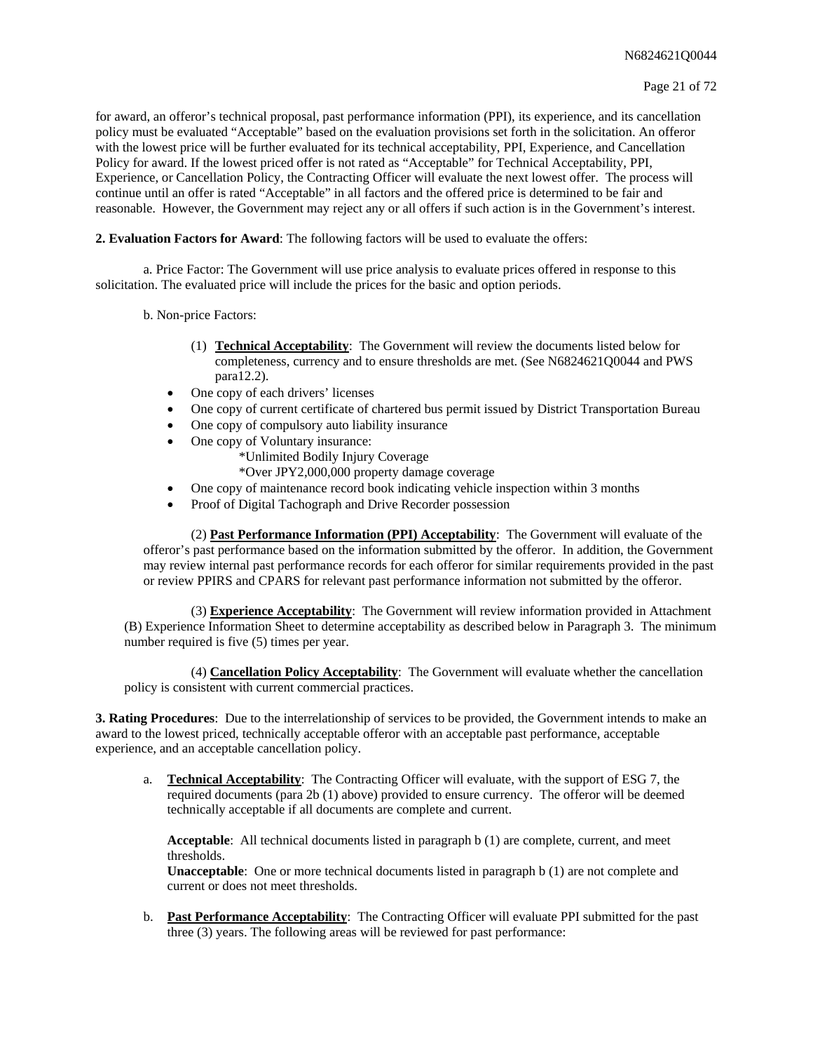for award, an offeror's technical proposal, past performance information (PPI), its experience, and its cancellation policy must be evaluated "Acceptable" based on the evaluation provisions set forth in the solicitation. An offeror with the lowest price will be further evaluated for its technical acceptability, PPI, Experience, and Cancellation Policy for award. If the lowest priced offer is not rated as "Acceptable" for Technical Acceptability, PPI, Experience, or Cancellation Policy, the Contracting Officer will evaluate the next lowest offer. The process will continue until an offer is rated "Acceptable" in all factors and the offered price is determined to be fair and reasonable. However, the Government may reject any or all offers if such action is in the Government's interest.

**2. Evaluation Factors for Award**: The following factors will be used to evaluate the offers:

a. Price Factor: The Government will use price analysis to evaluate prices offered in response to this solicitation. The evaluated price will include the prices for the basic and option periods.

b. Non-price Factors:

- (1) **Technical Acceptability**: The Government will review the documents listed below for completeness, currency and to ensure thresholds are met. (See N6824621Q0044 and PWS para12.2).
- One copy of each drivers' licenses
- One copy of current certificate of chartered bus permit issued by District Transportation Bureau
- One copy of compulsory auto liability insurance
- One copy of Voluntary insurance:
	- \*Unlimited Bodily Injury Coverage
	- \*Over JPY2,000,000 property damage coverage
- One copy of maintenance record book indicating vehicle inspection within 3 months
- Proof of Digital Tachograph and Drive Recorder possession

(2) **Past Performance Information (PPI) Acceptability**: The Government will evaluate of the offeror's past performance based on the information submitted by the offeror. In addition, the Government may review internal past performance records for each offeror for similar requirements provided in the past or review PPIRS and CPARS for relevant past performance information not submitted by the offeror.

(3) **Experience Acceptability**: The Government will review information provided in Attachment (B) Experience Information Sheet to determine acceptability as described below in Paragraph 3. The minimum number required is five (5) times per year.

(4) **Cancellation Policy Acceptability**: The Government will evaluate whether the cancellation policy is consistent with current commercial practices.

**3. Rating Procedures**: Due to the interrelationship of services to be provided, the Government intends to make an award to the lowest priced, technically acceptable offeror with an acceptable past performance, acceptable experience, and an acceptable cancellation policy.

a. **Technical Acceptability**: The Contracting Officer will evaluate, with the support of ESG 7, the required documents (para 2b (1) above) provided to ensure currency. The offeror will be deemed technically acceptable if all documents are complete and current.

**Acceptable**: All technical documents listed in paragraph b (1) are complete, current, and meet thresholds.

**Unacceptable**: One or more technical documents listed in paragraph b (1) are not complete and current or does not meet thresholds.

b. **Past Performance Acceptability**: The Contracting Officer will evaluate PPI submitted for the past three (3) years. The following areas will be reviewed for past performance: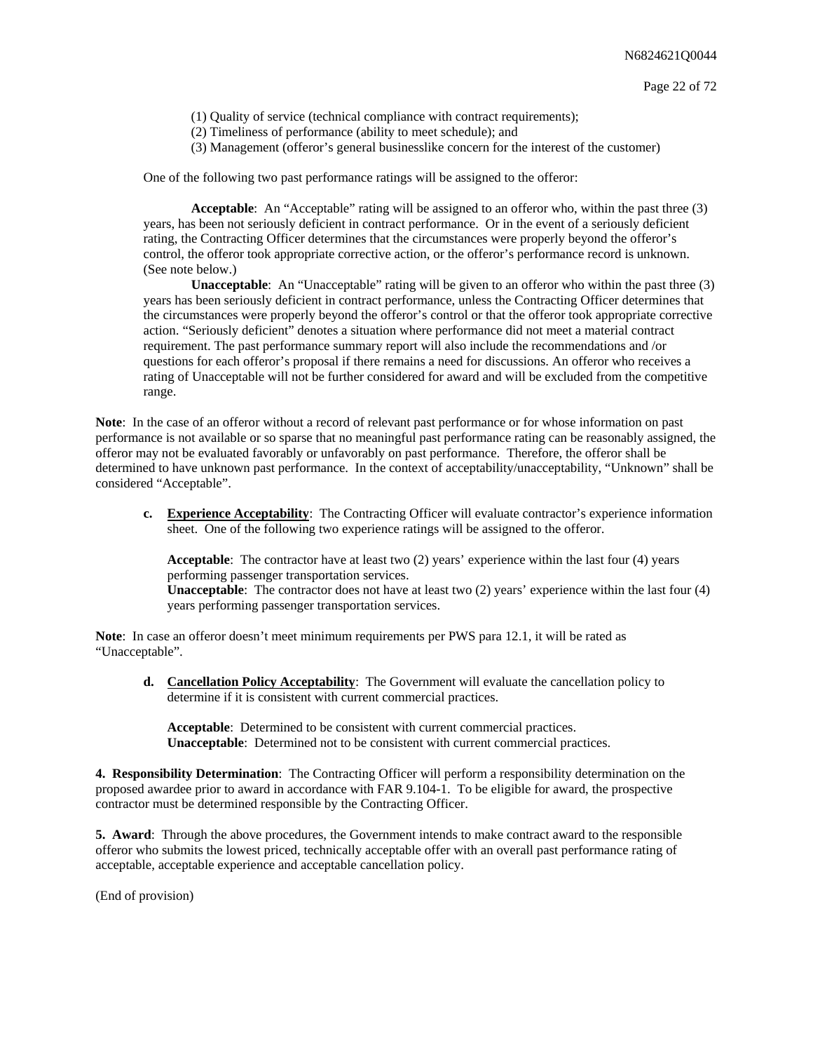(1) Quality of service (technical compliance with contract requirements);

- (2) Timeliness of performance (ability to meet schedule); and
- (3) Management (offeror's general businesslike concern for the interest of the customer)

One of the following two past performance ratings will be assigned to the offeror:

**Acceptable**: An "Acceptable" rating will be assigned to an offeror who, within the past three (3) years, has been not seriously deficient in contract performance. Or in the event of a seriously deficient rating, the Contracting Officer determines that the circumstances were properly beyond the offeror's control, the offeror took appropriate corrective action, or the offeror's performance record is unknown. (See note below.)

**Unacceptable**: An "Unacceptable" rating will be given to an offeror who within the past three (3) years has been seriously deficient in contract performance, unless the Contracting Officer determines that the circumstances were properly beyond the offeror's control or that the offeror took appropriate corrective action. "Seriously deficient" denotes a situation where performance did not meet a material contract requirement. The past performance summary report will also include the recommendations and /or questions for each offeror's proposal if there remains a need for discussions. An offeror who receives a rating of Unacceptable will not be further considered for award and will be excluded from the competitive range.

**Note**: In the case of an offeror without a record of relevant past performance or for whose information on past performance is not available or so sparse that no meaningful past performance rating can be reasonably assigned, the offeror may not be evaluated favorably or unfavorably on past performance. Therefore, the offeror shall be determined to have unknown past performance. In the context of acceptability/unacceptability, "Unknown" shall be considered "Acceptable".

**c. Experience Acceptability**: The Contracting Officer will evaluate contractor's experience information sheet. One of the following two experience ratings will be assigned to the offeror.

**Acceptable**: The contractor have at least two (2) years' experience within the last four (4) years performing passenger transportation services.

**Unacceptable**: The contractor does not have at least two (2) years' experience within the last four (4) years performing passenger transportation services.

**Note**: In case an offeror doesn't meet minimum requirements per PWS para 12.1, it will be rated as "Unacceptable".

**d. Cancellation Policy Acceptability**: The Government will evaluate the cancellation policy to determine if it is consistent with current commercial practices.

**Acceptable**: Determined to be consistent with current commercial practices. **Unacceptable**: Determined not to be consistent with current commercial practices.

**4. Responsibility Determination**: The Contracting Officer will perform a responsibility determination on the proposed awardee prior to award in accordance with FAR 9.104-1. To be eligible for award, the prospective contractor must be determined responsible by the Contracting Officer.

**5. Award**: Through the above procedures, the Government intends to make contract award to the responsible offeror who submits the lowest priced, technically acceptable offer with an overall past performance rating of acceptable, acceptable experience and acceptable cancellation policy.

(End of provision)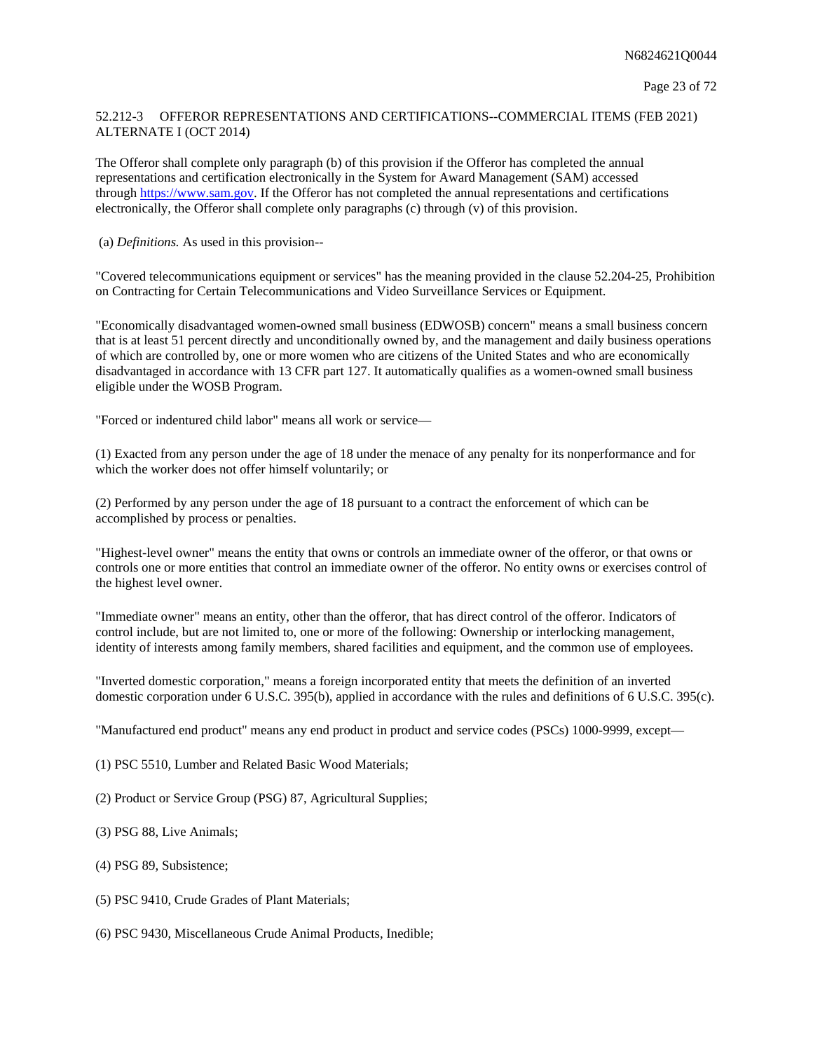# 52.212-3 OFFEROR REPRESENTATIONS AND CERTIFICATIONS--COMMERCIAL ITEMS (FEB 2021) ALTERNATE I (OCT 2014)

The Offeror shall complete only paragraph (b) of this provision if the Offeror has completed the annual representations and certification electronically in the System for Award Management (SAM) accessed throug[h https://www.sam.gov.](https://www.sam.gov/) If the Offeror has not completed the annual representations and certifications electronically, the Offeror shall complete only paragraphs (c) through (v) of this provision.

(a) *Definitions.* As used in this provision--

"Covered telecommunications equipment or services" has the meaning provided in the clause 52.204-25, Prohibition on Contracting for Certain Telecommunications and Video Surveillance Services or Equipment.

"Economically disadvantaged women-owned small business (EDWOSB) concern" means a small business concern that is at least 51 percent directly and unconditionally owned by, and the management and daily business operations of which are controlled by, one or more women who are citizens of the United States and who are economically disadvantaged in accordance with 13 CFR part 127. It automatically qualifies as a women-owned small business eligible under the WOSB Program.

"Forced or indentured child labor" means all work or service—

(1) Exacted from any person under the age of 18 under the menace of any penalty for its nonperformance and for which the worker does not offer himself voluntarily; or

(2) Performed by any person under the age of 18 pursuant to a contract the enforcement of which can be accomplished by process or penalties.

"Highest-level owner" means the entity that owns or controls an immediate owner of the offeror, or that owns or controls one or more entities that control an immediate owner of the offeror. No entity owns or exercises control of the highest level owner.

"Immediate owner" means an entity, other than the offeror, that has direct control of the offeror. Indicators of control include, but are not limited to, one or more of the following: Ownership or interlocking management, identity of interests among family members, shared facilities and equipment, and the common use of employees.

"Inverted domestic corporation," means a foreign incorporated entity that meets the definition of an inverted domestic corporation under 6 U.S.C. 395(b), applied in accordance with the rules and definitions of 6 U.S.C. 395(c).

"Manufactured end product" means any end product in product and service codes (PSCs) 1000-9999, except—

(1) PSC 5510, Lumber and Related Basic Wood Materials;

(2) Product or Service Group (PSG) 87, Agricultural Supplies;

(3) PSG 88, Live Animals;

(4) PSG 89, Subsistence;

(5) PSC 9410, Crude Grades of Plant Materials;

(6) PSC 9430, Miscellaneous Crude Animal Products, Inedible;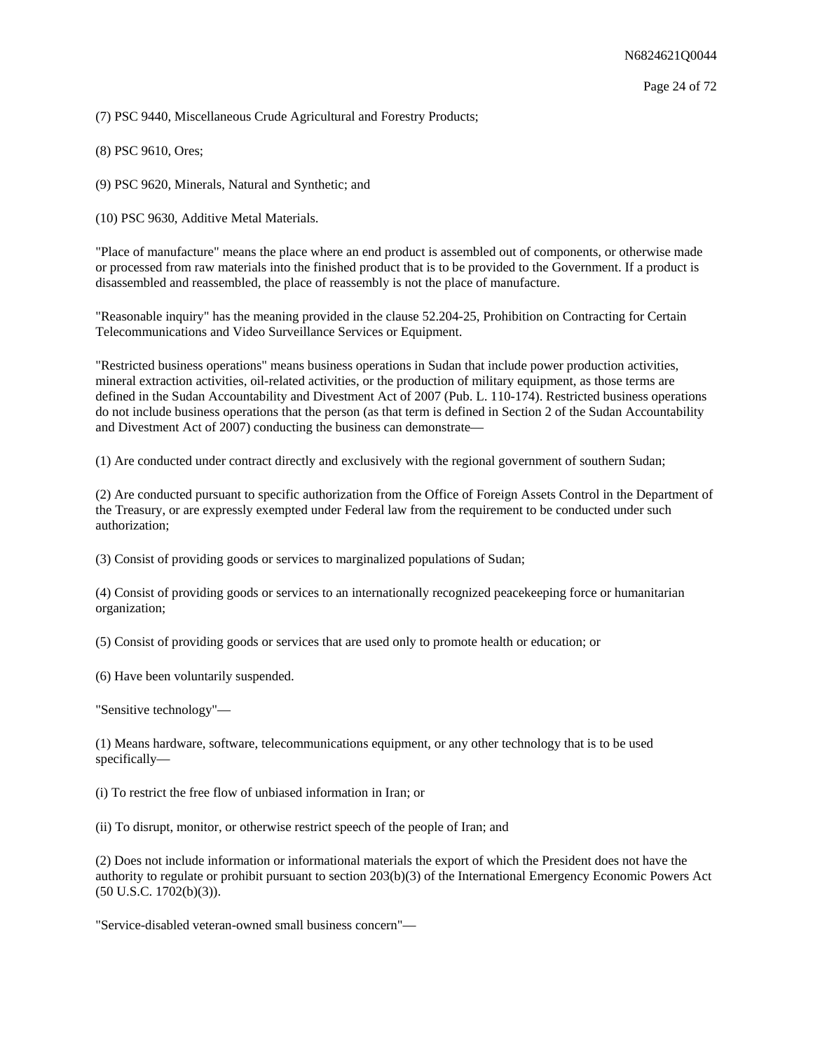Page 24 of 72

(7) PSC 9440, Miscellaneous Crude Agricultural and Forestry Products;

(8) PSC 9610, Ores;

(9) PSC 9620, Minerals, Natural and Synthetic; and

(10) PSC 9630, Additive Metal Materials.

"Place of manufacture" means the place where an end product is assembled out of components, or otherwise made or processed from raw materials into the finished product that is to be provided to the Government. If a product is disassembled and reassembled, the place of reassembly is not the place of manufacture.

"Reasonable inquiry" has the meaning provided in the clause 52.204-25, Prohibition on Contracting for Certain Telecommunications and Video Surveillance Services or Equipment.

"Restricted business operations" means business operations in Sudan that include power production activities, mineral extraction activities, oil-related activities, or the production of military equipment, as those terms are defined in the Sudan Accountability and Divestment Act of 2007 (Pub. L. 110-174). Restricted business operations do not include business operations that the person (as that term is defined in Section 2 of the Sudan Accountability and Divestment Act of 2007) conducting the business can demonstrate—

(1) Are conducted under contract directly and exclusively with the regional government of southern Sudan;

(2) Are conducted pursuant to specific authorization from the Office of Foreign Assets Control in the Department of the Treasury, or are expressly exempted under Federal law from the requirement to be conducted under such authorization;

(3) Consist of providing goods or services to marginalized populations of Sudan;

(4) Consist of providing goods or services to an internationally recognized peacekeeping force or humanitarian organization;

(5) Consist of providing goods or services that are used only to promote health or education; or

(6) Have been voluntarily suspended.

"Sensitive technology"—

(1) Means hardware, software, telecommunications equipment, or any other technology that is to be used specifically—

(i) To restrict the free flow of unbiased information in Iran; or

(ii) To disrupt, monitor, or otherwise restrict speech of the people of Iran; and

(2) Does not include information or informational materials the export of which the President does not have the authority to regulate or prohibit pursuant to section 203(b)(3) of the International Emergency Economic Powers Act (50 U.S.C. 1702(b)(3)).

"Service-disabled veteran-owned small business concern"—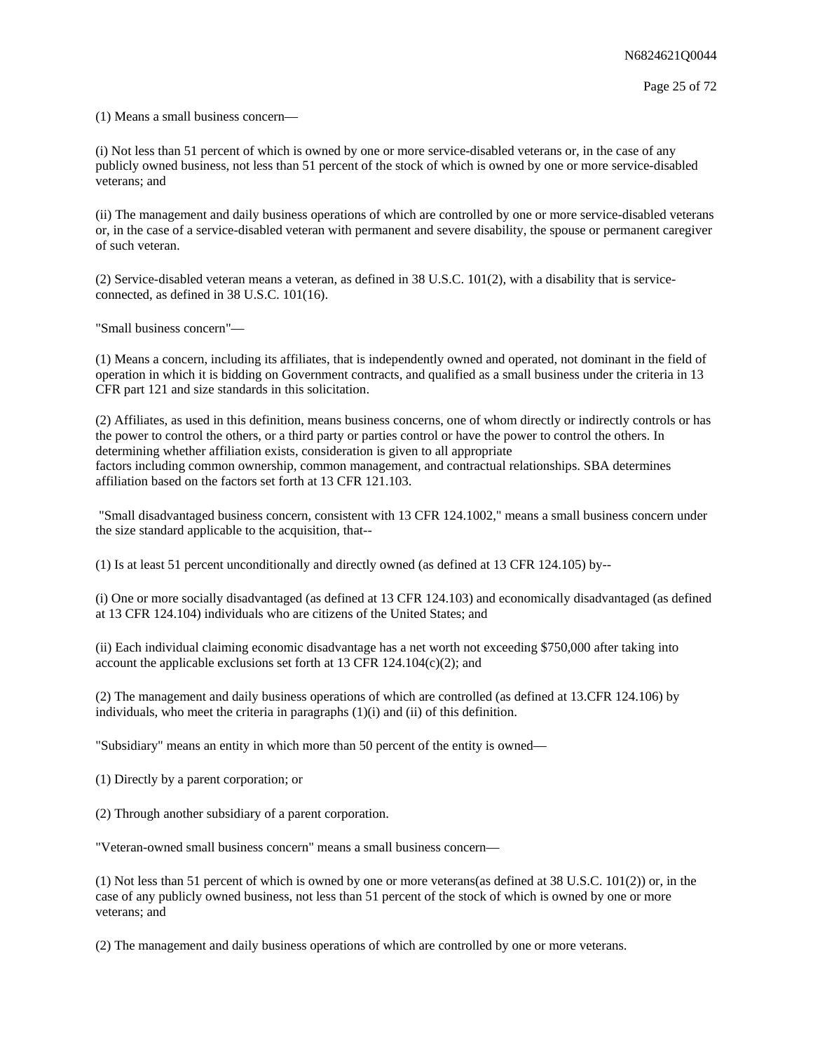(1) Means a small business concern—

(i) Not less than 51 percent of which is owned by one or more service-disabled veterans or, in the case of any publicly owned business, not less than 51 percent of the stock of which is owned by one or more service-disabled veterans; and

(ii) The management and daily business operations of which are controlled by one or more service-disabled veterans or, in the case of a service-disabled veteran with permanent and severe disability, the spouse or permanent caregiver of such veteran.

(2) Service-disabled veteran means a veteran, as defined in 38 U.S.C. 101(2), with a disability that is serviceconnected, as defined in 38 U.S.C. 101(16).

"Small business concern"—

(1) Means a concern, including its affiliates, that is independently owned and operated, not dominant in the field of operation in which it is bidding on Government contracts, and qualified as a small business under the criteria in 13 CFR part 121 and size standards in this solicitation.

(2) Affiliates, as used in this definition, means business concerns, one of whom directly or indirectly controls or has the power to control the others, or a third party or parties control or have the power to control the others. In determining whether affiliation exists, consideration is given to all appropriate factors including common ownership, common management, and contractual relationships. SBA determines affiliation based on the factors set forth at 13 CFR 121.103.

"Small disadvantaged business concern, consistent with 13 CFR 124.1002," means a small business concern under the size standard applicable to the acquisition, that--

(1) Is at least 51 percent unconditionally and directly owned (as defined at 13 CFR 124.105) by--

(i) One or more socially disadvantaged (as defined at 13 CFR 124.103) and economically disadvantaged (as defined at 13 CFR 124.104) individuals who are citizens of the United States; and

(ii) Each individual claiming economic disadvantage has a net worth not exceeding \$750,000 after taking into account the applicable exclusions set forth at 13 CFR  $124.104(c)(2)$ ; and

(2) The management and daily business operations of which are controlled (as defined at 13.CFR 124.106) by individuals, who meet the criteria in paragraphs (1)(i) and (ii) of this definition.

"Subsidiary" means an entity in which more than 50 percent of the entity is owned—

(1) Directly by a parent corporation; or

(2) Through another subsidiary of a parent corporation.

"Veteran-owned small business concern" means a small business concern—

(1) Not less than 51 percent of which is owned by one or more veterans(as defined at 38 U.S.C. 101(2)) or, in the case of any publicly owned business, not less than 51 percent of the stock of which is owned by one or more veterans; and

(2) The management and daily business operations of which are controlled by one or more veterans.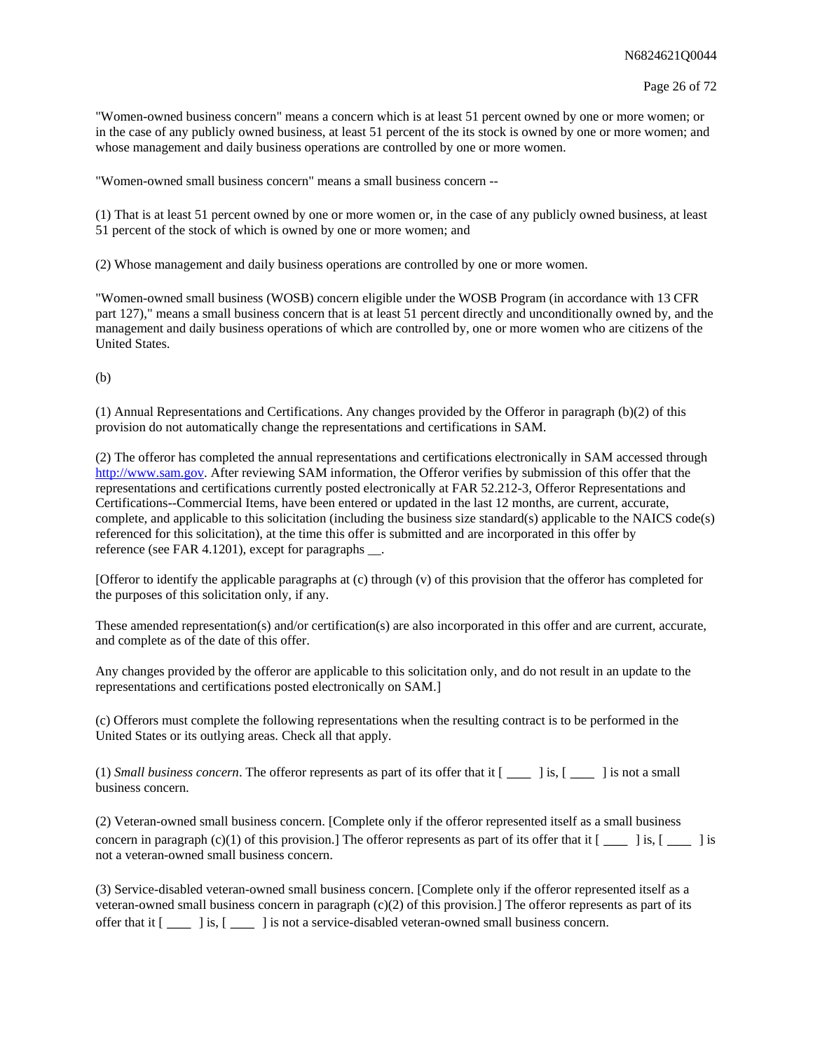"Women-owned business concern" means a concern which is at least 51 percent owned by one or more women; or in the case of any publicly owned business, at least 51 percent of the its stock is owned by one or more women; and whose management and daily business operations are controlled by one or more women.

"Women-owned small business concern" means a small business concern --

(1) That is at least 51 percent owned by one or more women or, in the case of any publicly owned business, at least 51 percent of the stock of which is owned by one or more women; and

(2) Whose management and daily business operations are controlled by one or more women.

"Women-owned small business (WOSB) concern eligible under the WOSB Program (in accordance with 13 CFR part 127)," means a small business concern that is at least 51 percent directly and unconditionally owned by, and the management and daily business operations of which are controlled by, one or more women who are citizens of the United States.

(b)

(1) Annual Representations and Certifications. Any changes provided by the Offeror in paragraph (b)(2) of this provision do not automatically change the representations and certifications in SAM.

(2) The offeror has completed the annual representations and certifications electronically in SAM accessed through [http://www.sam.gov.](http://www.sam.gov/) After reviewing SAM information, the Offeror verifies by submission of this offer that the representations and certifications currently posted electronically at FAR 52.212-3, Offeror Representations and Certifications--Commercial Items, have been entered or updated in the last 12 months, are current, accurate, complete, and applicable to this solicitation (including the business size standard(s) applicable to the NAICS code(s) referenced for this solicitation), at the time this offer is submitted and are incorporated in this offer by reference (see FAR 4.1201), except for paragraphs \_\_.

[Offeror to identify the applicable paragraphs at (c) through (v) of this provision that the offeror has completed for the purposes of this solicitation only, if any.

These amended representation(s) and/or certification(s) are also incorporated in this offer and are current, accurate, and complete as of the date of this offer.

Any changes provided by the offeror are applicable to this solicitation only, and do not result in an update to the representations and certifications posted electronically on SAM.]

(c) Offerors must complete the following representations when the resulting contract is to be performed in the United States or its outlying areas. Check all that apply.

(1) *Small business concern*. The offeror represents as part of its offer that it [ \_\_\_ ] is, [ \_\_\_ ] is not a small business concern.

(2) Veteran-owned small business concern. [Complete only if the offeror represented itself as a small business concern in paragraph (c)(1) of this provision.] The offeror represents as part of its offer that it  $[\_\_\_\_$  ] is,  $[\_\_\_$  ] is not a veteran-owned small business concern.

(3) Service-disabled veteran-owned small business concern. [Complete only if the offeror represented itself as a veteran-owned small business concern in paragraph (c)(2) of this provision.] The offeror represents as part of its offer that it [ \_\_\_ ] is, [ \_\_\_ ] is not a service-disabled veteran-owned small business concern.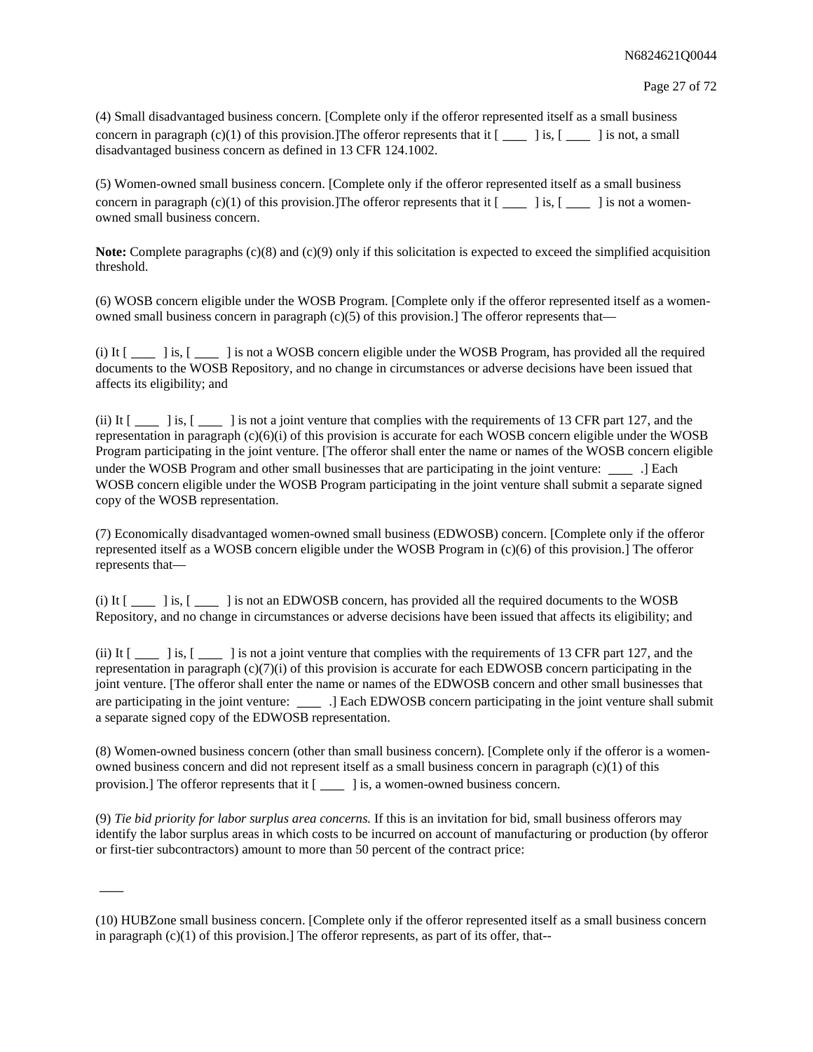(4) Small disadvantaged business concern. [Complete only if the offeror represented itself as a small business concern in paragraph (c)(1) of this provision.]The offeror represents that it  $\lceil \frac{1}{s} \rceil$  is,  $\lceil \frac{1}{s} \rceil$  is not, a small disadvantaged business concern as defined in 13 CFR 124.1002.

(5) Women-owned small business concern. [Complete only if the offeror represented itself as a small business concern in paragraph  $(c)(1)$  of this provision.] The offeror represents that it  $[\_\_\_\]$  is,  $[\_\_\_\]$  is not a womenowned small business concern.

**Note:** Complete paragraphs (c)(8) and (c)(9) only if this solicitation is expected to exceed the simplified acquisition threshold.

(6) WOSB concern eligible under the WOSB Program. [Complete only if the offeror represented itself as a womenowned small business concern in paragraph  $(c)(5)$  of this provision.] The offeror represents that—

(i) It [ \_\_\_ ] is, [ \_\_\_ ] is not a WOSB concern eligible under the WOSB Program, has provided all the required documents to the WOSB Repository, and no change in circumstances or adverse decisions have been issued that affects its eligibility; and

(ii) It  $[\underline{\hspace{1cm}}]$  is,  $[\underline{\hspace{1cm}}]$  is not a joint venture that complies with the requirements of 13 CFR part 127, and the representation in paragraph  $(c)(6)(i)$  of this provision is accurate for each WOSB concern eligible under the WOSB Program participating in the joint venture. [The offeror shall enter the name or names of the WOSB concern eligible under the WOSB Program and other small businesses that are participating in the joint venture: ... [ Each WOSB concern eligible under the WOSB Program participating in the joint venture shall submit a separate signed copy of the WOSB representation.

(7) Economically disadvantaged women-owned small business (EDWOSB) concern. [Complete only if the offeror represented itself as a WOSB concern eligible under the WOSB Program in (c)(6) of this provision.] The offeror represents that—

(i) It  $\lceil \cdot \cdot \rceil$  is,  $\lceil \cdot \cdot \rceil$  is not an EDWOSB concern, has provided all the required documents to the WOSB Repository, and no change in circumstances or adverse decisions have been issued that affects its eligibility; and

(ii) It  $[\_\_\_\_\]$  is,  $[\_\_\_\]$  is not a joint venture that complies with the requirements of 13 CFR part 127, and the representation in paragraph  $(c)(7)(i)$  of this provision is accurate for each EDWOSB concern participating in the joint venture. [The offeror shall enter the name or names of the EDWOSB concern and other small businesses that are participating in the joint venture: \_\_\_ .] Each EDWOSB concern participating in the joint venture shall submit a separate signed copy of the EDWOSB representation.

(8) Women-owned business concern (other than small business concern). [Complete only if the offeror is a womenowned business concern and did not represent itself as a small business concern in paragraph (c)(1) of this provision.] The offeror represents that it [ \_\_\_ ] is, a women-owned business concern.

(9) *Tie bid priority for labor surplus area concerns.* If this is an invitation for bid, small business offerors may identify the labor surplus areas in which costs to be incurred on account of manufacturing or production (by offeror or first-tier subcontractors) amount to more than 50 percent of the contract price:

 $\overline{\phantom{a}}$ 

<sup>(10)</sup> HUBZone small business concern. [Complete only if the offeror represented itself as a small business concern in paragraph  $(c)(1)$  of this provision.] The offeror represents, as part of its offer, that--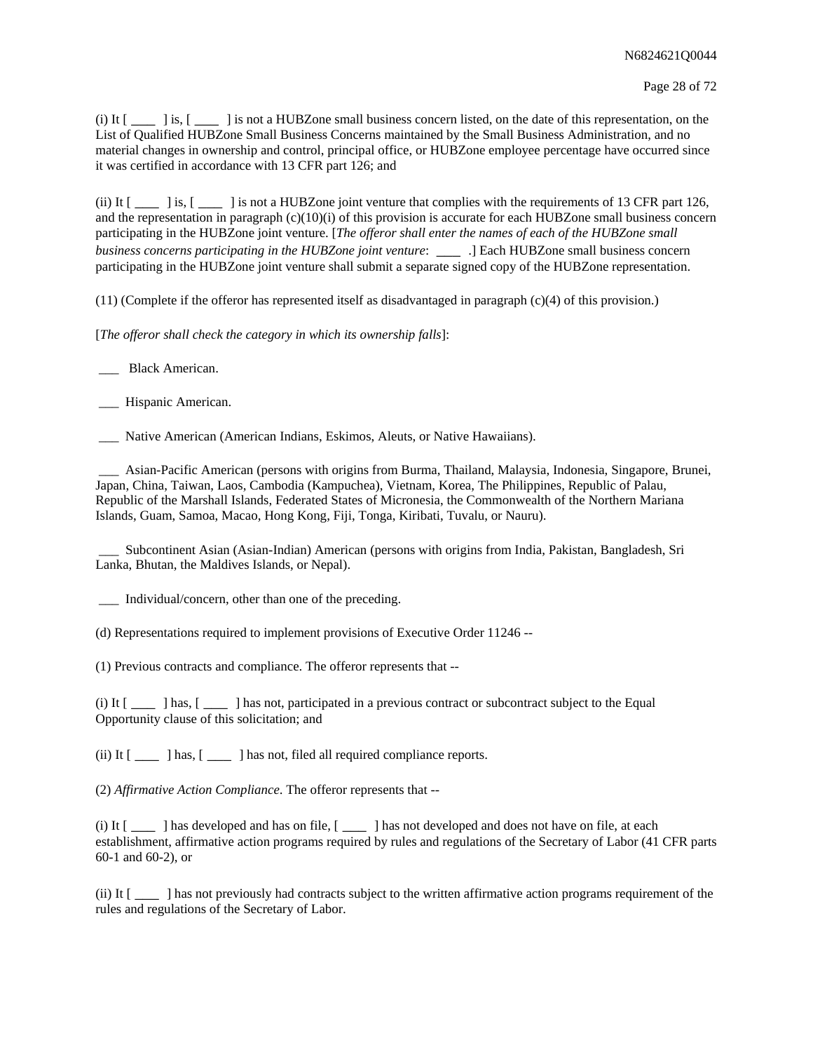(i) It [ \_\_\_ ] is, [ \_\_\_ ] is not a HUBZone small business concern listed, on the date of this representation, on the List of Qualified HUBZone Small Business Concerns maintained by the Small Business Administration, and no material changes in ownership and control, principal office, or HUBZone employee percentage have occurred since it was certified in accordance with 13 CFR part 126; and

(ii) It  $[\_\_\_\]$  is,  $[\_\_\_\]$  is not a HUBZ one joint venture that complies with the requirements of 13 CFR part 126, and the representation in paragraph  $(c)(10)(i)$  of this provision is accurate for each HUBZone small business concern participating in the HUBZone joint venture. [*The offeror shall enter the names of each of the HUBZone small business concerns participating in the HUBZone joint venture*: \_\_\_ .] Each HUBZone small business concern participating in the HUBZone joint venture shall submit a separate signed copy of the HUBZone representation.

(11) (Complete if the offeror has represented itself as disadvantaged in paragraph (c)(4) of this provision.)

[*The offeror shall check the category in which its ownership falls*]:

Black American.

\_\_\_ Hispanic American.

\_\_\_ Native American (American Indians, Eskimos, Aleuts, or Native Hawaiians).

\_\_\_ Asian-Pacific American (persons with origins from Burma, Thailand, Malaysia, Indonesia, Singapore, Brunei, Japan, China, Taiwan, Laos, Cambodia (Kampuchea), Vietnam, Korea, The Philippines, Republic of Palau, Republic of the Marshall Islands, Federated States of Micronesia, the Commonwealth of the Northern Mariana Islands, Guam, Samoa, Macao, Hong Kong, Fiji, Tonga, Kiribati, Tuvalu, or Nauru).

\_\_\_ Subcontinent Asian (Asian-Indian) American (persons with origins from India, Pakistan, Bangladesh, Sri Lanka, Bhutan, the Maldives Islands, or Nepal).

\_\_\_ Individual/concern, other than one of the preceding.

(d) Representations required to implement provisions of Executive Order 11246 --

(1) Previous contracts and compliance. The offeror represents that --

(i) It [ \_\_\_ ] has, [ \_\_\_ ] has not, participated in a previous contract or subcontract subject to the Equal Opportunity clause of this solicitation; and

(ii) It [ \_\_\_ ] has, [ \_\_\_ ] has not, filed all required compliance reports.

(2) *Affirmative Action Compliance*. The offeror represents that --

(i) It [ \_\_\_ ] has developed and has on file, [ \_\_\_ ] has not developed and does not have on file, at each establishment, affirmative action programs required by rules and regulations of the Secretary of Labor (41 CFR parts 60-1 and 60-2), or

(ii) It [ \_\_\_ ] has not previously had contracts subject to the written affirmative action programs requirement of the rules and regulations of the Secretary of Labor.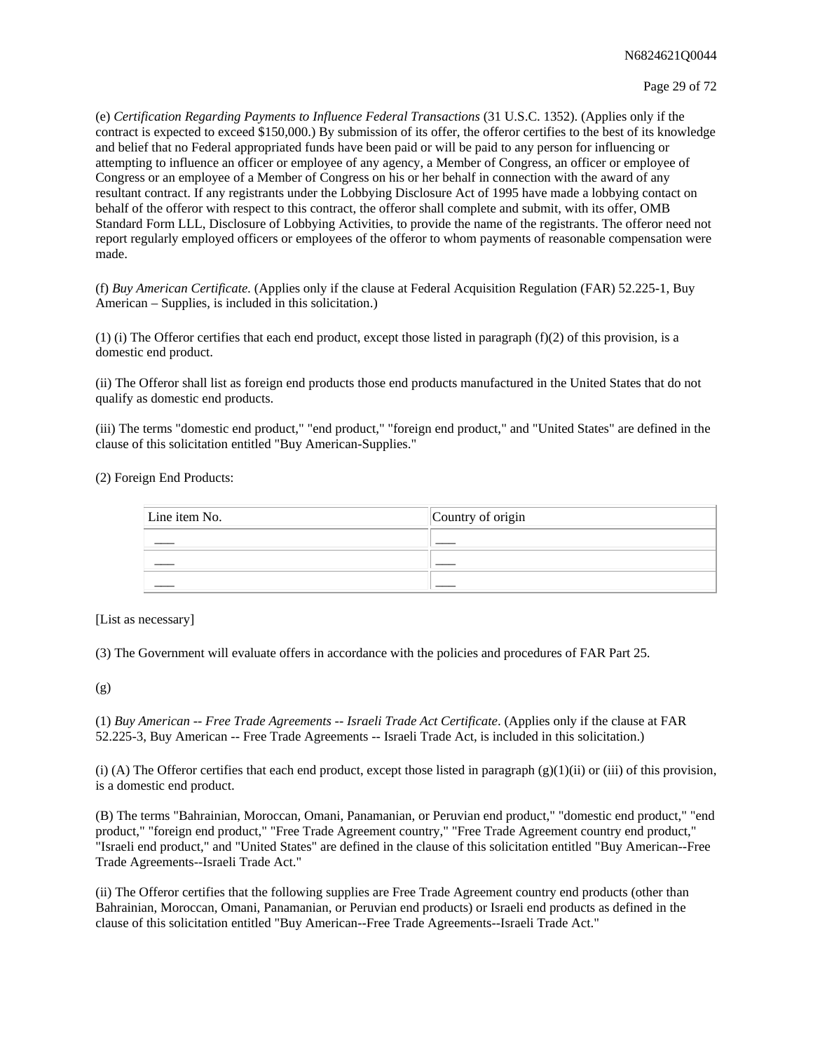(e) *Certification Regarding Payments to Influence Federal Transactions* (31 U.S.C. 1352). (Applies only if the contract is expected to exceed \$150,000.) By submission of its offer, the offeror certifies to the best of its knowledge and belief that no Federal appropriated funds have been paid or will be paid to any person for influencing or attempting to influence an officer or employee of any agency, a Member of Congress, an officer or employee of Congress or an employee of a Member of Congress on his or her behalf in connection with the award of any resultant contract. If any registrants under the Lobbying Disclosure Act of 1995 have made a lobbying contact on behalf of the offeror with respect to this contract, the offeror shall complete and submit, with its offer, OMB Standard Form LLL, Disclosure of Lobbying Activities, to provide the name of the registrants. The offeror need not report regularly employed officers or employees of the offeror to whom payments of reasonable compensation were made.

(f) *Buy American Certificate.* (Applies only if the clause at Federal Acquisition Regulation (FAR) 52.225-1, Buy American – Supplies, is included in this solicitation.)

 $(1)$  (i) The Offeror certifies that each end product, except those listed in paragraph (f)(2) of this provision, is a domestic end product.

(ii) The Offeror shall list as foreign end products those end products manufactured in the United States that do not qualify as domestic end products.

(iii) The terms "domestic end product," "end product," "foreign end product," and "United States" are defined in the clause of this solicitation entitled "Buy American-Supplies."

(2) Foreign End Products:

| Line item No. | Country of origin |
|---------------|-------------------|
|               |                   |
|               |                   |
|               |                   |

[List as necessary]

(3) The Government will evaluate offers in accordance with the policies and procedures of FAR Part 25.

(g)

(1) *Buy American -- Free Trade Agreements -- Israeli Trade Act Certificate*. (Applies only if the clause at FAR 52.225-3, Buy American -- Free Trade Agreements -- Israeli Trade Act, is included in this solicitation.)

(i) (A) The Offeror certifies that each end product, except those listed in paragraph  $(g)(1)(ii)$  or (iii) of this provision, is a domestic end product.

(B) The terms "Bahrainian, Moroccan, Omani, Panamanian, or Peruvian end product," "domestic end product," "end product," "foreign end product," "Free Trade Agreement country," "Free Trade Agreement country end product," "Israeli end product," and "United States" are defined in the clause of this solicitation entitled "Buy American--Free Trade Agreements--Israeli Trade Act."

(ii) The Offeror certifies that the following supplies are Free Trade Agreement country end products (other than Bahrainian, Moroccan, Omani, Panamanian, or Peruvian end products) or Israeli end products as defined in the clause of this solicitation entitled "Buy American--Free Trade Agreements--Israeli Trade Act."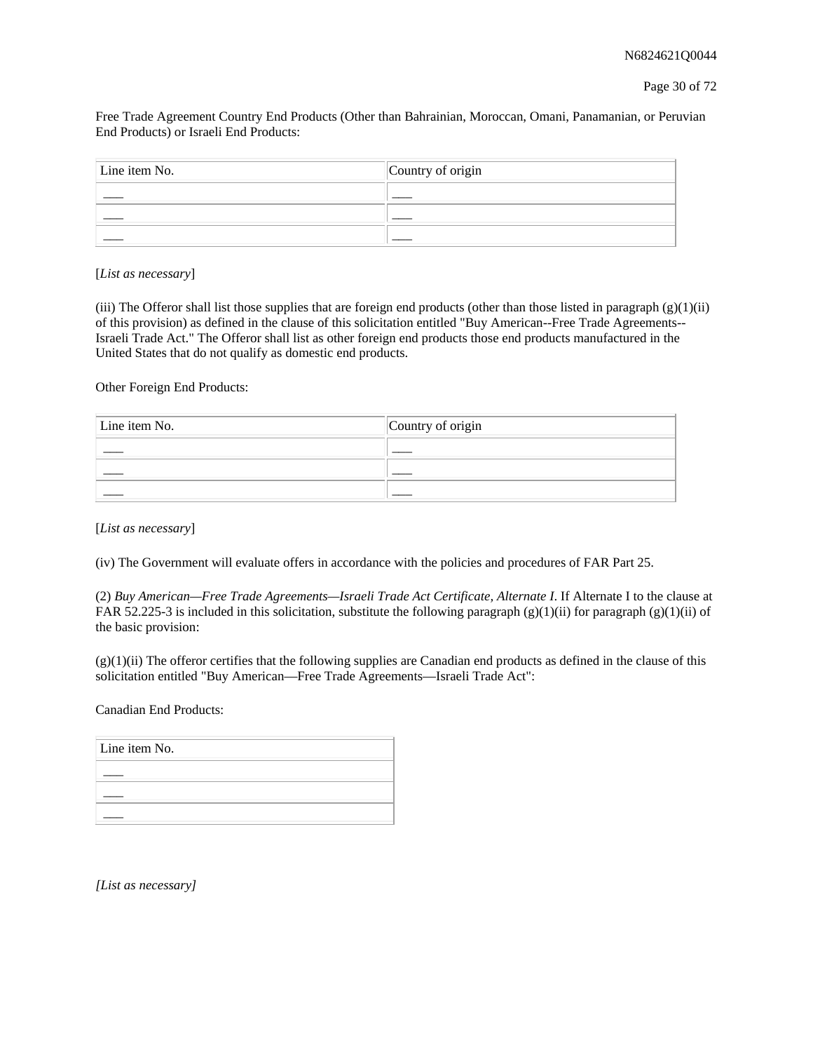Free Trade Agreement Country End Products (Other than Bahrainian, Moroccan, Omani, Panamanian, or Peruvian End Products) or Israeli End Products:

| Line item No. | Country of origin |
|---------------|-------------------|
|               |                   |
|               |                   |
|               |                   |

### [*List as necessary*]

(iii) The Offeror shall list those supplies that are foreign end products (other than those listed in paragraph  $(g)(1)(ii)$ ) of this provision) as defined in the clause of this solicitation entitled "Buy American--Free Trade Agreements-- Israeli Trade Act." The Offeror shall list as other foreign end products those end products manufactured in the United States that do not qualify as domestic end products.

Other Foreign End Products:

| Line item No. | Country of origin |
|---------------|-------------------|
|               |                   |
|               |                   |
|               |                   |

[*List as necessary*]

(iv) The Government will evaluate offers in accordance with the policies and procedures of FAR Part 25.

(2) *Buy American—Free Trade Agreements—Israeli Trade Act Certificate, Alternate I*. If Alternate I to the clause at FAR 52.225-3 is included in this solicitation, substitute the following paragraph (g)(1)(ii) for paragraph (g)(1)(ii) of the basic provision:

 $(g)(1)(ii)$  The offeror certifies that the following supplies are Canadian end products as defined in the clause of this solicitation entitled "Buy American—Free Trade Agreements—Israeli Trade Act":

Canadian End Products:

| Line item No. |  |  |
|---------------|--|--|
|               |  |  |
|               |  |  |
|               |  |  |

*[List as necessary]*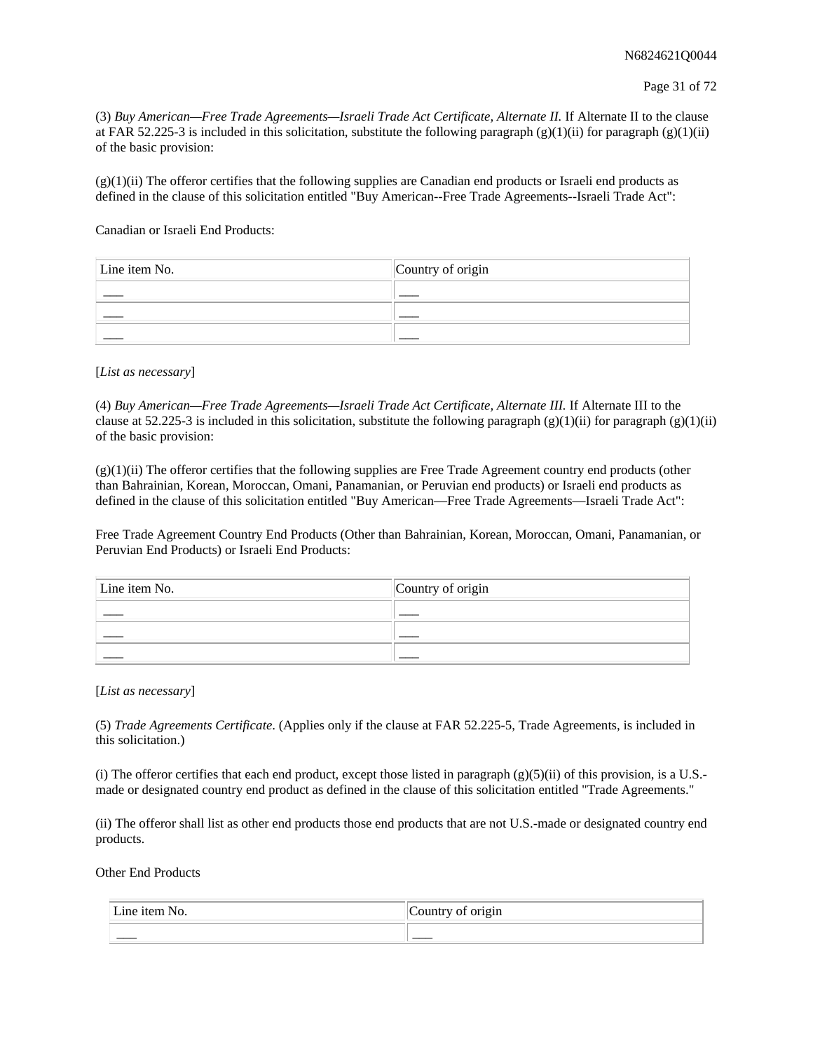(3) *Buy American—Free Trade Agreements—Israeli Trade Act Certificate, Alternate II.* If Alternate II to the clause at FAR 52.225-3 is included in this solicitation, substitute the following paragraph (g)(1)(ii) for paragraph (g)(1)(ii) of the basic provision:

 $(g)(1)(ii)$  The offeror certifies that the following supplies are Canadian end products or Israeli end products as defined in the clause of this solicitation entitled "Buy American--Free Trade Agreements--Israeli Trade Act":

Canadian or Israeli End Products:

| Line item No. | Country of origin |
|---------------|-------------------|
|               |                   |
|               |                   |
|               |                   |

[*List as necessary*]

(4) *Buy American—Free Trade Agreements—Israeli Trade Act Certificate, Alternate III.* If Alternate III to the clause at 52.225-3 is included in this solicitation, substitute the following paragraph (g)(1)(ii) for paragraph (g)(1)(ii) of the basic provision:

 $(g)(1)(ii)$  The offeror certifies that the following supplies are Free Trade Agreement country end products (other than Bahrainian, Korean, Moroccan, Omani, Panamanian, or Peruvian end products) or Israeli end products as defined in the clause of this solicitation entitled "Buy American—Free Trade Agreements—Israeli Trade Act":

Free Trade Agreement Country End Products (Other than Bahrainian, Korean, Moroccan, Omani, Panamanian, or Peruvian End Products) or Israeli End Products:

| Line item No. | Country of origin |
|---------------|-------------------|
|               |                   |
|               |                   |
|               |                   |

[*List as necessary*]

(5) *Trade Agreements Certificate*. (Applies only if the clause at FAR 52.225-5, Trade Agreements, is included in this solicitation.)

(i) The offeror certifies that each end product, except those listed in paragraph  $(g)(5)(ii)$  of this provision, is a U.S.made or designated country end product as defined in the clause of this solicitation entitled "Trade Agreements."

(ii) The offeror shall list as other end products those end products that are not U.S.-made or designated country end products.

Other End Products

| Line item No. | $\cdot$ $\cdot$<br>of origin<br>Country |
|---------------|-----------------------------------------|
|               |                                         |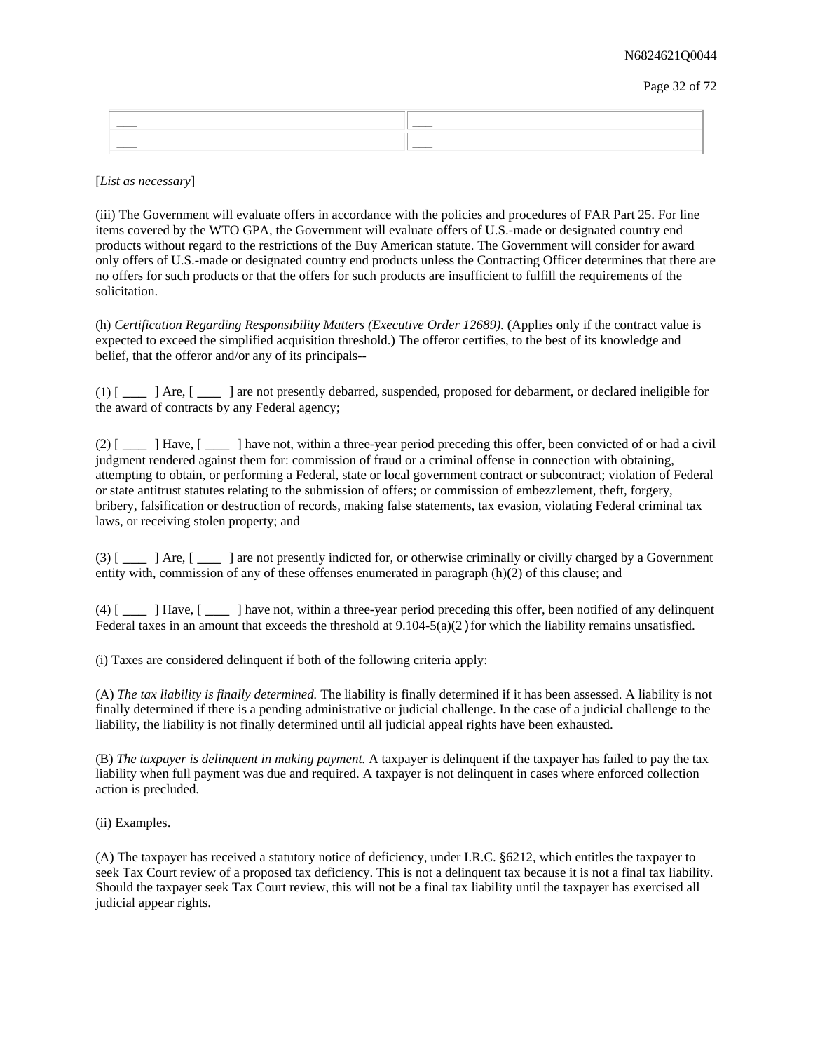### N6824621Q0044

Page 32 of 72

| ___ |
|-----|
|     |
|     |

[*List as necessary*]

(iii) The Government will evaluate offers in accordance with the policies and procedures of FAR Part 25. For line items covered by the WTO GPA, the Government will evaluate offers of U.S.-made or designated country end products without regard to the restrictions of the Buy American statute. The Government will consider for award only offers of U.S.-made or designated country end products unless the Contracting Officer determines that there are no offers for such products or that the offers for such products are insufficient to fulfill the requirements of the solicitation.

(h) *Certification Regarding Responsibility Matters (Executive Order 12689)*. (Applies only if the contract value is expected to exceed the simplified acquisition threshold.) The offeror certifies, to the best of its knowledge and belief, that the offeror and/or any of its principals--

(1) [ \_\_\_ ] Are, [ \_\_\_ ] are not presently debarred, suspended, proposed for debarment, or declared ineligible for the award of contracts by any Federal agency;

(2) [ \_\_\_ ] Have, [ \_\_\_ ] have not, within a three-year period preceding this offer, been convicted of or had a civil judgment rendered against them for: commission of fraud or a criminal offense in connection with obtaining, attempting to obtain, or performing a Federal, state or local government contract or subcontract; violation of Federal or state antitrust statutes relating to the submission of offers; or commission of embezzlement, theft, forgery, bribery, falsification or destruction of records, making false statements, tax evasion, violating Federal criminal tax laws, or receiving stolen property; and

 $(3)$  [  $\blacksquare$  ] Are, [  $\blacksquare$  ] are not presently indicted for, or otherwise criminally or civilly charged by a Government entity with, commission of any of these offenses enumerated in paragraph (h)(2) of this clause; and

(4) [ \_\_\_ ] Have, [ \_\_\_ ] have not, within a three-year period preceding this offer, been notified of any delinquent Federal taxes in an amount that exceeds the threshold at  $9.104-5(a)(2)$  for which the liability remains unsatisfied.

(i) Taxes are considered delinquent if both of the following criteria apply:

(A) *The tax liability is finally determined.* The liability is finally determined if it has been assessed. A liability is not finally determined if there is a pending administrative or judicial challenge. In the case of a judicial challenge to the liability, the liability is not finally determined until all judicial appeal rights have been exhausted.

(B) *The taxpayer is delinquent in making payment.* A taxpayer is delinquent if the taxpayer has failed to pay the tax liability when full payment was due and required. A taxpayer is not delinquent in cases where enforced collection action is precluded.

(ii) Examples.

(A) The taxpayer has received a statutory notice of deficiency, under I.R.C. §6212, which entitles the taxpayer to seek Tax Court review of a proposed tax deficiency. This is not a delinquent tax because it is not a final tax liability. Should the taxpayer seek Tax Court review, this will not be a final tax liability until the taxpayer has exercised all judicial appear rights.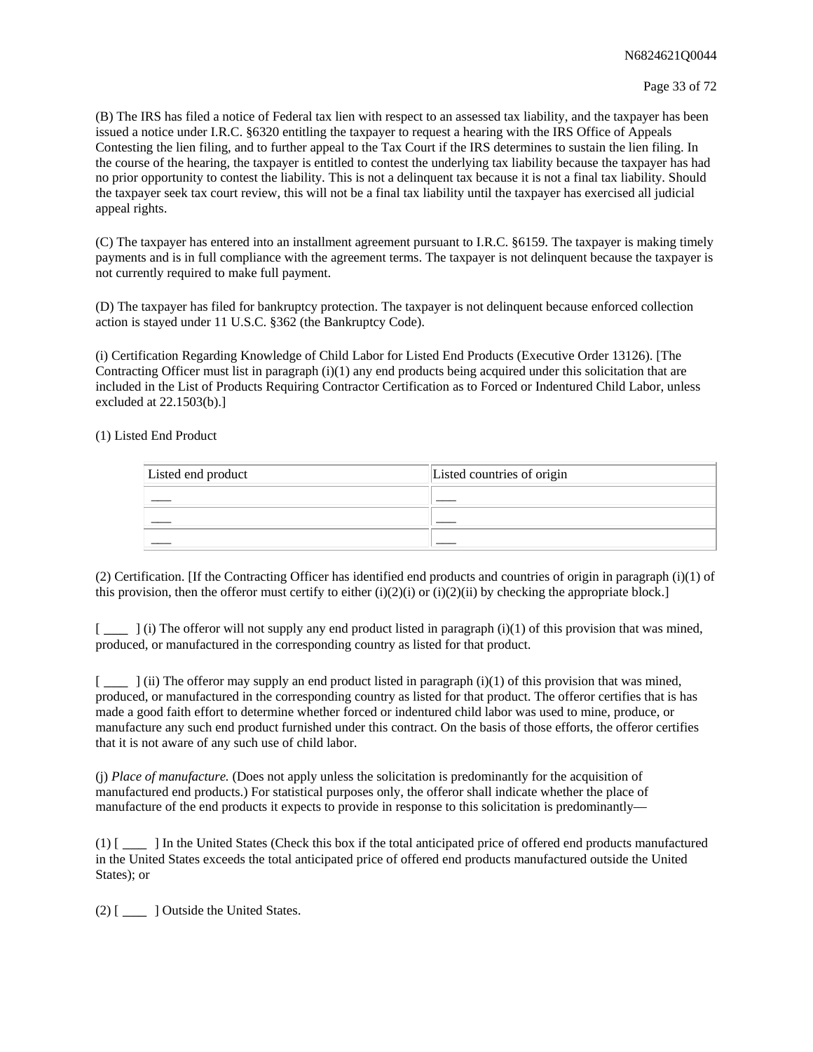(B) The IRS has filed a notice of Federal tax lien with respect to an assessed tax liability, and the taxpayer has been issued a notice under I.R.C. §6320 entitling the taxpayer to request a hearing with the IRS Office of Appeals Contesting the lien filing, and to further appeal to the Tax Court if the IRS determines to sustain the lien filing. In the course of the hearing, the taxpayer is entitled to contest the underlying tax liability because the taxpayer has had no prior opportunity to contest the liability. This is not a delinquent tax because it is not a final tax liability. Should the taxpayer seek tax court review, this will not be a final tax liability until the taxpayer has exercised all judicial appeal rights.

(C) The taxpayer has entered into an installment agreement pursuant to I.R.C. §6159. The taxpayer is making timely payments and is in full compliance with the agreement terms. The taxpayer is not delinquent because the taxpayer is not currently required to make full payment.

(D) The taxpayer has filed for bankruptcy protection. The taxpayer is not delinquent because enforced collection action is stayed under 11 U.S.C. §362 (the Bankruptcy Code).

(i) Certification Regarding Knowledge of Child Labor for Listed End Products (Executive Order 13126). [The Contracting Officer must list in paragraph (i)(1) any end products being acquired under this solicitation that are included in the List of Products Requiring Contractor Certification as to Forced or Indentured Child Labor, unless excluded at 22.1503(b).]

### (1) Listed End Product

| Listed end product | Listed countries of origin |
|--------------------|----------------------------|
|                    |                            |
|                    |                            |
|                    |                            |

(2) Certification. [If the Contracting Officer has identified end products and countries of origin in paragraph (i)(1) of this provision, then the offeror must certify to either (i)(2)(i) or (i)(2)(ii) by checking the appropriate block.]

 $\lceil$  \_\_\_  $\rceil$  (i) The offeror will not supply any end product listed in paragraph (i)(1) of this provision that was mined, produced, or manufactured in the corresponding country as listed for that product.

 $\lceil$  [ii) The offeror may supply an end product listed in paragraph (i)(1) of this provision that was mined, produced, or manufactured in the corresponding country as listed for that product. The offeror certifies that is has made a good faith effort to determine whether forced or indentured child labor was used to mine, produce, or manufacture any such end product furnished under this contract. On the basis of those efforts, the offeror certifies that it is not aware of any such use of child labor.

(j) *Place of manufacture.* (Does not apply unless the solicitation is predominantly for the acquisition of manufactured end products.) For statistical purposes only, the offeror shall indicate whether the place of manufacture of the end products it expects to provide in response to this solicitation is predominantly—

(1) [ \_\_\_ ] In the United States (Check this box if the total anticipated price of offered end products manufactured in the United States exceeds the total anticipated price of offered end products manufactured outside the United States); or

(2) [ \_\_\_ ] Outside the United States.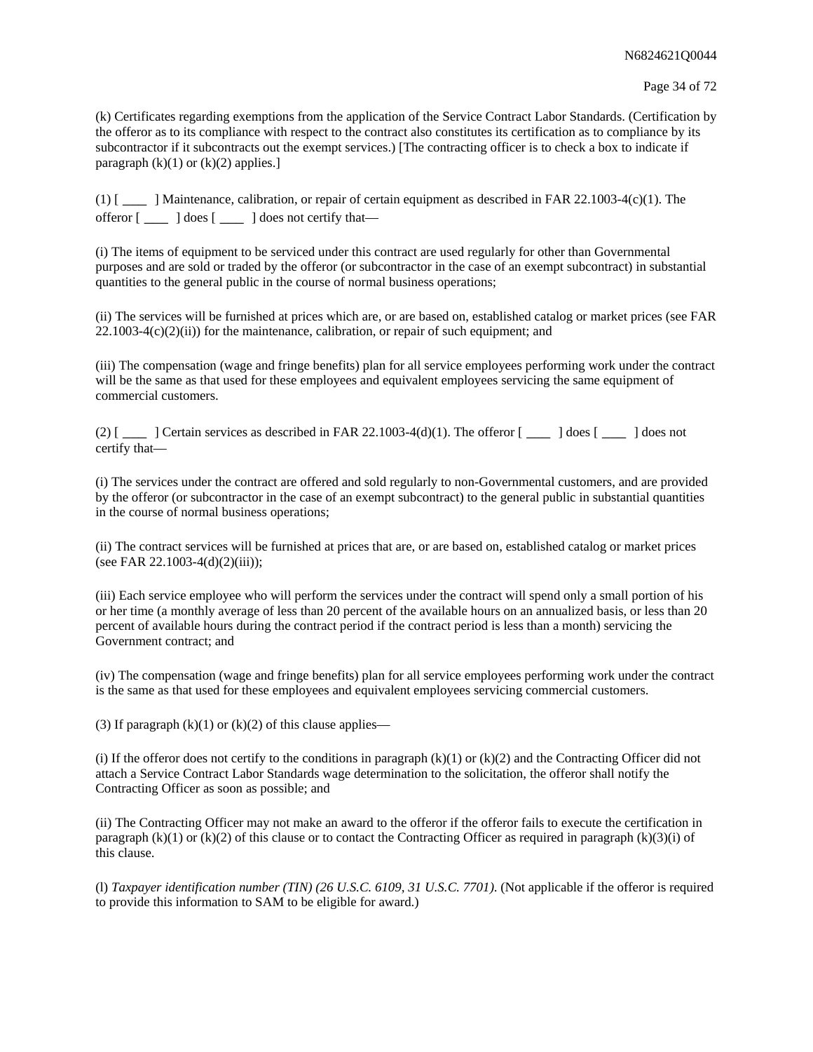(k) Certificates regarding exemptions from the application of the Service Contract Labor Standards. (Certification by the offeror as to its compliance with respect to the contract also constitutes its certification as to compliance by its subcontractor if it subcontracts out the exempt services.) [The contracting officer is to check a box to indicate if paragraph  $(k)(1)$  or  $(k)(2)$  applies.]

(1) [ \_\_\_ ] Maintenance, calibration, or repair of certain equipment as described in FAR 22.1003-4(c)(1). The offeror [ \_\_\_ ] does [ \_\_\_ ] does not certify that—

(i) The items of equipment to be serviced under this contract are used regularly for other than Governmental purposes and are sold or traded by the offeror (or subcontractor in the case of an exempt subcontract) in substantial quantities to the general public in the course of normal business operations;

(ii) The services will be furnished at prices which are, or are based on, established catalog or market prices (see FAR  $22.1003-4(c)(2)(ii)$  for the maintenance, calibration, or repair of such equipment; and

(iii) The compensation (wage and fringe benefits) plan for all service employees performing work under the contract will be the same as that used for these employees and equivalent employees servicing the same equipment of commercial customers.

(2)  $\lceil$  \_\_\_ ] Certain services as described in FAR 22.1003-4(d)(1). The offeror  $\lceil$  \_\_\_ ] does  $\lceil$  \_\_\_ ] does not certify that—

(i) The services under the contract are offered and sold regularly to non-Governmental customers, and are provided by the offeror (or subcontractor in the case of an exempt subcontract) to the general public in substantial quantities in the course of normal business operations;

(ii) The contract services will be furnished at prices that are, or are based on, established catalog or market prices (see FAR 22.1003-4(d)(2)(iii));

(iii) Each service employee who will perform the services under the contract will spend only a small portion of his or her time (a monthly average of less than 20 percent of the available hours on an annualized basis, or less than 20 percent of available hours during the contract period if the contract period is less than a month) servicing the Government contract; and

(iv) The compensation (wage and fringe benefits) plan for all service employees performing work under the contract is the same as that used for these employees and equivalent employees servicing commercial customers.

(3) If paragraph  $(k)(1)$  or  $(k)(2)$  of this clause applies—

(i) If the offeror does not certify to the conditions in paragraph  $(k)(1)$  or  $(k)(2)$  and the Contracting Officer did not attach a Service Contract Labor Standards wage determination to the solicitation, the offeror shall notify the Contracting Officer as soon as possible; and

(ii) The Contracting Officer may not make an award to the offeror if the offeror fails to execute the certification in paragraph (k)(1) or (k)(2) of this clause or to contact the Contracting Officer as required in paragraph (k)(3)(i) of this clause.

(l) *Taxpayer identification number (TIN) (26 U.S.C. 6109, 31 U.S.C. 7701)*. (Not applicable if the offeror is required to provide this information to SAM to be eligible for award.)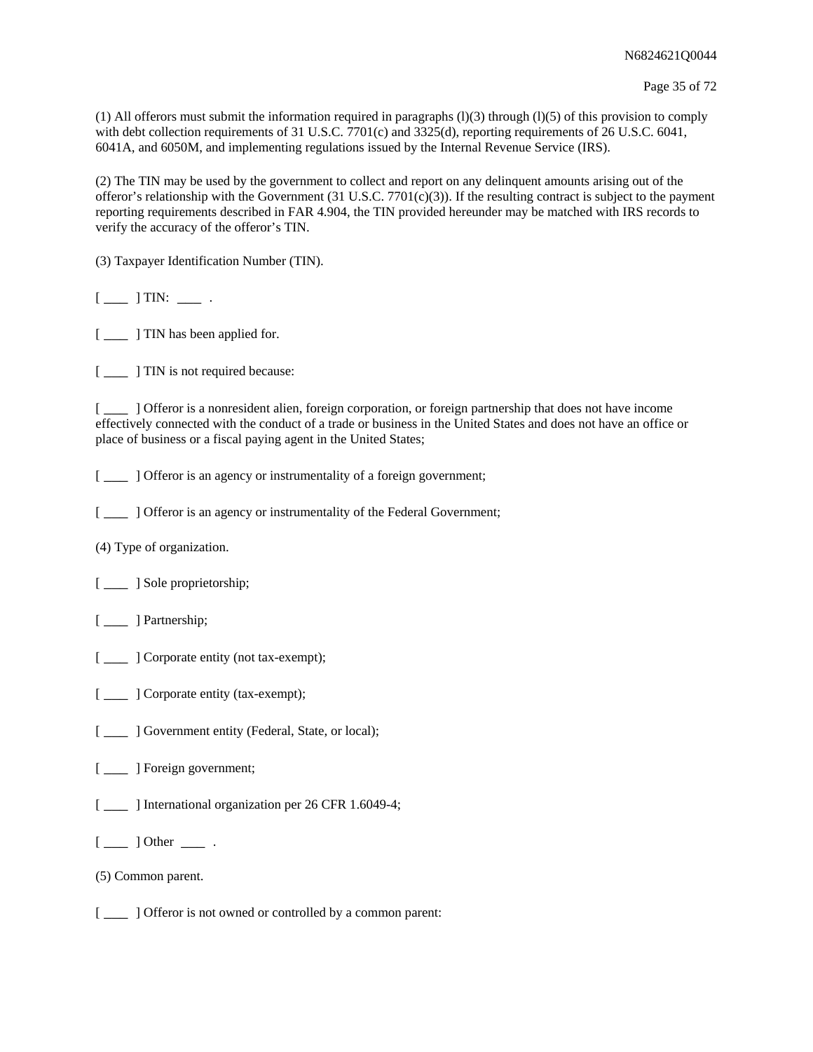(1) All offerors must submit the information required in paragraphs (l)(3) through (l)(5) of this provision to comply with debt collection requirements of 31 U.S.C. 7701(c) and 3325(d), reporting requirements of 26 U.S.C. 6041, 6041A, and 6050M, and implementing regulations issued by the Internal Revenue Service (IRS).

(2) The TIN may be used by the government to collect and report on any delinquent amounts arising out of the offeror's relationship with the Government (31 U.S.C. 7701(c)(3)). If the resulting contract is subject to the payment reporting requirements described in FAR 4.904, the TIN provided hereunder may be matched with IRS records to verify the accuracy of the offeror's TIN.

(3) Taxpayer Identification Number (TIN).

 $[$  \_\_ ] TIN: \_\_ .

[ $\Box$ ] TIN has been applied for.

[  $\Box$  ] TIN is not required because:

[  $\Box$  ] Offeror is a nonresident alien, foreign corporation, or foreign partnership that does not have income effectively connected with the conduct of a trade or business in the United States and does not have an office or place of business or a fiscal paying agent in the United States;

[  $\Box$  ] Offeror is an agency or instrumentality of a foreign government;

[ $\Box$ ] Offeror is an agency or instrumentality of the Federal Government;

- (4) Type of organization.
- [ $\_\_$  ] Sole proprietorship;
- [ \_\_\_ ] Partnership;
- [ \_\_\_ ] Corporate entity (not tax-exempt);
- [ \_\_\_ ] Corporate entity (tax-exempt);
- [ \_\_\_ ] Government entity (Federal, State, or local);
- [ $\_\_$ ] Foreign government;
- [ \_\_\_ ] International organization per 26 CFR 1.6049-4;
- $\begin{bmatrix} \phantom{i} \end{bmatrix}$  Other .

(5) Common parent.

[ $\Box$  ] Offeror is not owned or controlled by a common parent: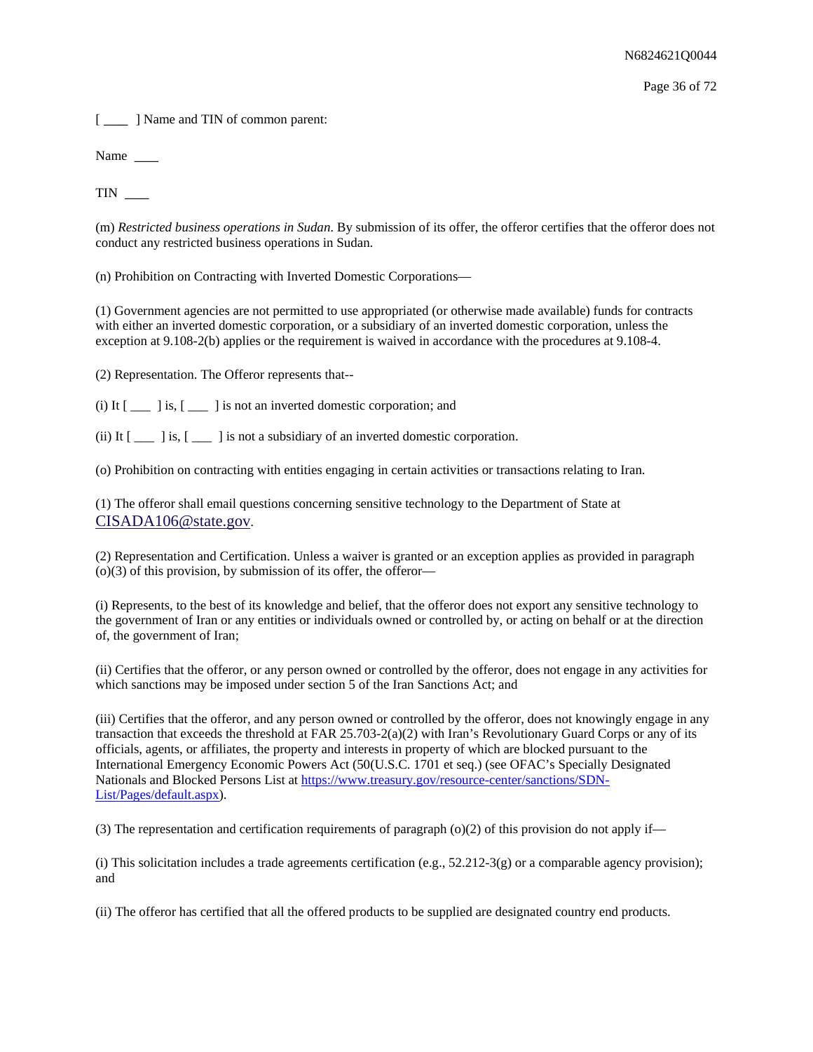Page 36 of 72

[  $\blacksquare$  ] Name and TIN of common parent:

Name \_\_\_

TIN \_\_\_

(m) *Restricted business operations in Sudan*. By submission of its offer, the offeror certifies that the offeror does not conduct any restricted business operations in Sudan.

(n) Prohibition on Contracting with Inverted Domestic Corporations—

(1) Government agencies are not permitted to use appropriated (or otherwise made available) funds for contracts with either an inverted domestic corporation, or a subsidiary of an inverted domestic corporation, unless the exception at 9.108-2(b) applies or the requirement is waived in accordance with the procedures at 9.108-4.

(2) Representation. The Offeror represents that--

(i) It  $\left[\begin{array}{c} 0 \end{array}\right]$  is,  $\left[\begin{array}{c} 0 \end{array}\right]$  is not an inverted domestic corporation; and

(ii) It [ \_\_\_ ] is, [ \_\_\_ ] is not a subsidiary of an inverted domestic corporation.

(o) Prohibition on contracting with entities engaging in certain activities or transactions relating to Iran.

(1) The offeror shall email questions concerning sensitive technology to the Department of State at [CISADA106@state.gov.](mailto:CISADA106@state.gov)

(2) Representation and Certification. Unless a waiver is granted or an exception applies as provided in paragraph  $(0)(3)$  of this provision, by submission of its offer, the offeror—

(i) Represents, to the best of its knowledge and belief, that the offeror does not export any sensitive technology to the government of Iran or any entities or individuals owned or controlled by, or acting on behalf or at the direction of, the government of Iran;

(ii) Certifies that the offeror, or any person owned or controlled by the offeror, does not engage in any activities for which sanctions may be imposed under section 5 of the Iran Sanctions Act; and

(iii) Certifies that the offeror, and any person owned or controlled by the offeror, does not knowingly engage in any transaction that exceeds the threshold at FAR 25.703-2(a)(2) with Iran's Revolutionary Guard Corps or any of its officials, agents, or affiliates, the property and interests in property of which are blocked pursuant to the International Emergency Economic Powers Act (50(U.S.C. 1701 et seq.) (see OFAC's Specially Designated Nationals and Blocked Persons List at [https://www.treasury.gov/resource-center/sanctions/SDN-](https://www.treasury.gov/resource-center/sanctions/SDN-List/Pages/default.aspx)[List/Pages/default.aspx\)](https://www.treasury.gov/resource-center/sanctions/SDN-List/Pages/default.aspx).

(3) The representation and certification requirements of paragraph ( $o(2)$ ) of this provision do not apply if—

(i) This solicitation includes a trade agreements certification (e.g.,  $52.212-3(g)$  or a comparable agency provision); and

(ii) The offeror has certified that all the offered products to be supplied are designated country end products.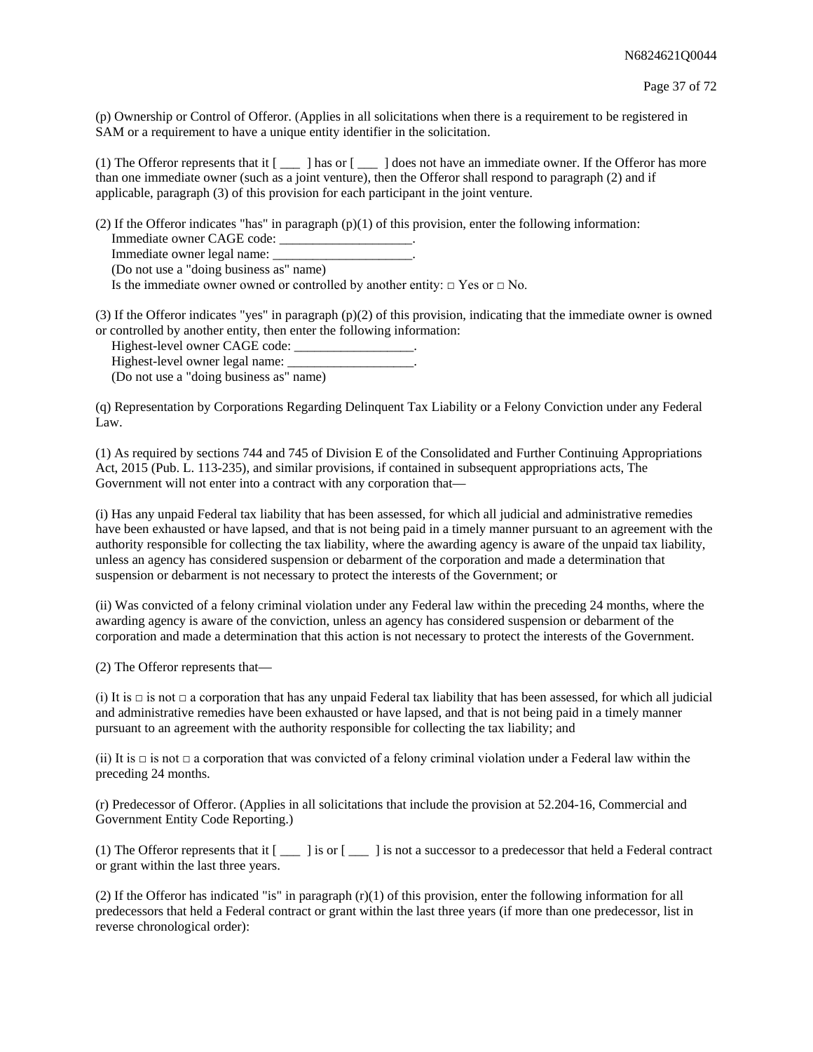(p) Ownership or Control of Offeror. (Applies in all solicitations when there is a requirement to be registered in SAM or a requirement to have a unique entity identifier in the solicitation.

(1) The Offeror represents that it [ \_\_\_ ] has or [ \_\_\_ ] does not have an immediate owner. If the Offeror has more than one immediate owner (such as a joint venture), then the Offeror shall respond to paragraph (2) and if applicable, paragraph (3) of this provision for each participant in the joint venture.

(2) If the Offeror indicates "has" in paragraph  $(p)(1)$  of this provision, enter the following information:

Immediate owner CAGE code:

Immediate owner legal name: \_\_\_\_\_\_\_\_\_\_\_\_\_\_\_\_\_\_\_\_\_.

(Do not use a "doing business as" name)

Is the immediate owner owned or controlled by another entity:  $\Box$  Yes or  $\Box$  No.

(3) If the Offeror indicates "yes" in paragraph  $(p)(2)$  of this provision, indicating that the immediate owner is owned or controlled by another entity, then enter the following information:

Highest-level owner CAGE code: \_\_\_\_\_\_\_

Highest-level owner legal name:

(Do not use a "doing business as" name)

(q) Representation by Corporations Regarding Delinquent Tax Liability or a Felony Conviction under any Federal Law.

(1) As required by sections 744 and 745 of Division E of the Consolidated and Further Continuing Appropriations Act, 2015 (Pub. L. 113-235), and similar provisions, if contained in subsequent appropriations acts, The Government will not enter into a contract with any corporation that—

(i) Has any unpaid Federal tax liability that has been assessed, for which all judicial and administrative remedies have been exhausted or have lapsed, and that is not being paid in a timely manner pursuant to an agreement with the authority responsible for collecting the tax liability, where the awarding agency is aware of the unpaid tax liability, unless an agency has considered suspension or debarment of the corporation and made a determination that suspension or debarment is not necessary to protect the interests of the Government; or

(ii) Was convicted of a felony criminal violation under any Federal law within the preceding 24 months, where the awarding agency is aware of the conviction, unless an agency has considered suspension or debarment of the corporation and made a determination that this action is not necessary to protect the interests of the Government.

(2) The Offeror represents that—

(i) It is  $\Box$  is not  $\Box$  a corporation that has any unpaid Federal tax liability that has been assessed, for which all judicial and administrative remedies have been exhausted or have lapsed, and that is not being paid in a timely manner pursuant to an agreement with the authority responsible for collecting the tax liability; and

(ii) It is  $\Box$  is not  $\Box$  a corporation that was convicted of a felony criminal violation under a Federal law within the preceding 24 months.

(r) Predecessor of Offeror. (Applies in all solicitations that include the provision at 52.204-16, Commercial and Government Entity Code Reporting.)

(1) The Offeror represents that it [ \_\_\_ ] is or [ \_\_\_ ] is not a successor to a predecessor that held a Federal contract or grant within the last three years.

(2) If the Offeror has indicated "is" in paragraph (r)(1) of this provision, enter the following information for all predecessors that held a Federal contract or grant within the last three years (if more than one predecessor, list in reverse chronological order):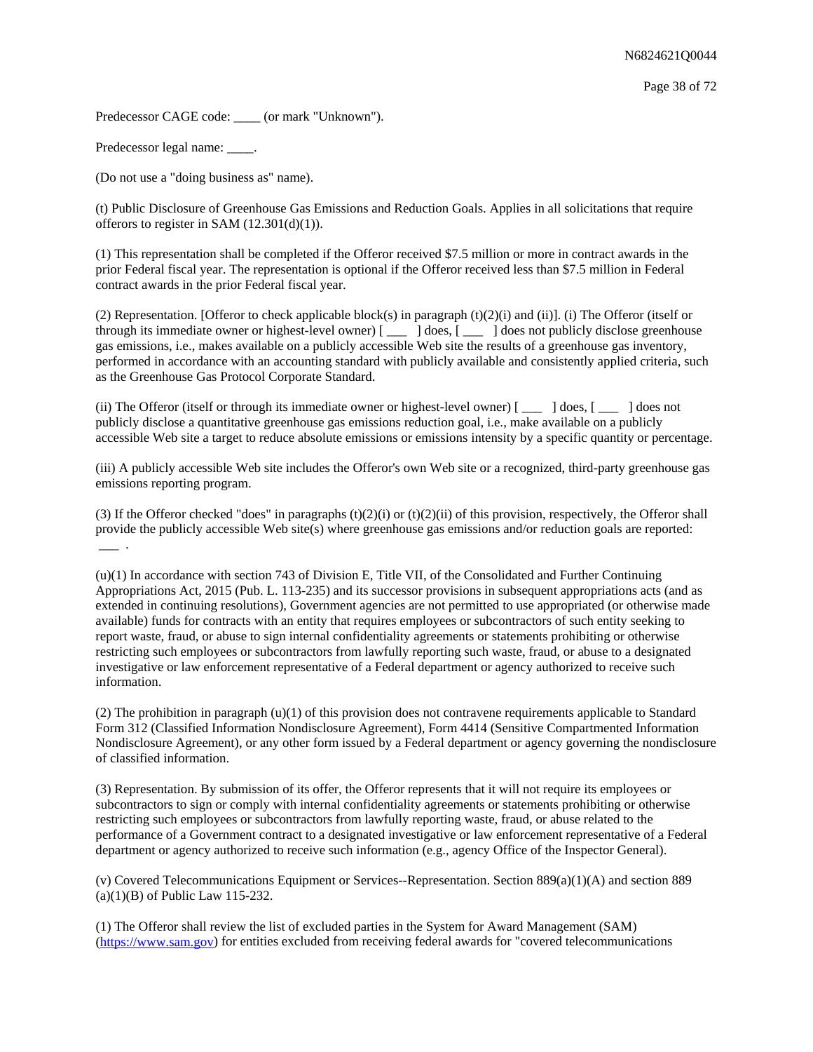Predecessor CAGE code: \_\_\_\_ (or mark "Unknown").

Predecessor legal name: \_\_\_\_\_.

(Do not use a "doing business as" name).

(t) Public Disclosure of Greenhouse Gas Emissions and Reduction Goals. Applies in all solicitations that require offerors to register in SAM  $(12.301(d)(1))$ .

(1) This representation shall be completed if the Offeror received \$7.5 million or more in contract awards in the prior Federal fiscal year. The representation is optional if the Offeror received less than \$7.5 million in Federal contract awards in the prior Federal fiscal year.

(2) Representation. [Offeror to check applicable block(s) in paragraph  $(t)(2)(i)$  and  $(ii)$ ]. (i) The Offeror (itself or through its immediate owner or highest-level owner) [ \_\_\_ ] does, [ \_\_\_ ] does not publicly disclose greenhouse gas emissions, i.e., makes available on a publicly accessible Web site the results of a greenhouse gas inventory, performed in accordance with an accounting standard with publicly available and consistently applied criteria, such as the Greenhouse Gas Protocol Corporate Standard.

(ii) The Offeror (itself or through its immediate owner or highest-level owner) [ \_\_\_ ] does, [ \_\_\_ ] does not publicly disclose a quantitative greenhouse gas emissions reduction goal, i.e., make available on a publicly accessible Web site a target to reduce absolute emissions or emissions intensity by a specific quantity or percentage.

(iii) A publicly accessible Web site includes the Offeror's own Web site or a recognized, third-party greenhouse gas emissions reporting program.

(3) If the Offeror checked "does" in paragraphs  $(t)(2)(i)$  or  $(t)(2)(ii)$  of this provision, respectively, the Offeror shall provide the publicly accessible Web site(s) where greenhouse gas emissions and/or reduction goals are reported:  $\overline{\phantom{a}}$  .

(u)(1) In accordance with section 743 of Division E, Title VII, of the Consolidated and Further Continuing Appropriations Act, 2015 (Pub. L. 113-235) and its successor provisions in subsequent appropriations acts (and as extended in continuing resolutions), Government agencies are not permitted to use appropriated (or otherwise made available) funds for contracts with an entity that requires employees or subcontractors of such entity seeking to report waste, fraud, or abuse to sign internal confidentiality agreements or statements prohibiting or otherwise restricting such employees or subcontractors from lawfully reporting such waste, fraud, or abuse to a designated investigative or law enforcement representative of a Federal department or agency authorized to receive such information.

(2) The prohibition in paragraph  $(u)(1)$  of this provision does not contravene requirements applicable to Standard Form 312 (Classified Information Nondisclosure Agreement), Form 4414 (Sensitive Compartmented Information Nondisclosure Agreement), or any other form issued by a Federal department or agency governing the nondisclosure of classified information.

(3) Representation. By submission of its offer, the Offeror represents that it will not require its employees or subcontractors to sign or comply with internal confidentiality agreements or statements prohibiting or otherwise restricting such employees or subcontractors from lawfully reporting waste, fraud, or abuse related to the performance of a Government contract to a designated investigative or law enforcement representative of a Federal department or agency authorized to receive such information (e.g., agency Office of the Inspector General).

(v) Covered Telecommunications Equipment or Services--Representation. Section 889(a)(1)(A) and section 889 (a)(1)(B) of Public Law 115-232.

(1) The Offeror shall review the list of excluded parties in the System for Award Management (SAM) [\(https://www.sam.gov\)](https://www.sam.gov/) for entities excluded from receiving federal awards for "covered telecommunications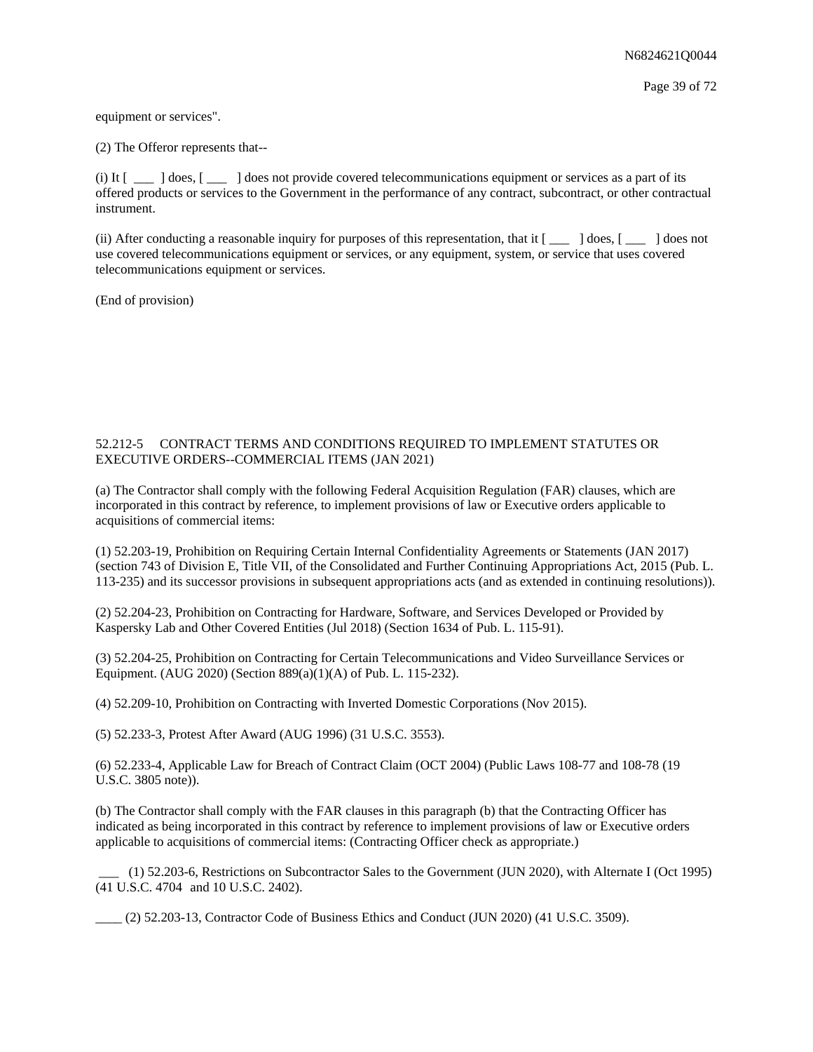Page 39 of 72

equipment or services".

(2) The Offeror represents that--

(i) It [ \_\_\_ ] does, [ \_\_\_ ] does not provide covered telecommunications equipment or services as a part of its offered products or services to the Government in the performance of any contract, subcontract, or other contractual instrument.

(ii) After conducting a reasonable inquiry for purposes of this representation, that it  $\begin{bmatrix} -1 \end{bmatrix}$  does,  $\begin{bmatrix} -1 \end{bmatrix}$  does not use covered telecommunications equipment or services, or any equipment, system, or service that uses covered telecommunications equipment or services.

(End of provision)

## 52.212-5 CONTRACT TERMS AND CONDITIONS REQUIRED TO IMPLEMENT STATUTES OR EXECUTIVE ORDERS--COMMERCIAL ITEMS (JAN 2021)

(a) The Contractor shall comply with the following Federal Acquisition Regulation (FAR) clauses, which are incorporated in this contract by reference, to implement provisions of law or Executive orders applicable to acquisitions of commercial items:

(1) 52.203-19, Prohibition on Requiring Certain Internal Confidentiality Agreements or Statements (JAN 2017) (section 743 of Division E, Title VII, of the Consolidated and Further Continuing Appropriations Act, 2015 (Pub. L. 113-235) and its successor provisions in subsequent appropriations acts (and as extended in continuing resolutions)).

(2) 52.204-23, Prohibition on Contracting for Hardware, Software, and Services Developed or Provided by Kaspersky Lab and Other Covered Entities (Jul 2018) (Section 1634 of Pub. L. 115-91).

(3) 52.204-25, Prohibition on Contracting for Certain Telecommunications and Video Surveillance Services or Equipment. (AUG 2020) (Section 889(a)(1)(A) of Pub. L. 115-232).

(4) 52.209-10, Prohibition on Contracting with Inverted Domestic Corporations (Nov 2015).

(5) 52.233-3, Protest After Award (AUG 1996) (31 U.S.C. 3553).

(6) 52.233-4, Applicable Law for Breach of Contract Claim (OCT 2004) (Public Laws 108-77 and 108-78 (19 U.S.C. 3805 note)).

(b) The Contractor shall comply with the FAR clauses in this paragraph (b) that the Contracting Officer has indicated as being incorporated in this contract by reference to implement provisions of law or Executive orders applicable to acquisitions of commercial items: (Contracting Officer check as appropriate.)

\_\_\_ (1) 52.203-6, Restrictions on Subcontractor Sales to the Government (JUN 2020), with Alternate I (Oct 1995) (41 U.S.C. 4704 and 10 U.S.C. 2402).

\_\_\_\_ (2) 52.203-13, Contractor Code of Business Ethics and Conduct (JUN 2020) (41 U.S.C. 3509).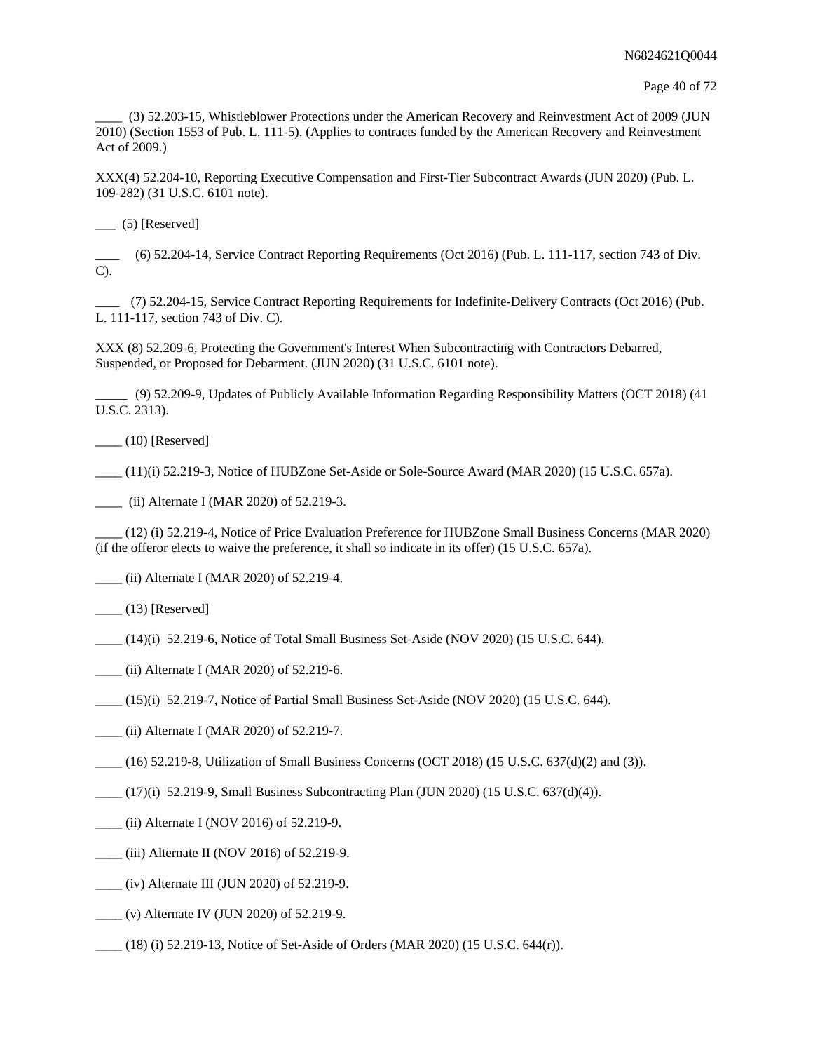\_\_\_\_ (3) 52.203-15, Whistleblower Protections under the American Recovery and Reinvestment Act of 2009 (JUN 2010) (Section 1553 of Pub. L. 111-5). (Applies to contracts funded by the American Recovery and Reinvestment Act of 2009.)

XXX(4) 52.204-10, Reporting Executive Compensation and First-Tier Subcontract Awards (JUN 2020) (Pub. L. 109-282) (31 U.S.C. 6101 note).

 $\qquad$  (5) [Reserved]

\_\_\_ (6) 52.204-14, Service Contract Reporting Requirements (Oct 2016) (Pub. L. 111-117, section 743 of Div.  $C$ ).

\_\_\_ (7) 52.204-15, Service Contract Reporting Requirements for Indefinite-Delivery Contracts (Oct 2016) (Pub. L. 111-117, section 743 of Div. C).

XXX (8) 52.209-6, Protecting the Government's Interest When Subcontracting with Contractors Debarred, Suspended, or Proposed for Debarment. (JUN 2020) (31 U.S.C. 6101 note).

\_\_\_\_ (9) 52.209-9, Updates of Publicly Available Information Regarding Responsibility Matters (OCT 2018) (41 U.S.C. 2313).

 $\qquad$  (10) [Reserved]

 $(11)(i)$  52.219-3, Notice of HUBZone Set-Aside or Sole-Source Award (MAR 2020) (15 U.S.C. 657a).

\_\_\_\_ (ii) Alternate I (MAR 2020) of 52.219-3.

\_\_\_\_ (12) (i) 52.219-4, Notice of Price Evaluation Preference for HUBZone Small Business Concerns (MAR 2020) (if the offeror elects to waive the preference, it shall so indicate in its offer) (15 U.S.C. 657a).

\_\_\_\_ (ii) Alternate I (MAR 2020) of 52.219-4.

- $(13)$  [Reserved]
- \_\_\_\_ (14)(i) 52.219-6, Notice of Total Small Business Set-Aside (NOV 2020) (15 U.S.C. 644).
- \_\_\_\_ (ii) Alternate I (MAR 2020) of 52.219-6.
- \_\_\_\_ (15)(i) 52.219-7, Notice of Partial Small Business Set-Aside (NOV 2020) (15 U.S.C. 644).
- \_\_\_\_ (ii) Alternate I (MAR 2020) of 52.219-7.
- \_\_\_\_ (16) 52.219-8, Utilization of Small Business Concerns (OCT 2018) (15 U.S.C. 637(d)(2) and (3)).
- \_\_\_\_ (17)(i) 52.219-9, Small Business Subcontracting Plan (JUN 2020) (15 U.S.C. 637(d)(4)).
- \_\_\_\_ (ii) Alternate I (NOV 2016) of 52.219-9.
- \_\_\_\_ (iii) Alternate II (NOV 2016) of 52.219-9.
- \_\_\_\_ (iv) Alternate III (JUN 2020) of 52.219-9.
- \_\_\_\_ (v) Alternate IV (JUN 2020) of 52.219-9.
- \_\_\_\_ (18) (i) 52.219-13, Notice of Set-Aside of Orders (MAR 2020) (15 U.S.C. 644(r)).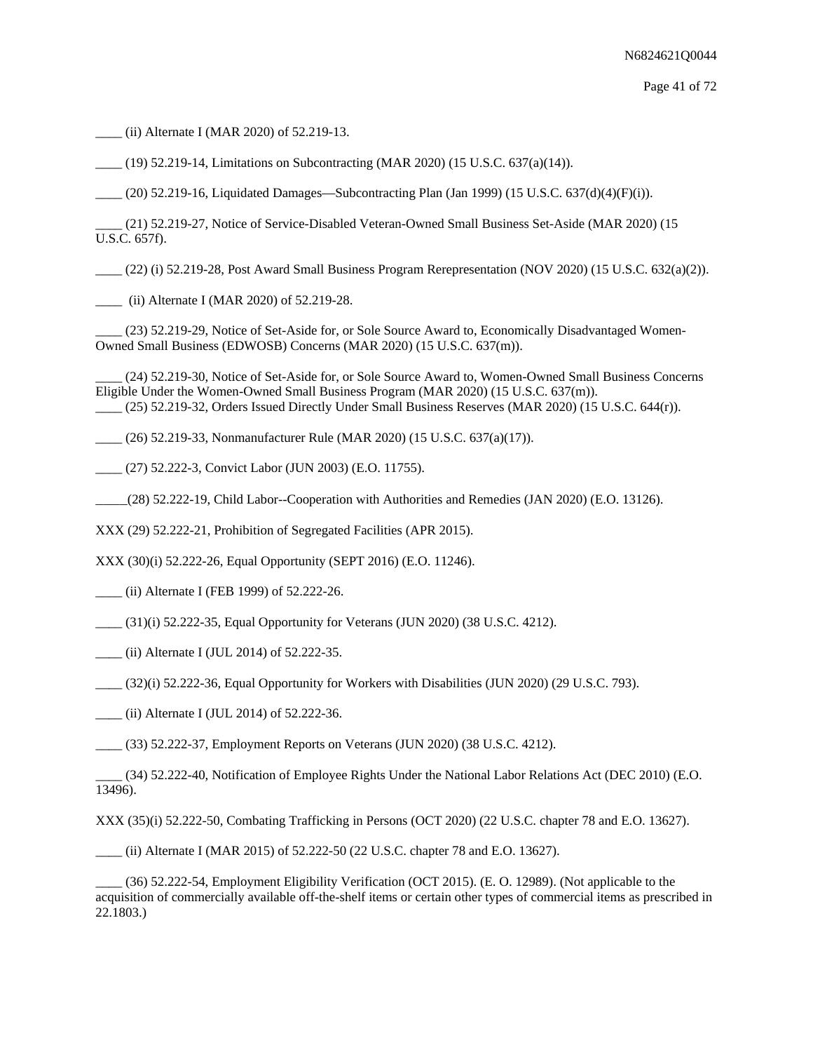### Page 41 of 72

\_\_\_\_ (ii) Alternate I (MAR 2020) of 52.219-13.

\_\_\_\_ (19) 52.219-14, Limitations on Subcontracting (MAR 2020) (15 U.S.C. 637(a)(14)).

 $(20)$  52.219-16, Liquidated Damages—Subcontracting Plan (Jan 1999) (15 U.S.C. 637(d)(4)(F)(i)).

\_\_\_\_ (21) 52.219-27, Notice of Service-Disabled Veteran-Owned Small Business Set-Aside (MAR 2020) (15 U.S.C. 657f).

\_\_\_\_ (22) (i) 52.219-28, Post Award Small Business Program Rerepresentation (NOV 2020) (15 U.S.C. 632(a)(2)).

\_\_\_\_ (ii) Alternate I (MAR 2020) of 52.219-28.

\_\_\_\_ (23) 52.219-29, Notice of Set-Aside for, or Sole Source Award to, Economically Disadvantaged Women-Owned Small Business (EDWOSB) Concerns (MAR 2020) (15 U.S.C. 637(m)).

\_\_\_\_ (24) 52.219-30, Notice of Set-Aside for, or Sole Source Award to, Women-Owned Small Business Concerns Eligible Under the Women-Owned Small Business Program (MAR 2020) (15 U.S.C. 637(m)).  $(25)$  52.219-32, Orders Issued Directly Under Small Business Reserves (MAR 2020) (15 U.S.C. 644(r)).

\_\_\_\_ (26) 52.219-33, Nonmanufacturer Rule (MAR 2020) (15 U.S.C. 637(a)(17)).

\_\_\_\_ (27) 52.222-3, Convict Labor (JUN 2003) (E.O. 11755).

\_\_\_\_(28) 52.222-19, Child Labor--Cooperation with Authorities and Remedies (JAN 2020) (E.O. 13126).

XXX (29) 52.222-21, Prohibition of Segregated Facilities (APR 2015).

XXX (30)(i) 52.222-26, Equal Opportunity (SEPT 2016) (E.O. 11246).

\_\_\_\_ (ii) Alternate I (FEB 1999) of 52.222-26.

\_\_\_\_ (31)(i) 52.222-35, Equal Opportunity for Veterans (JUN 2020) (38 U.S.C. 4212).

\_\_\_\_ (ii) Alternate I (JUL 2014) of 52.222-35.

 $(32)(i)$  52.222-36, Equal Opportunity for Workers with Disabilities (JUN 2020) (29 U.S.C. 793).

\_\_\_\_ (ii) Alternate I (JUL 2014) of 52.222-36.

\_\_\_\_ (33) 52.222-37, Employment Reports on Veterans (JUN 2020) (38 U.S.C. 4212).

\_\_\_\_ (34) 52.222-40, Notification of Employee Rights Under the National Labor Relations Act (DEC 2010) (E.O. 13496).

XXX (35)(i) 52.222-50, Combating Trafficking in Persons (OCT 2020) (22 U.S.C. chapter 78 and E.O. 13627).

\_\_\_\_ (ii) Alternate I (MAR 2015) of 52.222-50 (22 U.S.C. chapter 78 and E.O. 13627).

\_\_\_\_ (36) 52.222-54, Employment Eligibility Verification (OCT 2015). (E. O. 12989). (Not applicable to the acquisition of commercially available off-the-shelf items or certain other types of commercial items as prescribed in 22.1803.)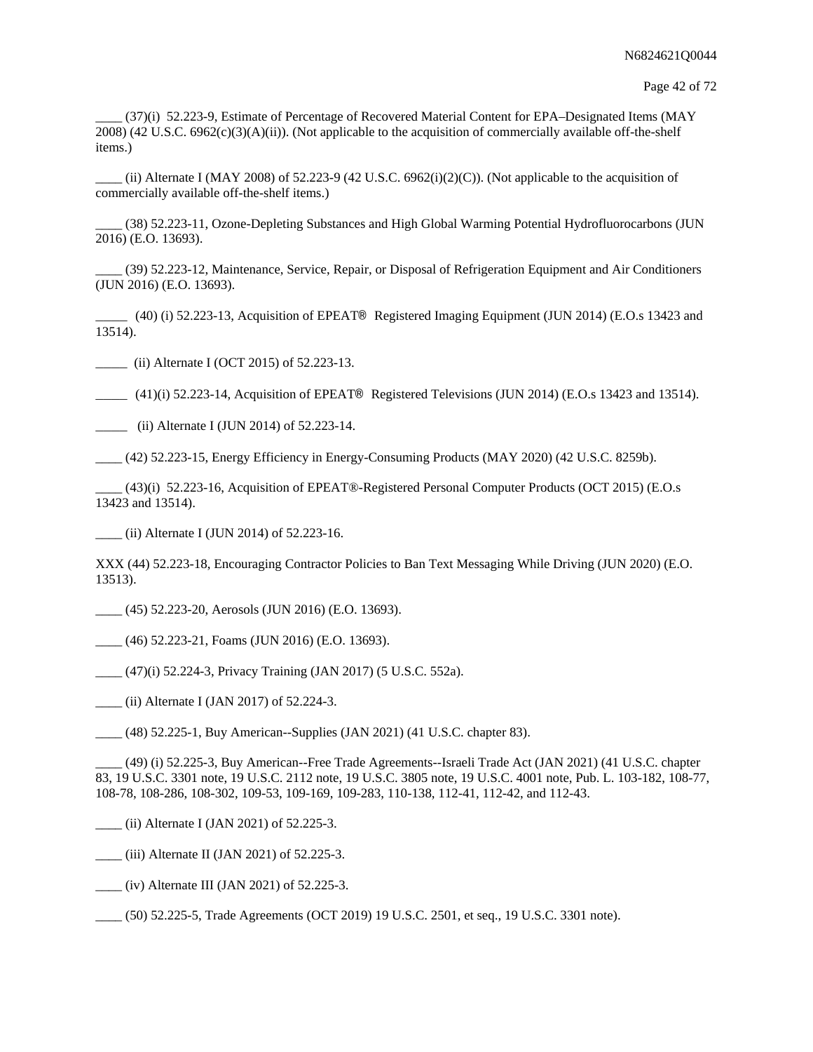\_\_\_\_ (37)(i) 52.223-9, Estimate of Percentage of Recovered Material Content for EPA–Designated Items (MAY 2008) (42 U.S.C. 6962(c)(3)(A)(ii)). (Not applicable to the acquisition of commercially available off-the-shelf items.)

(ii) Alternate I (MAY 2008) of 52.223-9 (42 U.S.C. 6962(i)(2)(C)). (Not applicable to the acquisition of commercially available off-the-shelf items.)

\_\_\_\_ (38) 52.223-11, Ozone-Depleting Substances and High Global Warming Potential Hydrofluorocarbons (JUN 2016) (E.O. 13693).

\_\_\_\_ (39) 52.223-12, Maintenance, Service, Repair, or Disposal of Refrigeration Equipment and Air Conditioners (JUN 2016) (E.O. 13693).

\_\_\_\_ (40) (i) 52.223-13, Acquisition of EPEAT® Registered Imaging Equipment (JUN 2014) (E.O.s 13423 and 13514).

\_\_\_\_ (ii) Alternate I (OCT 2015) of 52.223-13.

 $\frac{1}{2}$  (41)(i) 52.223-14, Acquisition of EPEAT® Registered Televisions (JUN 2014) (E.O.s 13423 and 13514).

\_\_\_\_ (ii) Alternate I (JUN 2014) of 52.223-14.

\_\_\_\_ (42) 52.223-15, Energy Efficiency in Energy-Consuming Products (MAY 2020) (42 U.S.C. 8259b).

\_\_\_\_ (43)(i) 52.223-16, Acquisition of EPEAT®-Registered Personal Computer Products (OCT 2015) (E.O.s 13423 and 13514).

\_\_\_\_ (ii) Alternate I (JUN 2014) of 52.223-16.

XXX (44) 52.223-18, Encouraging Contractor Policies to Ban Text Messaging While Driving (JUN 2020) (E.O. 13513).

- \_\_\_\_ (45) 52.223-20, Aerosols (JUN 2016) (E.O. 13693).
- \_\_\_\_ (46) 52.223-21, Foams (JUN 2016) (E.O. 13693).
- \_\_\_\_ (47)(i) 52.224-3, Privacy Training (JAN 2017) (5 U.S.C. 552a).
- \_\_\_\_ (ii) Alternate I (JAN 2017) of 52.224-3.

\_\_\_\_ (48) 52.225-1, Buy American--Supplies (JAN 2021) (41 U.S.C. chapter 83).

\_\_\_\_ (49) (i) 52.225-3, Buy American--Free Trade Agreements--Israeli Trade Act (JAN 2021) (41 U.S.C. chapter 83, 19 U.S.C. 3301 note, 19 U.S.C. 2112 note, 19 U.S.C. 3805 note, 19 U.S.C. 4001 note, Pub. L. 103-182, 108-77, 108-78, 108-286, 108-302, 109-53, 109-169, 109-283, 110-138, 112-41, 112-42, and 112-43.

- \_\_\_\_ (ii) Alternate I (JAN 2021) of 52.225-3.
- \_\_\_\_ (iii) Alternate II (JAN 2021) of 52.225-3.
- \_\_\_\_ (iv) Alternate III (JAN 2021) of 52.225-3.
- \_\_\_\_ (50) 52.225-5, Trade Agreements (OCT 2019) 19 U.S.C. 2501, et seq., 19 U.S.C. 3301 note).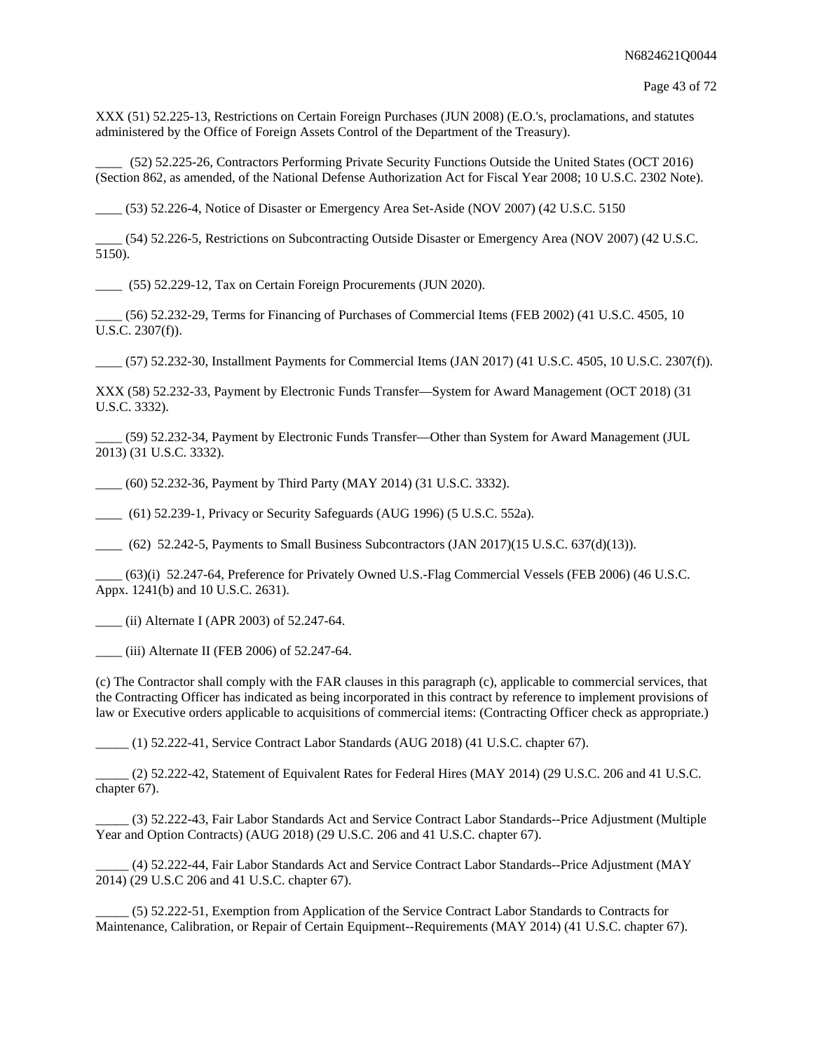XXX (51) 52.225-13, Restrictions on Certain Foreign Purchases (JUN 2008) (E.O.'s, proclamations, and statutes administered by the Office of Foreign Assets Control of the Department of the Treasury).

\_\_\_\_ (52) 52.225-26, Contractors Performing Private Security Functions Outside the United States (OCT 2016) (Section 862, as amended, of the National Defense Authorization Act for Fiscal Year 2008; 10 U.S.C. 2302 Note).

\_\_\_\_ (53) 52.226-4, Notice of Disaster or Emergency Area Set-Aside (NOV 2007) (42 U.S.C. 5150

\_\_\_\_ (54) 52.226-5, Restrictions on Subcontracting Outside Disaster or Emergency Area (NOV 2007) (42 U.S.C. 5150).

\_\_\_\_ (55) 52.229-12, Tax on Certain Foreign Procurements (JUN 2020).

\_\_\_\_ (56) 52.232-29, Terms for Financing of Purchases of Commercial Items (FEB 2002) (41 U.S.C. 4505, 10 U.S.C. 2307(f)).

\_\_\_\_ (57) 52.232-30, Installment Payments for Commercial Items (JAN 2017) (41 U.S.C. 4505, 10 U.S.C. 2307(f)).

XXX (58) 52.232-33, Payment by Electronic Funds Transfer—System for Award Management (OCT 2018) (31 U.S.C. 3332).

\_\_\_\_ (59) 52.232-34, Payment by Electronic Funds Transfer—Other than System for Award Management (JUL 2013) (31 U.S.C. 3332).

\_\_\_\_ (60) 52.232-36, Payment by Third Party (MAY 2014) (31 U.S.C. 3332).

\_\_\_\_ (61) 52.239-1, Privacy or Security Safeguards (AUG 1996) (5 U.S.C. 552a).

\_\_\_\_ (62) 52.242-5, Payments to Small Business Subcontractors (JAN 2017)(15 U.S.C. 637(d)(13)).

 $(63)(i)$  52.247-64, Preference for Privately Owned U.S.-Flag Commercial Vessels (FEB 2006) (46 U.S.C. Appx. 1241(b) and 10 U.S.C. 2631).

\_\_\_\_ (ii) Alternate I (APR 2003) of 52.247-64.

\_\_\_\_ (iii) Alternate II (FEB 2006) of 52.247-64.

(c) The Contractor shall comply with the FAR clauses in this paragraph (c), applicable to commercial services, that the Contracting Officer has indicated as being incorporated in this contract by reference to implement provisions of law or Executive orders applicable to acquisitions of commercial items: (Contracting Officer check as appropriate.)

\_\_\_\_\_ (1) 52.222-41, Service Contract Labor Standards (AUG 2018) (41 U.S.C. chapter 67).

\_\_\_\_\_ (2) 52.222-42, Statement of Equivalent Rates for Federal Hires (MAY 2014) (29 U.S.C. 206 and 41 U.S.C. chapter 67).

\_\_\_\_\_ (3) 52.222-43, Fair Labor Standards Act and Service Contract Labor Standards--Price Adjustment (Multiple Year and Option Contracts) (AUG 2018) (29 U.S.C. 206 and 41 U.S.C. chapter 67).

\_\_\_\_\_ (4) 52.222-44, Fair Labor Standards Act and Service Contract Labor Standards--Price Adjustment (MAY 2014) (29 U.S.C 206 and 41 U.S.C. chapter 67).

\_\_\_\_\_ (5) 52.222-51, Exemption from Application of the Service Contract Labor Standards to Contracts for Maintenance, Calibration, or Repair of Certain Equipment--Requirements (MAY 2014) (41 U.S.C. chapter 67).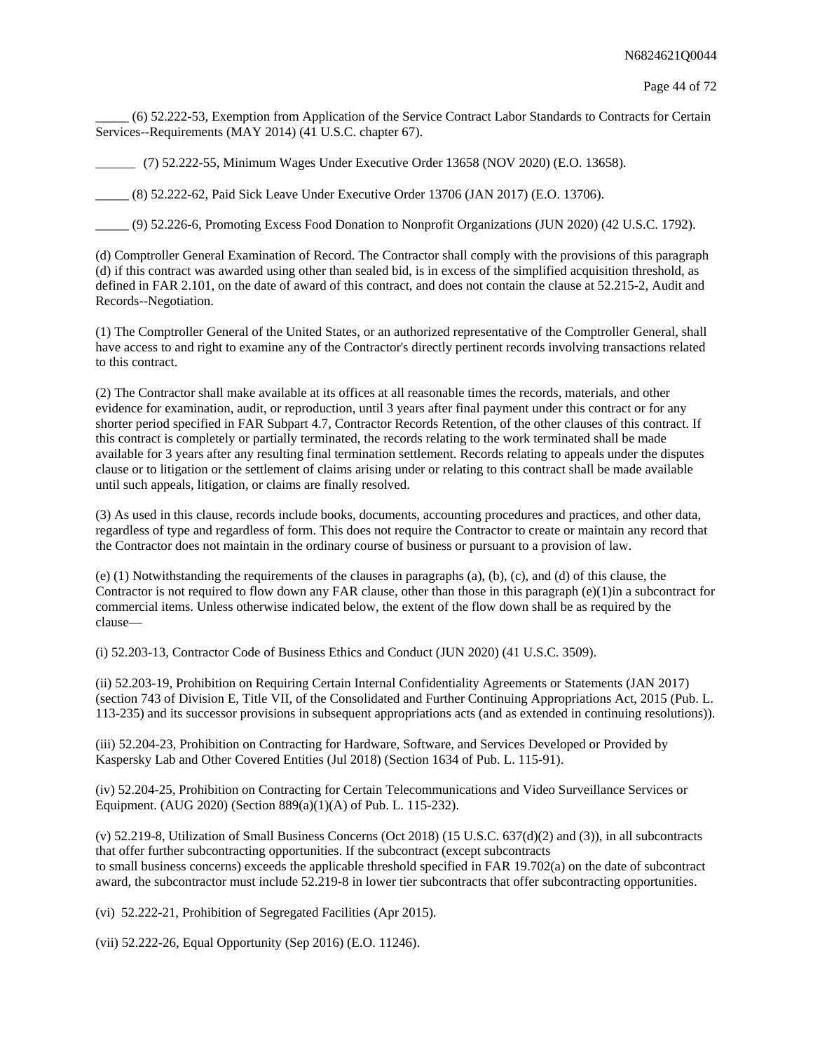```
Page 44 of 72
```
\_\_\_\_\_ (6) 52.222-53, Exemption from Application of the Service Contract Labor Standards to Contracts for Certain Services--Requirements (MAY 2014) (41 U.S.C. chapter 67).

\_\_\_\_\_ (7) 52.222-55, Minimum Wages Under Executive Order 13658 (NOV 2020) (E.O. 13658).

\_\_\_\_\_ (8) 52.222-62, Paid Sick Leave Under Executive Order 13706 (JAN 2017) (E.O. 13706).

\_\_\_\_\_ (9) 52.226-6, Promoting Excess Food Donation to Nonprofit Organizations (JUN 2020) (42 U.S.C. 1792).

(d) Comptroller General Examination of Record. The Contractor shall comply with the provisions of this paragraph (d) if this contract was awarded using other than sealed bid, is in excess of the simplified acquisition threshold, as defined in FAR 2.101, on the date of award of this contract, and does not contain the clause at 52.215-2, Audit and Records--Negotiation.

(1) The Comptroller General of the United States, or an authorized representative of the Comptroller General, shall have access to and right to examine any of the Contractor's directly pertinent records involving transactions related to this contract.

(2) The Contractor shall make available at its offices at all reasonable times the records, materials, and other evidence for examination, audit, or reproduction, until 3 years after final payment under this contract or for any shorter period specified in FAR Subpart 4.7, Contractor Records Retention, of the other clauses of this contract. If this contract is completely or partially terminated, the records relating to the work terminated shall be made available for 3 years after any resulting final termination settlement. Records relating to appeals under the disputes clause or to litigation or the settlement of claims arising under or relating to this contract shall be made available until such appeals, litigation, or claims are finally resolved.

(3) As used in this clause, records include books, documents, accounting procedures and practices, and other data, regardless of type and regardless of form. This does not require the Contractor to create or maintain any record that the Contractor does not maintain in the ordinary course of business or pursuant to a provision of law.

(e) (1) Notwithstanding the requirements of the clauses in paragraphs (a), (b), (c), and (d) of this clause, the Contractor is not required to flow down any FAR clause, other than those in this paragraph (e)(1)in a subcontract for commercial items. Unless otherwise indicated below, the extent of the flow down shall be as required by the clause—

(i) 52.203-13, Contractor Code of Business Ethics and Conduct (JUN 2020) (41 U.S.C. 3509).

(ii) 52.203-19, Prohibition on Requiring Certain Internal Confidentiality Agreements or Statements (JAN 2017) (section 743 of Division E, Title VII, of the Consolidated and Further Continuing Appropriations Act, 2015 (Pub. L. 113-235) and its successor provisions in subsequent appropriations acts (and as extended in continuing resolutions)).

(iii) 52.204-23, Prohibition on Contracting for Hardware, Software, and Services Developed or Provided by Kaspersky Lab and Other Covered Entities (Jul 2018) (Section 1634 of Pub. L. 115-91).

(iv) 52.204-25, Prohibition on Contracting for Certain Telecommunications and Video Surveillance Services or Equipment. (AUG 2020) (Section 889(a)(1)(A) of Pub. L. 115-232).

(v) 52.219-8, Utilization of Small Business Concerns (Oct 2018) (15 U.S.C. 637(d)(2) and (3)), in all subcontracts that offer further subcontracting opportunities. If the subcontract (except subcontracts to small business concerns) exceeds the applicable threshold specified in FAR 19.702(a) on the date of subcontract award, the subcontractor must include 52.219-8 in lower tier subcontracts that offer subcontracting opportunities.

(vi) 52.222-21, Prohibition of Segregated Facilities (Apr 2015).

(vii) 52.222-26, Equal Opportunity (Sep 2016) (E.O. 11246).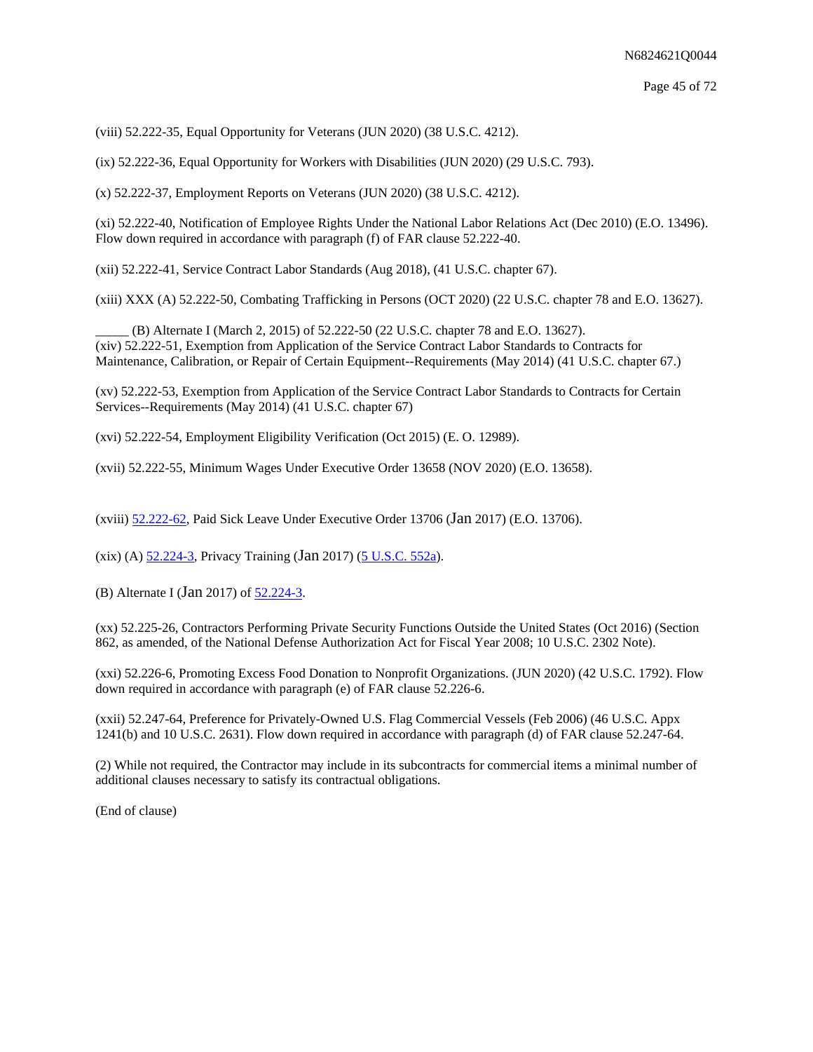(viii) 52.222-35, Equal Opportunity for Veterans (JUN 2020) (38 U.S.C. 4212).

(ix) 52.222-36, Equal Opportunity for Workers with Disabilities (JUN 2020) (29 U.S.C. 793).

(x) 52.222-37, Employment Reports on Veterans (JUN 2020) (38 U.S.C. 4212).

(xi) 52.222-40, Notification of Employee Rights Under the National Labor Relations Act (Dec 2010) (E.O. 13496). Flow down required in accordance with paragraph (f) of FAR clause 52.222-40.

(xii) 52.222-41, Service Contract Labor Standards (Aug 2018), (41 U.S.C. chapter 67).

(xiii) XXX (A) 52.222-50, Combating Trafficking in Persons (OCT 2020) (22 U.S.C. chapter 78 and E.O. 13627).

\_\_\_\_\_ (B) Alternate I (March 2, 2015) of 52.222-50 (22 U.S.C. chapter 78 and E.O. 13627). (xiv) 52.222-51, Exemption from Application of the Service Contract Labor Standards to Contracts for Maintenance, Calibration, or Repair of Certain Equipment--Requirements (May 2014) (41 U.S.C. chapter 67.)

(xv) 52.222-53, Exemption from Application of the Service Contract Labor Standards to Contracts for Certain Services--Requirements (May 2014) (41 U.S.C. chapter 67)

(xvi) 52.222-54, Employment Eligibility Verification (Oct 2015) (E. O. 12989).

(xvii) 52.222-55, Minimum Wages Under Executive Order 13658 (NOV 2020) (E.O. 13658).

(xviii) [52.222-62,](https://www.acquisition.gov/content/part-52-solicitation-provisions-and-contract-clauses#i52_222_62) Paid Sick Leave Under Executive Order 13706 (Jan 2017) (E.O. 13706).

(xix) (A) [52.224-3,](https://www.acquisition.gov/content/part-52-solicitation-provisions-and-contract-clauses#i52_224_3) Privacy Training (Jan 2017) (5 [U.S.C.](http://uscode.house.gov/browse.xhtml;jsessionid=114A3287C7B3359E597506A31FC855B3) 552a).

(B) Alternate I (Jan 2017) of [52.224-3.](https://www.acquisition.gov/content/part-52-solicitation-provisions-and-contract-clauses#i52_224_3)

(xx) 52.225-26, Contractors Performing Private Security Functions Outside the United States (Oct 2016) (Section 862, as amended, of the National Defense Authorization Act for Fiscal Year 2008; 10 U.S.C. 2302 Note).

(xxi) 52.226-6, Promoting Excess Food Donation to Nonprofit Organizations. (JUN 2020) (42 U.S.C. 1792). Flow down required in accordance with paragraph (e) of FAR clause 52.226-6.

(xxii) 52.247-64, Preference for Privately-Owned U.S. Flag Commercial Vessels (Feb 2006) (46 U.S.C. Appx 1241(b) and 10 U.S.C. 2631). Flow down required in accordance with paragraph (d) of FAR clause 52.247-64.

(2) While not required, the Contractor may include in its subcontracts for commercial items a minimal number of additional clauses necessary to satisfy its contractual obligations.

(End of clause)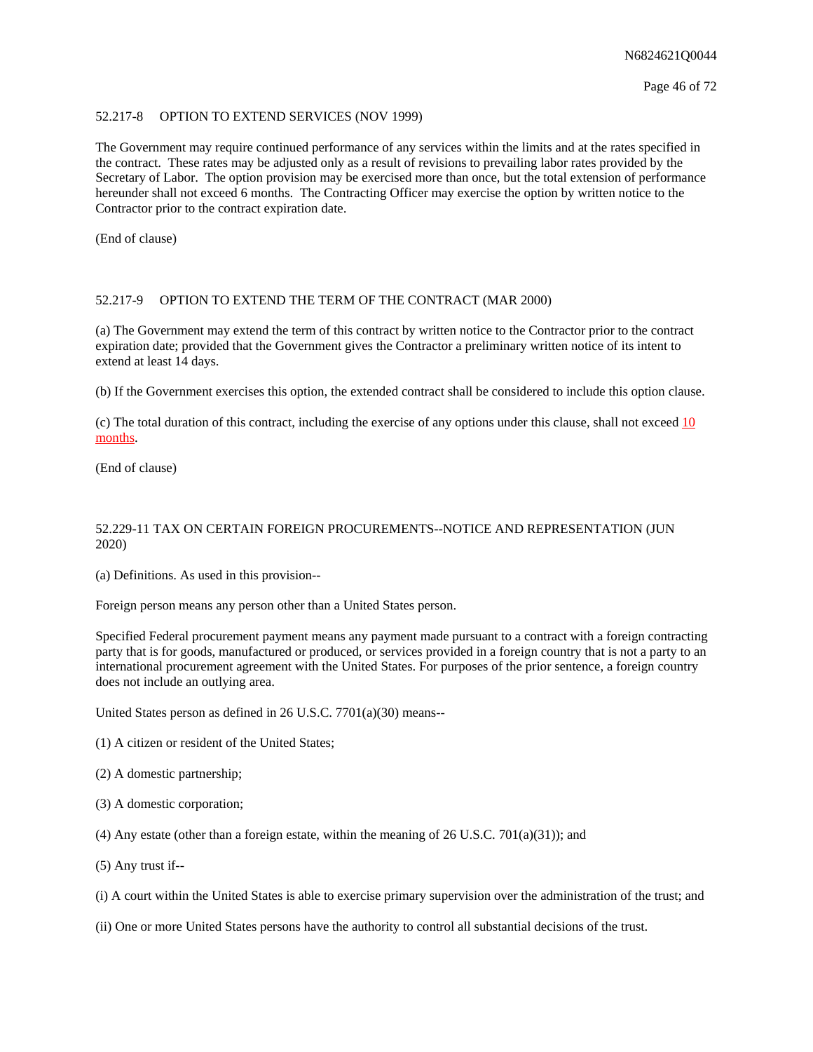### 52.217-8 OPTION TO EXTEND SERVICES (NOV 1999)

The Government may require continued performance of any services within the limits and at the rates specified in the contract. These rates may be adjusted only as a result of revisions to prevailing labor rates provided by the Secretary of Labor. The option provision may be exercised more than once, but the total extension of performance hereunder shall not exceed 6 months. The Contracting Officer may exercise the option by written notice to the Contractor prior to the contract expiration date.

(End of clause)

#### 52.217-9 OPTION TO EXTEND THE TERM OF THE CONTRACT (MAR 2000)

(a) The Government may extend the term of this contract by written notice to the Contractor prior to the contract expiration date; provided that the Government gives the Contractor a preliminary written notice of its intent to extend at least 14 days.

(b) If the Government exercises this option, the extended contract shall be considered to include this option clause.

(c) The total duration of this contract, including the exercise of any options under this clause, shall not exceed  $\frac{10}{10}$ months.

(End of clause)

### 52.229-11 TAX ON CERTAIN FOREIGN PROCUREMENTS--NOTICE AND REPRESENTATION (JUN 2020)

(a) Definitions. As used in this provision--

Foreign person means any person other than a United States person.

Specified Federal procurement payment means any payment made pursuant to a contract with a foreign contracting party that is for goods, manufactured or produced, or services provided in a foreign country that is not a party to an international procurement agreement with the United States. For purposes of the prior sentence, a foreign country does not include an outlying area.

United States person as defined in 26 U.S.C. 7701(a)(30) means--

- (1) A citizen or resident of the United States;
- (2) A domestic partnership;
- (3) A domestic corporation;
- (4) Any estate (other than a foreign estate, within the meaning of 26 U.S.C. 701(a)(31)); and
- (5) Any trust if--
- (i) A court within the United States is able to exercise primary supervision over the administration of the trust; and
- (ii) One or more United States persons have the authority to control all substantial decisions of the trust.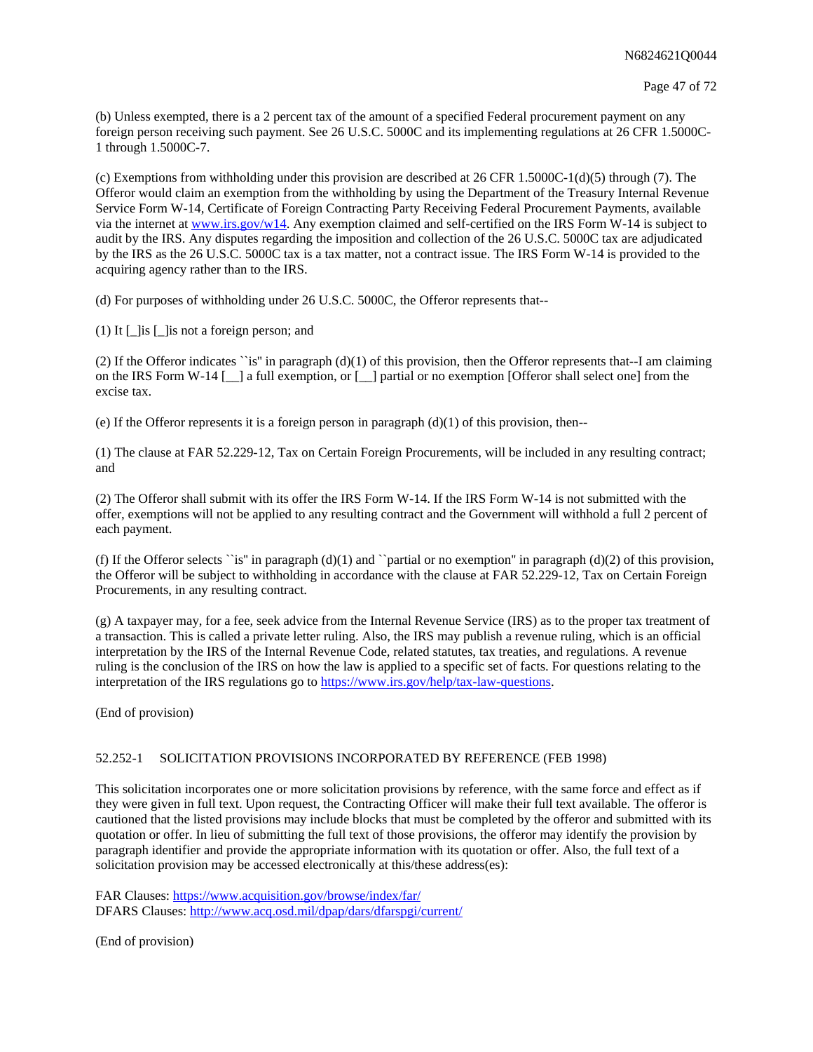(b) Unless exempted, there is a 2 percent tax of the amount of a specified Federal procurement payment on any foreign person receiving such payment. See 26 U.S.C. 5000C and its implementing regulations at 26 CFR 1.5000C-1 through 1.5000C-7.

(c) Exemptions from withholding under this provision are described at  $26$  CFR 1.5000C-1(d)(5) through (7). The Offeror would claim an exemption from the withholding by using the Department of the Treasury Internal Revenue Service Form W-14, Certificate of Foreign Contracting Party Receiving Federal Procurement Payments, available via the internet at [www.irs.gov/w14.](http://www.irs.gov/w14) Any exemption claimed and self-certified on the IRS Form W-14 is subject to audit by the IRS. Any disputes regarding the imposition and collection of the 26 U.S.C. 5000C tax are adjudicated by the IRS as the 26 U.S.C. 5000C tax is a tax matter, not a contract issue. The IRS Form W-14 is provided to the acquiring agency rather than to the IRS.

(d) For purposes of withholding under 26 U.S.C. 5000C, the Offeror represents that--

(1) It  $\lceil$  lis  $\lceil$  lis not a foreign person; and

(2) If the Offeror indicates ``is" in paragraph  $(d)(1)$  of this provision, then the Offeror represents that--I am claiming on the IRS Form W-14 [\_\_] a full exemption, or [\_\_] partial or no exemption [Offeror shall select one] from the excise tax.

(e) If the Offeror represents it is a foreign person in paragraph  $(d)(1)$  of this provision, then--

(1) The clause at FAR 52.229-12, Tax on Certain Foreign Procurements, will be included in any resulting contract; and

(2) The Offeror shall submit with its offer the IRS Form W-14. If the IRS Form W-14 is not submitted with the offer, exemptions will not be applied to any resulting contract and the Government will withhold a full 2 percent of each payment.

(f) If the Offeror selects ``is" in paragraph  $(d)(1)$  and ``partial or no exemption" in paragraph  $(d)(2)$  of this provision, the Offeror will be subject to withholding in accordance with the clause at FAR 52.229-12, Tax on Certain Foreign Procurements, in any resulting contract.

(g) A taxpayer may, for a fee, seek advice from the Internal Revenue Service (IRS) as to the proper tax treatment of a transaction. This is called a private letter ruling. Also, the IRS may publish a revenue ruling, which is an official interpretation by the IRS of the Internal Revenue Code, related statutes, tax treaties, and regulations. A revenue ruling is the conclusion of the IRS on how the law is applied to a specific set of facts. For questions relating to the interpretation of the IRS regulations go t[o https://www.irs.gov/help/tax-law-questions.](https://www.irs.gov/help/tax-law-questions)

(End of provision)

## 52.252-1 SOLICITATION PROVISIONS INCORPORATED BY REFERENCE (FEB 1998)

This solicitation incorporates one or more solicitation provisions by reference, with the same force and effect as if they were given in full text. Upon request, the Contracting Officer will make their full text available. The offeror is cautioned that the listed provisions may include blocks that must be completed by the offeror and submitted with its quotation or offer. In lieu of submitting the full text of those provisions, the offeror may identify the provision by paragraph identifier and provide the appropriate information with its quotation or offer. Also, the full text of a solicitation provision may be accessed electronically at this/these address(es):

FAR Clauses:<https://www.acquisition.gov/browse/index/far/> DFARS Clauses: [http://www.acq.osd.mil/dpap/dars/dfarspgi/current/](http://www.acq.osd.mil/dpap/dars/dfarspgi/current/index.html)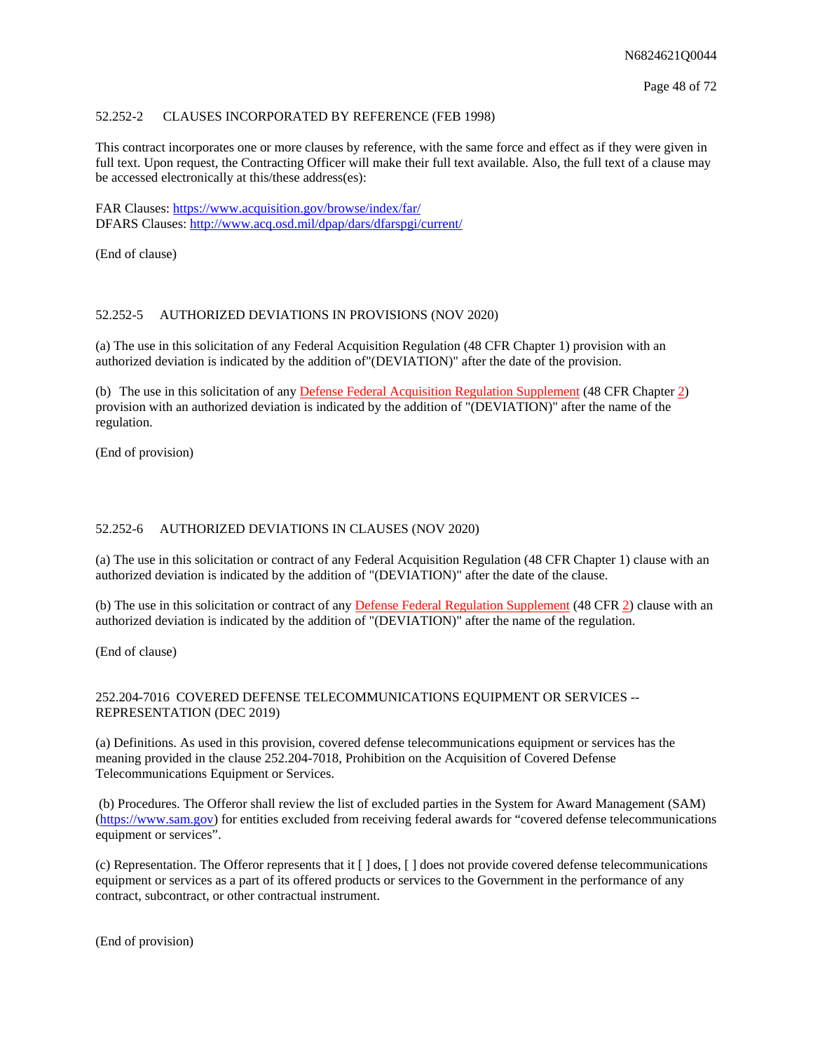### 52.252-2 CLAUSES INCORPORATED BY REFERENCE (FEB 1998)

This contract incorporates one or more clauses by reference, with the same force and effect as if they were given in full text. Upon request, the Contracting Officer will make their full text available. Also, the full text of a clause may be accessed electronically at this/these address(es):

FAR Clauses:<https://www.acquisition.gov/browse/index/far/> DFARS Clauses: [http://www.acq.osd.mil/dpap/dars/dfarspgi/current/](http://www.acq.osd.mil/dpap/dars/dfarspgi/current/index.html)

(End of clause)

#### 52.252-5 AUTHORIZED DEVIATIONS IN PROVISIONS (NOV 2020)

(a) The use in this solicitation of any Federal Acquisition Regulation (48 CFR Chapter 1) provision with an authorized deviation is indicated by the addition of"(DEVIATION)" after the date of the provision.

(b) The use in this solicitation of any Defense Federal Acquisition Regulation Supplement (48 CFR Chapter 2) provision with an authorized deviation is indicated by the addition of "(DEVIATION)" after the name of the regulation.

(End of provision)

#### 52.252-6 AUTHORIZED DEVIATIONS IN CLAUSES (NOV 2020)

(a) The use in this solicitation or contract of any Federal Acquisition Regulation (48 CFR Chapter 1) clause with an authorized deviation is indicated by the addition of "(DEVIATION)" after the date of the clause.

(b) The use in this solicitation or contract of any **Defense Federal Regulation Supplement** (48 CFR 2) clause with an authorized deviation is indicated by the addition of "(DEVIATION)" after the name of the regulation.

(End of clause)

### 252.204-7016 COVERED DEFENSE TELECOMMUNICATIONS EQUIPMENT OR SERVICES -- REPRESENTATION (DEC 2019)

(a) Definitions. As used in this provision, covered defense telecommunications equipment or services has the meaning provided in the clause 252.204-7018, Prohibition on the Acquisition of Covered Defense Telecommunications Equipment or Services.

(b) Procedures. The Offeror shall review the list of excluded parties in the System for Award Management (SAM) [\(https://www.sam.gov\)](https://www.sam.gov/) for entities excluded from receiving federal awards for "covered defense telecommunications equipment or services".

(c) Representation. The Offeror represents that it [ ] does, [ ] does not provide covered defense telecommunications equipment or services as a part of its offered products or services to the Government in the performance of any contract, subcontract, or other contractual instrument.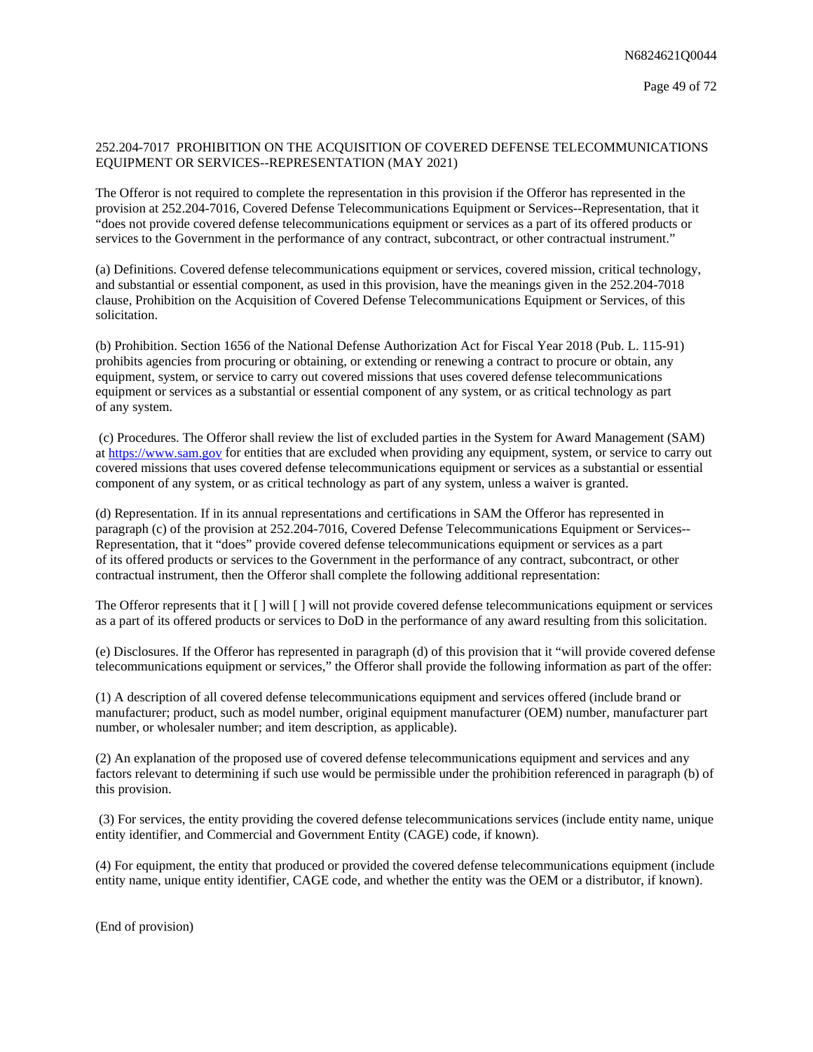## 252.204-7017 PROHIBITION ON THE ACQUISITION OF COVERED DEFENSE TELECOMMUNICATIONS EQUIPMENT OR SERVICES--REPRESENTATION (MAY 2021)

The Offeror is not required to complete the representation in this provision if the Offeror has represented in the provision at 252.204-7016, Covered Defense Telecommunications Equipment or Services--Representation, that it "does not provide covered defense telecommunications equipment or services as a part of its offered products or services to the Government in the performance of any contract, subcontract, or other contractual instrument."

(a) Definitions. Covered defense telecommunications equipment or services, covered mission, critical technology, and substantial or essential component, as used in this provision, have the meanings given in the 252.204-7018 clause, Prohibition on the Acquisition of Covered Defense Telecommunications Equipment or Services, of this solicitation.

(b) Prohibition. Section 1656 of the National Defense Authorization Act for Fiscal Year 2018 (Pub. L. 115-91) prohibits agencies from procuring or obtaining, or extending or renewing a contract to procure or obtain, any equipment, system, or service to carry out covered missions that uses covered defense telecommunications equipment or services as a substantial or essential component of any system, or as critical technology as part of any system.

(c) Procedures. The Offeror shall review the list of excluded parties in the System for Award Management (SAM) a[t https://www.sam.gov](https://www.sam.gov/) for entities that are excluded when providing any equipment, system, or service to carry out covered missions that uses covered defense telecommunications equipment or services as a substantial or essential component of any system, or as critical technology as part of any system, unless a waiver is granted.

(d) Representation. If in its annual representations and certifications in SAM the Offeror has represented in paragraph (c) of the provision at 252.204-7016, Covered Defense Telecommunications Equipment or Services-- Representation, that it "does" provide covered defense telecommunications equipment or services as a part of its offered products or services to the Government in the performance of any contract, subcontract, or other contractual instrument, then the Offeror shall complete the following additional representation:

The Offeror represents that it [ ] will [ ] will not provide covered defense telecommunications equipment or services as a part of its offered products or services to DoD in the performance of any award resulting from this solicitation.

(e) Disclosures. If the Offeror has represented in paragraph (d) of this provision that it "will provide covered defense telecommunications equipment or services," the Offeror shall provide the following information as part of the offer:

(1) A description of all covered defense telecommunications equipment and services offered (include brand or manufacturer; product, such as model number, original equipment manufacturer (OEM) number, manufacturer part number, or wholesaler number; and item description, as applicable).

(2) An explanation of the proposed use of covered defense telecommunications equipment and services and any factors relevant to determining if such use would be permissible under the prohibition referenced in paragraph (b) of this provision.

(3) For services, the entity providing the covered defense telecommunications services (include entity name, unique entity identifier, and Commercial and Government Entity (CAGE) code, if known).

(4) For equipment, the entity that produced or provided the covered defense telecommunications equipment (include entity name, unique entity identifier, CAGE code, and whether the entity was the OEM or a distributor, if known).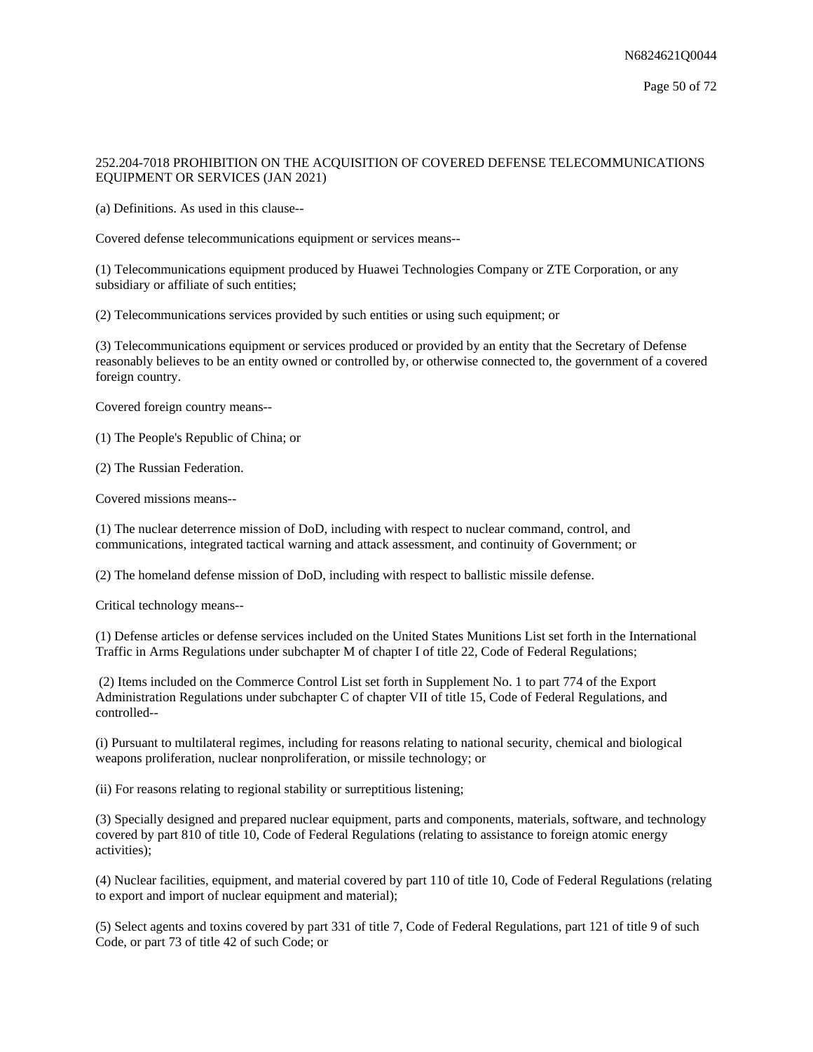### 252.204-7018 PROHIBITION ON THE ACQUISITION OF COVERED DEFENSE TELECOMMUNICATIONS EQUIPMENT OR SERVICES (JAN 2021)

(a) Definitions. As used in this clause--

Covered defense telecommunications equipment or services means--

(1) Telecommunications equipment produced by Huawei Technologies Company or ZTE Corporation, or any subsidiary or affiliate of such entities;

(2) Telecommunications services provided by such entities or using such equipment; or

(3) Telecommunications equipment or services produced or provided by an entity that the Secretary of Defense reasonably believes to be an entity owned or controlled by, or otherwise connected to, the government of a covered foreign country.

Covered foreign country means--

(1) The People's Republic of China; or

(2) The Russian Federation.

Covered missions means--

(1) The nuclear deterrence mission of DoD, including with respect to nuclear command, control, and communications, integrated tactical warning and attack assessment, and continuity of Government; or

(2) The homeland defense mission of DoD, including with respect to ballistic missile defense.

Critical technology means--

(1) Defense articles or defense services included on the United States Munitions List set forth in the International Traffic in Arms Regulations under subchapter M of chapter I of title 22, Code of Federal Regulations;

(2) Items included on the Commerce Control List set forth in Supplement No. 1 to part 774 of the Export Administration Regulations under subchapter C of chapter VII of title 15, Code of Federal Regulations, and controlled--

(i) Pursuant to multilateral regimes, including for reasons relating to national security, chemical and biological weapons proliferation, nuclear nonproliferation, or missile technology; or

(ii) For reasons relating to regional stability or surreptitious listening;

(3) Specially designed and prepared nuclear equipment, parts and components, materials, software, and technology covered by part 810 of title 10, Code of Federal Regulations (relating to assistance to foreign atomic energy activities);

(4) Nuclear facilities, equipment, and material covered by part 110 of title 10, Code of Federal Regulations (relating to export and import of nuclear equipment and material);

(5) Select agents and toxins covered by part 331 of title 7, Code of Federal Regulations, part 121 of title 9 of such Code, or part 73 of title 42 of such Code; or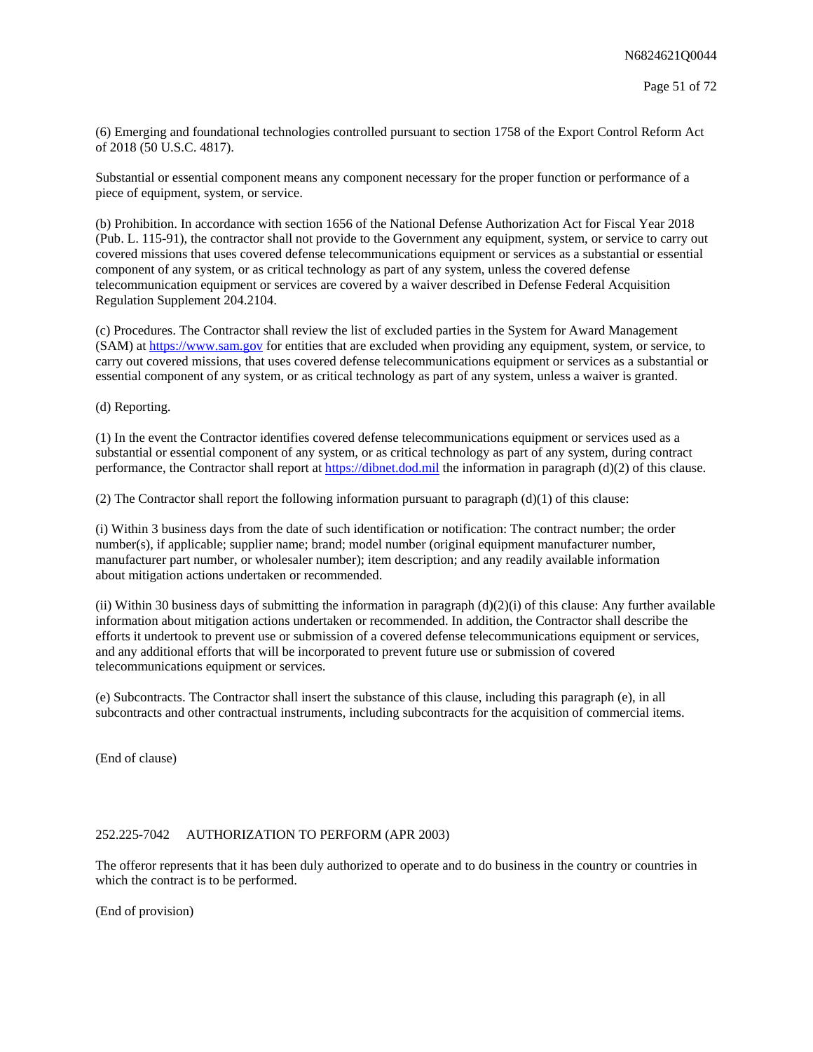(6) Emerging and foundational technologies controlled pursuant to section 1758 of the Export Control Reform Act of 2018 (50 U.S.C. 4817).

Substantial or essential component means any component necessary for the proper function or performance of a piece of equipment, system, or service.

(b) Prohibition. In accordance with section 1656 of the National Defense Authorization Act for Fiscal Year 2018 (Pub. L. 115-91), the contractor shall not provide to the Government any equipment, system, or service to carry out covered missions that uses covered defense telecommunications equipment or services as a substantial or essential component of any system, or as critical technology as part of any system, unless the covered defense telecommunication equipment or services are covered by a waiver described in Defense Federal Acquisition Regulation Supplement 204.2104.

(c) Procedures. The Contractor shall review the list of excluded parties in the System for Award Management (SAM) a[t https://www.sam.gov](https://www.sam.gov/) for entities that are excluded when providing any equipment, system, or service, to carry out covered missions, that uses covered defense telecommunications equipment or services as a substantial or essential component of any system, or as critical technology as part of any system, unless a waiver is granted.

(d) Reporting.

(1) In the event the Contractor identifies covered defense telecommunications equipment or services used as a substantial or essential component of any system, or as critical technology as part of any system, during contract performance, the Contractor shall report at [https://dibnet.dod.mil](https://dibnet.dod.mil/) the information in paragraph (d)(2) of this clause.

(2) The Contractor shall report the following information pursuant to paragraph  $(d)(1)$  of this clause:

(i) Within 3 business days from the date of such identification or notification: The contract number; the order number(s), if applicable; supplier name; brand; model number (original equipment manufacturer number, manufacturer part number, or wholesaler number); item description; and any readily available information about mitigation actions undertaken or recommended.

(ii) Within 30 business days of submitting the information in paragraph  $(d)(2)(i)$  of this clause: Any further available information about mitigation actions undertaken or recommended. In addition, the Contractor shall describe the efforts it undertook to prevent use or submission of a covered defense telecommunications equipment or services, and any additional efforts that will be incorporated to prevent future use or submission of covered telecommunications equipment or services.

(e) Subcontracts. The Contractor shall insert the substance of this clause, including this paragraph (e), in all subcontracts and other contractual instruments, including subcontracts for the acquisition of commercial items.

(End of clause)

#### 252.225-7042 AUTHORIZATION TO PERFORM (APR 2003)

The offeror represents that it has been duly authorized to operate and to do business in the country or countries in which the contract is to be performed.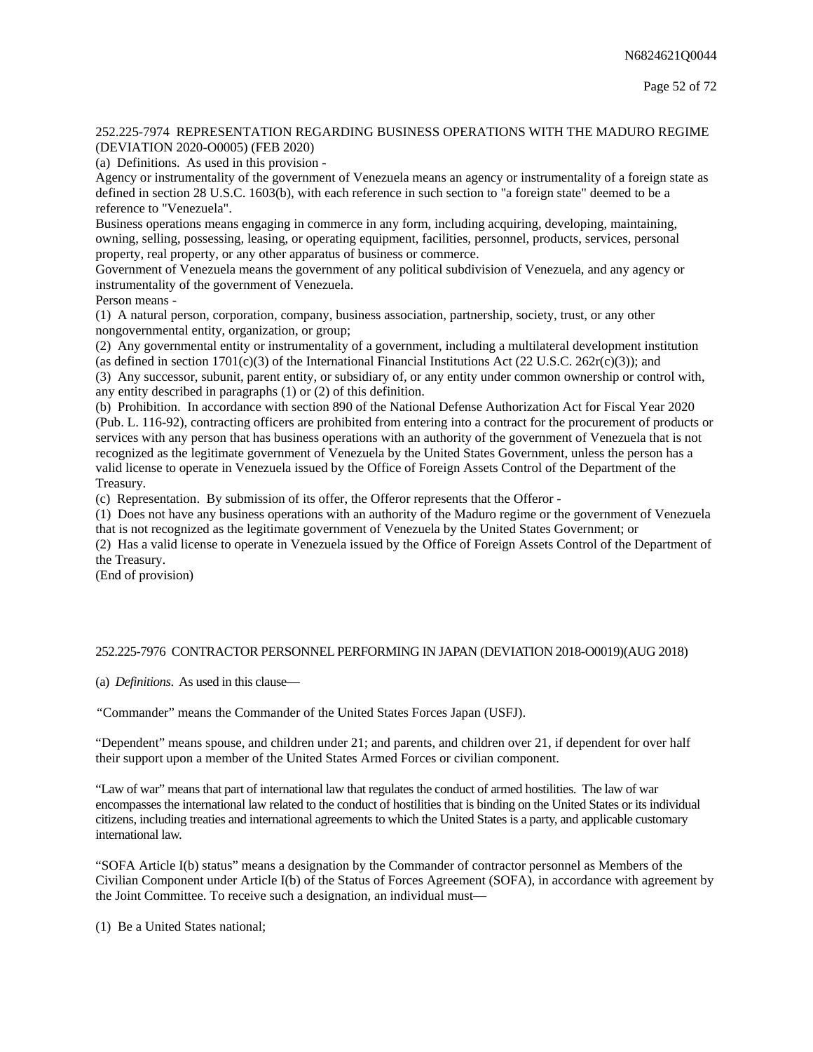## 252.225-7974 REPRESENTATION REGARDING BUSINESS OPERATIONS WITH THE MADURO REGIME (DEVIATION 2020-O0005) (FEB 2020)

(a) Definitions. As used in this provision -

Agency or instrumentality of the government of Venezuela means an agency or instrumentality of a foreign state as defined in section 28 U.S.C. 1603(b), with each reference in such section to "a foreign state" deemed to be a reference to "Venezuela".

Business operations means engaging in commerce in any form, including acquiring, developing, maintaining, owning, selling, possessing, leasing, or operating equipment, facilities, personnel, products, services, personal property, real property, or any other apparatus of business or commerce.

Government of Venezuela means the government of any political subdivision of Venezuela, and any agency or instrumentality of the government of Venezuela.

Person means -

(1) A natural person, corporation, company, business association, partnership, society, trust, or any other nongovernmental entity, organization, or group;

(2) Any governmental entity or instrumentality of a government, including a multilateral development institution (as defined in section 1701(c)(3) of the International Financial Institutions Act (22 U.S.C. 262r(c)(3)); and

(3) Any successor, subunit, parent entity, or subsidiary of, or any entity under common ownership or control with, any entity described in paragraphs (1) or (2) of this definition.

(b) Prohibition. In accordance with section 890 of the National Defense Authorization Act for Fiscal Year 2020 (Pub. L. 116-92), contracting officers are prohibited from entering into a contract for the procurement of products or services with any person that has business operations with an authority of the government of Venezuela that is not recognized as the legitimate government of Venezuela by the United States Government, unless the person has a valid license to operate in Venezuela issued by the Office of Foreign Assets Control of the Department of the Treasury.

(c) Representation. By submission of its offer, the Offeror represents that the Offeror -

(1) Does not have any business operations with an authority of the Maduro regime or the government of Venezuela that is not recognized as the legitimate government of Venezuela by the United States Government; or

(2) Has a valid license to operate in Venezuela issued by the Office of Foreign Assets Control of the Department of the Treasury.

(End of provision)

## 252.225-7976 CONTRACTOR PERSONNEL PERFORMING IN JAPAN (DEVIATION 2018-O0019)(AUG 2018)

(a) *Definitions*. As used in this clause—

*"*Commander" means the Commander of the United States Forces Japan (USFJ).

"Dependent" means spouse, and children under 21; and parents, and children over 21, if dependent for over half their support upon a member of the United States Armed Forces or civilian component.

"Law of war" means that part of international law that regulates the conduct of armed hostilities. The law of war encompasses the international law related to the conduct of hostilities that is binding on the United States or its individual citizens, including treaties and international agreements to which the United States is a party, and applicable customary international law.

"SOFA Article I(b) status" means a designation by the Commander of contractor personnel as Members of the Civilian Component under Article I(b) of the Status of Forces Agreement (SOFA), in accordance with agreement by the Joint Committee. To receive such a designation, an individual must—

(1) Be a United States national;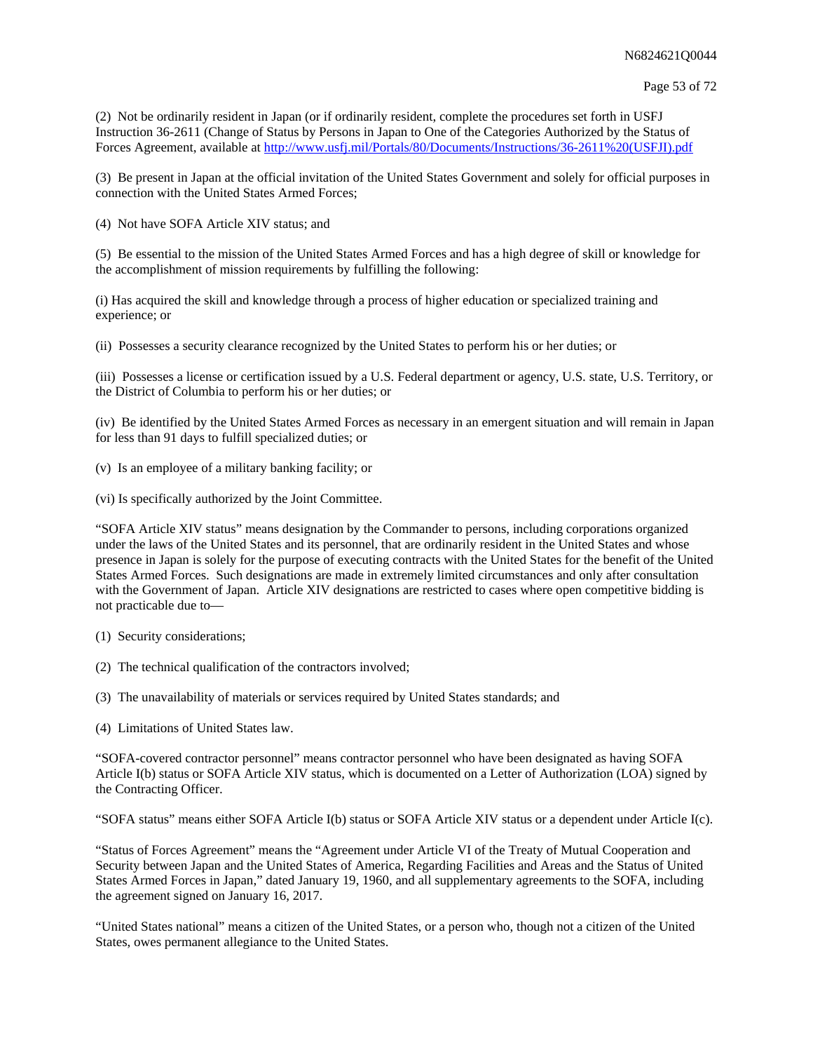(2) Not be ordinarily resident in Japan (or if ordinarily resident, complete the procedures set forth in USFJ Instruction 36-2611 (Change of Status by Persons in Japan to One of the Categories Authorized by the Status of Forces Agreement, available at [http://www.usfj.mil/Portals/80/Documents/Instructions/36-2611%20\(USFJI\).pdf](http://www.usfj.mil/Portals/80/Documents/Instructions/36-2611%20(USFJI).pdf) 

(3) Be present in Japan at the official invitation of the United States Government and solely for official purposes in connection with the United States Armed Forces;

(4) Not have SOFA Article XIV status; and

(5) Be essential to the mission of the United States Armed Forces and has a high degree of skill or knowledge for the accomplishment of mission requirements by fulfilling the following:

(i) Has acquired the skill and knowledge through a process of higher education or specialized training and experience; or

(ii) Possesses a security clearance recognized by the United States to perform his or her duties; or

(iii) Possesses a license or certification issued by a U.S. Federal department or agency, U.S. state, U.S. Territory, or the District of Columbia to perform his or her duties; or

(iv) Be identified by the United States Armed Forces as necessary in an emergent situation and will remain in Japan for less than 91 days to fulfill specialized duties; or

- (v) Is an employee of a military banking facility; or
- (vi) Is specifically authorized by the Joint Committee.

"SOFA Article XIV status" means designation by the Commander to persons, including corporations organized under the laws of the United States and its personnel, that are ordinarily resident in the United States and whose presence in Japan is solely for the purpose of executing contracts with the United States for the benefit of the United States Armed Forces. Such designations are made in extremely limited circumstances and only after consultation with the Government of Japan. Article XIV designations are restricted to cases where open competitive bidding is not practicable due to—

- (1) Security considerations;
- (2) The technical qualification of the contractors involved;
- (3) The unavailability of materials or services required by United States standards; and
- (4) Limitations of United States law.

"SOFA-covered contractor personnel" means contractor personnel who have been designated as having SOFA Article I(b) status or SOFA Article XIV status, which is documented on a Letter of Authorization (LOA) signed by the Contracting Officer.

"SOFA status" means either SOFA Article I(b) status or SOFA Article XIV status or a dependent under Article I(c).

"Status of Forces Agreement" means the "Agreement under Article VI of the Treaty of Mutual Cooperation and Security between Japan and the United States of America, Regarding Facilities and Areas and the Status of United States Armed Forces in Japan," dated January 19, 1960, and all supplementary agreements to the SOFA, including the agreement signed on January 16, 2017.

"United States national" means a citizen of the United States, or a person who, though not a citizen of the United States, owes permanent allegiance to the United States.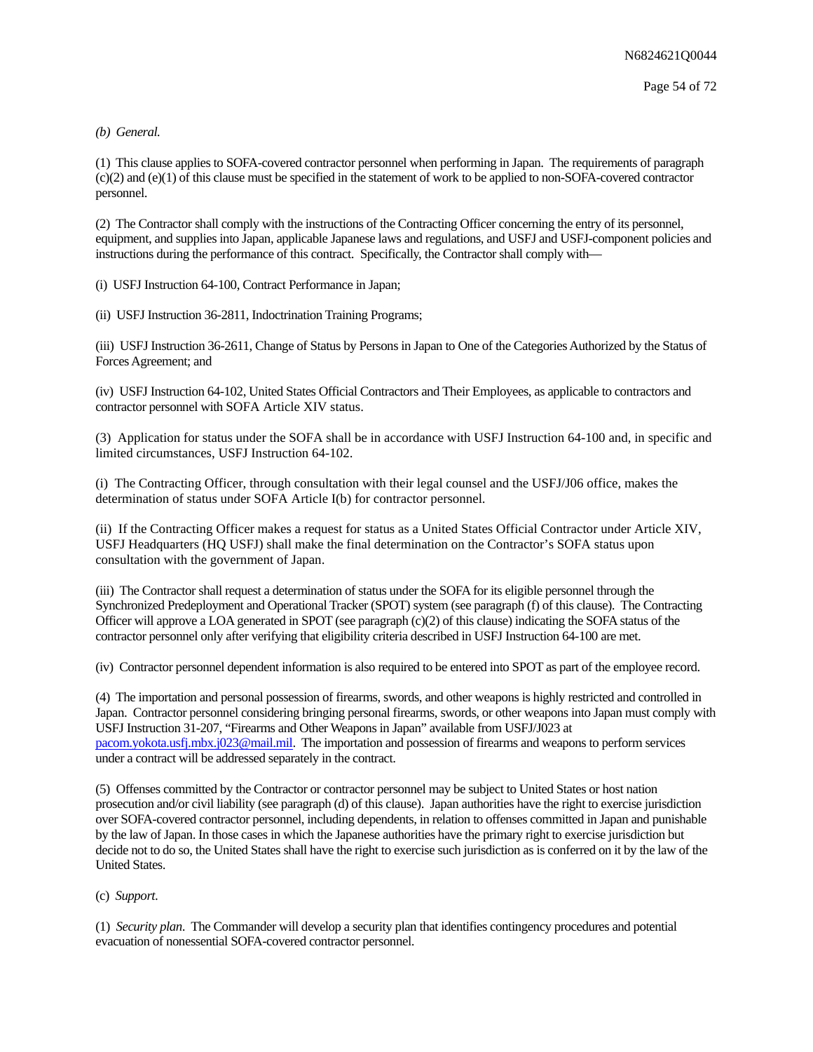*(b) General.* 

(1) This clause applies to SOFA-covered contractor personnel when performing in Japan. The requirements of paragraph  $(c)(2)$  and  $(e)(1)$  of this clause must be specified in the statement of work to be applied to non-SOFA-covered contractor personnel.

(2) The Contractor shall comply with the instructions of the Contracting Officer concerning the entry of its personnel, equipment, and supplies into Japan, applicable Japanese laws and regulations, and USFJ and USFJ-component policies and instructions during the performance of this contract. Specifically, the Contractor shall comply with—

(i) USFJ Instruction 64-100, Contract Performance in Japan;

(ii) USFJ Instruction 36-2811, Indoctrination Training Programs;

(iii) USFJ Instruction 36-2611, Change of Status by Persons in Japan to One of the Categories Authorized by the Status of Forces Agreement; and

(iv) USFJ Instruction 64-102, United States Official Contractors and Their Employees, as applicable to contractors and contractor personnel with SOFA Article XIV status.

(3) Application for status under the SOFA shall be in accordance with USFJ Instruction 64-100 and, in specific and limited circumstances, USFJ Instruction 64-102.

(i) The Contracting Officer, through consultation with their legal counsel and the USFJ/J06 office, makes the determination of status under SOFA Article I(b) for contractor personnel.

(ii) If the Contracting Officer makes a request for status as a United States Official Contractor under Article XIV, USFJ Headquarters (HQ USFJ) shall make the final determination on the Contractor's SOFA status upon consultation with the government of Japan.

(iii) The Contractor shall request a determination of status under the SOFA for its eligible personnel through the Synchronized Predeployment and Operational Tracker (SPOT) system (see paragraph (f) of this clause). The Contracting Officer will approve a LOA generated in SPOT (see paragraph  $(c)(2)$  of this clause) indicating the SOFA status of the contractor personnel only after verifying that eligibility criteria described in USFJ Instruction 64-100 are met.

(iv) Contractor personnel dependent information is also required to be entered into SPOT as part of the employee record.

(4) The importation and personal possession of firearms, swords, and other weapons is highly restricted and controlled in Japan. Contractor personnel considering bringing personal firearms, swords, or other weapons into Japan must comply with USFJ Instruction 31-207, "Firearms and Other Weapons in Japan" available from USFJ/J023 at [pacom.yokota.usfj.mbx.j023@mail.mil.](mailto:pacom.yokota.usfj.mbx.j023@mail.mil) The importation and possession of firearms and weapons to perform services under a contract will be addressed separately in the contract.

(5) Offenses committed by the Contractor or contractor personnel may be subject to United States or host nation prosecution and/or civil liability (see paragraph (d) of this clause). Japan authorities have the right to exercise jurisdiction over SOFA-covered contractor personnel, including dependents, in relation to offenses committed in Japan and punishable by the law of Japan. In those cases in which the Japanese authorities have the primary right to exercise jurisdiction but decide not to do so, the United States shall have the right to exercise such jurisdiction as is conferred on it by the law of the United States.

(c) *Support*.

(1) *Security plan*. The Commander will develop a security plan that identifies contingency procedures and potential evacuation of nonessential SOFA-covered contractor personnel.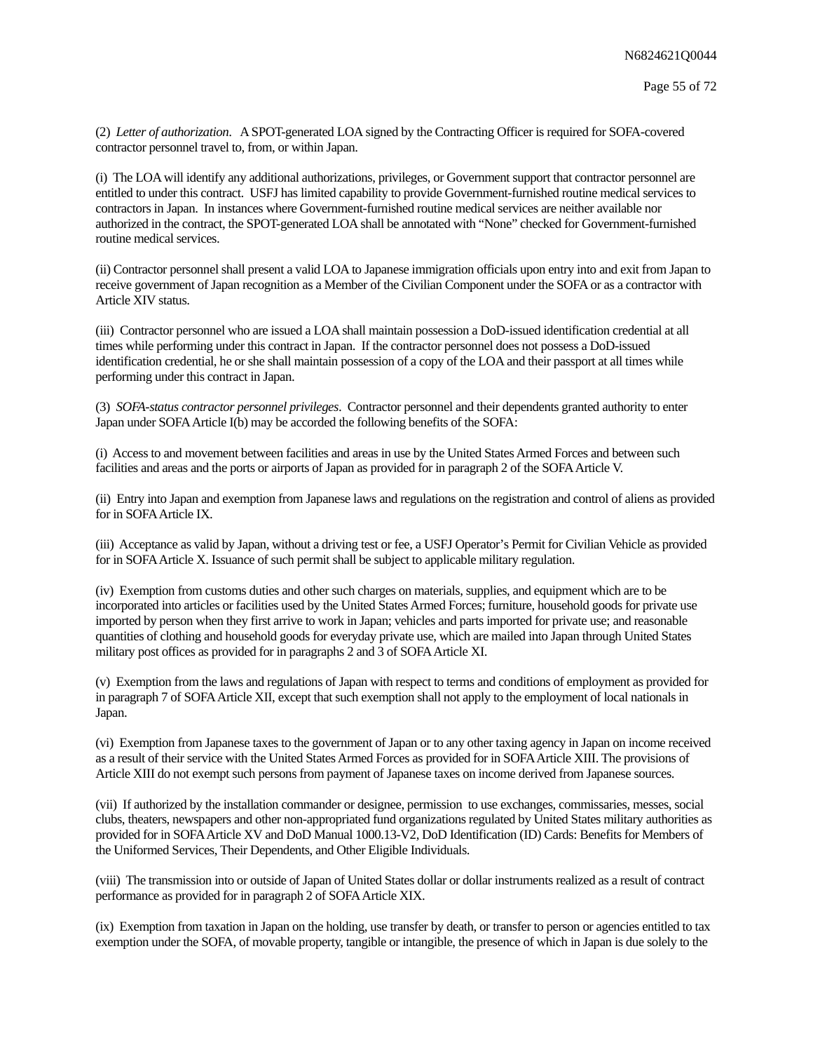(2) *Letter of authorization*. A SPOT-generated LOA signed by the Contracting Officer is required for SOFA-covered contractor personnel travel to, from, or within Japan.

(i) The LOA will identify any additional authorizations, privileges, or Government support that contractor personnel are entitled to under this contract. USFJ has limited capability to provide Government-furnished routine medical services to contractors in Japan. In instances where Government-furnished routine medical services are neither available nor authorized in the contract, the SPOT-generated LOA shall be annotated with "None" checked for Government-furnished routine medical services.

(ii) Contractor personnel shall present a valid LOA to Japanese immigration officials upon entry into and exit from Japan to receive government of Japan recognition as a Member of the Civilian Component under the SOFA or as a contractor with Article XIV status.

(iii) Contractor personnel who are issued a LOA shall maintain possession a DoD-issued identification credential at all times while performing under this contract in Japan. If the contractor personnel does not possess a DoD-issued identification credential, he or she shall maintain possession of a copy of the LOA and their passport at all times while performing under this contract in Japan.

(3) *SOFA-status contractor personnel privileges*. Contractor personnel and their dependents granted authority to enter Japan under SOFA Article I(b) may be accorded the following benefits of the SOFA:

(i) Access to and movement between facilities and areas in use by the United States Armed Forces and between such facilities and areas and the ports or airports of Japan as provided for in paragraph 2 of the SOFA Article V.

(ii) Entry into Japan and exemption from Japanese laws and regulations on the registration and control of aliens as provided for in SOFA Article IX.

(iii) Acceptance as valid by Japan, without a driving test or fee, a USFJ Operator's Permit for Civilian Vehicle as provided for in SOFA Article X. Issuance of such permit shall be subject to applicable military regulation.

(iv) Exemption from customs duties and other such charges on materials, supplies, and equipment which are to be incorporated into articles or facilities used by the United States Armed Forces; furniture, household goods for private use imported by person when they first arrive to work in Japan; vehicles and parts imported for private use; and reasonable quantities of clothing and household goods for everyday private use, which are mailed into Japan through United States military post offices as provided for in paragraphs 2 and 3 of SOFA Article XI.

(v) Exemption from the laws and regulations of Japan with respect to terms and conditions of employment as provided for in paragraph 7 of SOFA Article XII, except that such exemption shall not apply to the employment of local nationals in Japan.

(vi) Exemption from Japanese taxes to the government of Japan or to any other taxing agency in Japan on income received as a result of their service with the United States Armed Forces as provided for in SOFA Article XIII. The provisions of Article XIII do not exempt such persons from payment of Japanese taxes on income derived from Japanese sources.

(vii) If authorized by the installation commander or designee, permission to use exchanges, commissaries, messes, social clubs, theaters, newspapers and other non-appropriated fund organizations regulated by United States military authorities as provided for in SOFA Article XV and DoD Manual 1000.13-V2, DoD Identification (ID) Cards: Benefits for Members of the Uniformed Services, Their Dependents, and Other Eligible Individuals.

(viii) The transmission into or outside of Japan of United States dollar or dollar instruments realized as a result of contract performance as provided for in paragraph 2 of SOFA Article XIX.

(ix) Exemption from taxation in Japan on the holding, use transfer by death, or transfer to person or agencies entitled to tax exemption under the SOFA, of movable property, tangible or intangible, the presence of which in Japan is due solely to the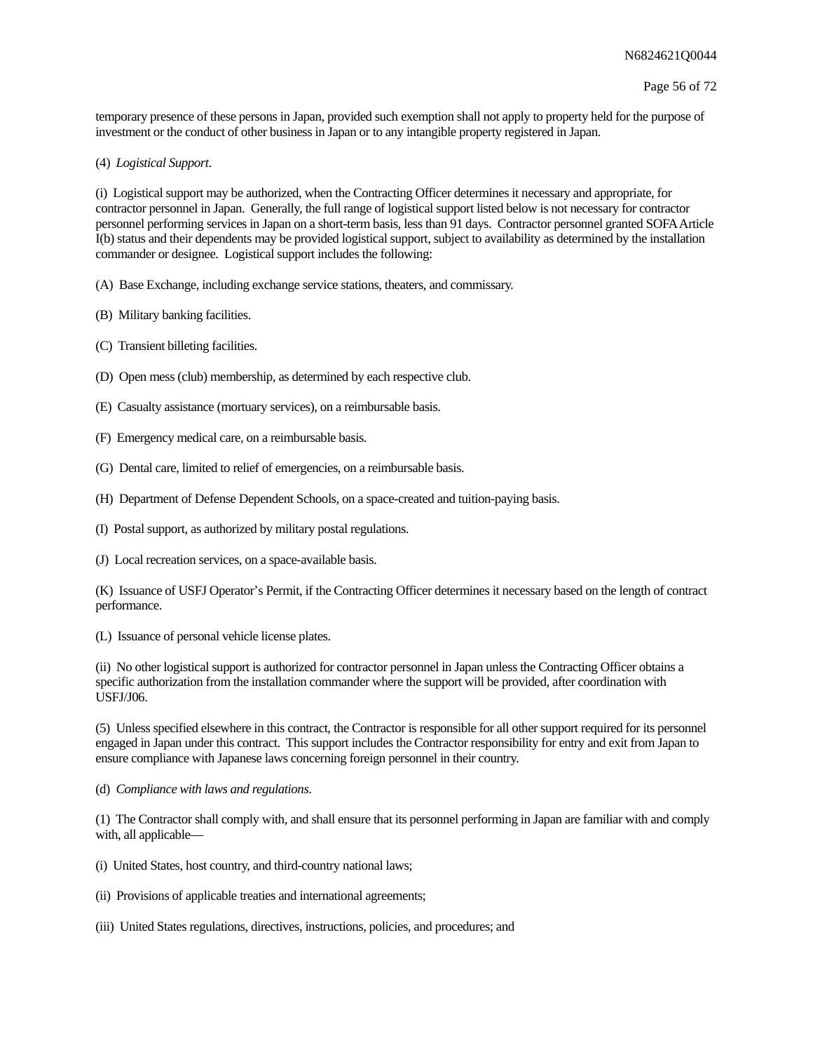temporary presence of these persons in Japan, provided such exemption shall not apply to property held for the purpose of investment or the conduct of other business in Japan or to any intangible property registered in Japan.

(4) *Logistical Support*.

(i) Logistical support may be authorized, when the Contracting Officer determines it necessary and appropriate, for contractor personnel in Japan. Generally, the full range of logistical support listed below is not necessary for contractor personnel performing services in Japan on a short-term basis, less than 91 days. Contractor personnel granted SOFA Article I(b) status and their dependents may be provided logistical support, subject to availability as determined by the installation commander or designee. Logistical support includes the following:

(A) Base Exchange, including exchange service stations, theaters, and commissary.

(B) Military banking facilities.

(C) Transient billeting facilities.

(D) Open mess (club) membership, as determined by each respective club.

(E) Casualty assistance (mortuary services), on a reimbursable basis.

(F) Emergency medical care, on a reimbursable basis.

(G) Dental care, limited to relief of emergencies, on a reimbursable basis.

(H) Department of Defense Dependent Schools, on a space-created and tuition-paying basis.

(I) Postal support, as authorized by military postal regulations.

(J) Local recreation services, on a space-available basis.

(K) Issuance of USFJ Operator's Permit, if the Contracting Officer determines it necessary based on the length of contract performance.

(L) Issuance of personal vehicle license plates.

(ii) No other logistical support is authorized for contractor personnel in Japan unless the Contracting Officer obtains a specific authorization from the installation commander where the support will be provided, after coordination with USFJ/J06.

(5) Unless specified elsewhere in this contract, the Contractor is responsible for all other support required for its personnel engaged in Japan under this contract. This support includes the Contractor responsibility for entry and exit from Japan to ensure compliance with Japanese laws concerning foreign personnel in their country.

(d) *Compliance with laws and regulations*.

(1) The Contractor shall comply with, and shall ensure that its personnel performing in Japan are familiar with and comply with, all applicable—

(i) United States, host country, and third-country national laws;

(ii) Provisions of applicable treaties and international agreements;

(iii) United States regulations, directives, instructions, policies, and procedures; and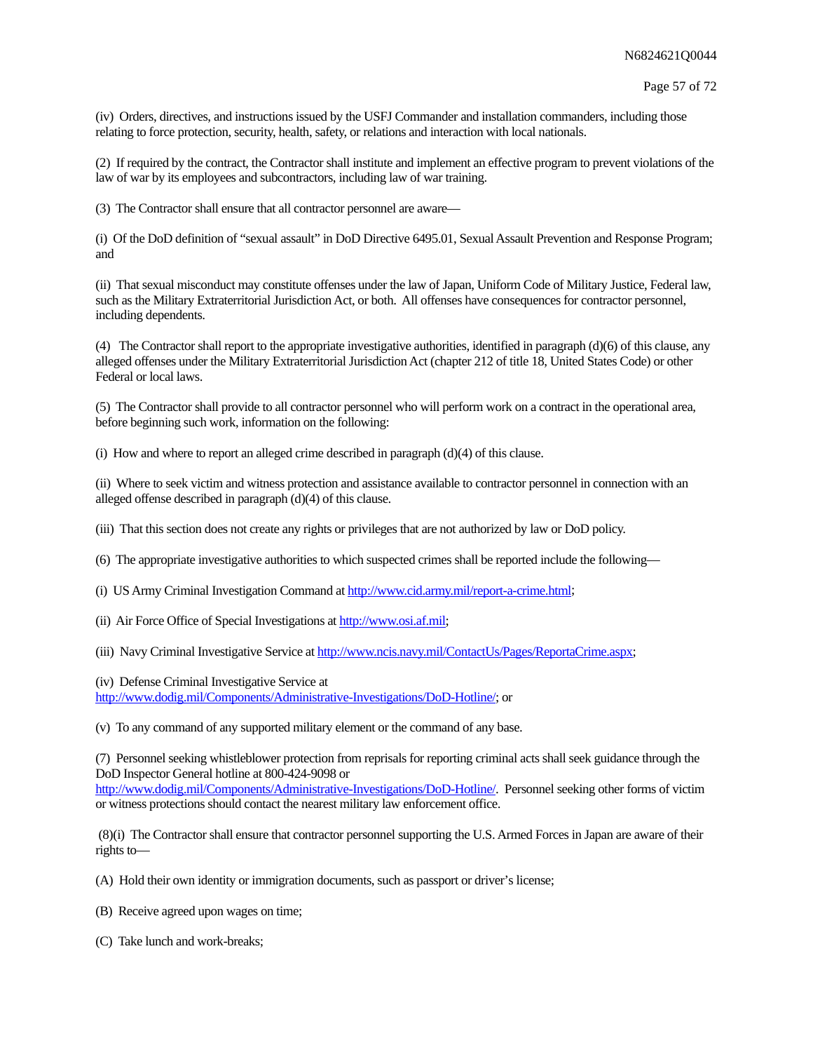(iv) Orders, directives, and instructions issued by the USFJ Commander and installation commanders, including those relating to force protection, security, health, safety, or relations and interaction with local nationals.

(2) If required by the contract, the Contractor shall institute and implement an effective program to prevent violations of the law of war by its employees and subcontractors, including law of war training.

(3) The Contractor shall ensure that all contractor personnel are aware—

(i) Of the DoD definition of "sexual assault" in DoD Directive 6495.01, Sexual Assault Prevention and Response Program; and

(ii) That sexual misconduct may constitute offenses under the law of Japan, Uniform Code of Military Justice, Federal law, such as the Military Extraterritorial Jurisdiction Act, or both. All offenses have consequences for contractor personnel, including dependents.

(4) The Contractor shall report to the appropriate investigative authorities, identified in paragraph (d)(6) of this clause, any alleged offenses under the Military Extraterritorial Jurisdiction Act (chapter 212 of title 18, United States Code) or other Federal or local laws.

(5) The Contractor shall provide to all contractor personnel who will perform work on a contract in the operational area, before beginning such work, information on the following:

(i) How and where to report an alleged crime described in paragraph (d)(4) of this clause.

(ii) Where to seek victim and witness protection and assistance available to contractor personnel in connection with an alleged offense described in paragraph (d)(4) of this clause.

(iii) That this section does not create any rights or privileges that are not authorized by law or DoD policy.

(6) The appropriate investigative authorities to which suspected crimes shall be reported include the following—

(i) US Army Criminal Investigation Command at [http://www.cid.army.mil/report-a-crime.html;](http://www.cid.army.mil/report-a-crime.html)

(ii) Air Force Office of Special Investigations a[t http://www.osi.af.mil;](http://www.osi.af.mil/)

(iii) Navy Criminal Investigative Service a[t http://www.ncis.navy.mil/ContactUs/Pages/ReportaCrime.aspx;](http://www.ncis.navy.mil/ContactUs/Pages/ReportaCrime.aspx)

(iv) Defense Criminal Investigative Service at [http://www.dodig.mil/Components/Administrative-Investigations/DoD-Hotline/;](http://www.dodig.mil/Components/Administrative-Investigations/DoD-Hotline/) or

(v) To any command of any supported military element or the command of any base.

(7) Personnel seeking whistleblower protection from reprisals for reporting criminal acts shall seek guidance through the DoD Inspector General hotline at 800-424-9098 or

[http://www.dodig.mil/Components/Administrative-Investigations/DoD-Hotline/.](http://www.dodig.mil/Components/Administrative-Investigations/DoD-Hotline/) Personnel seeking other forms of victim or witness protections should contact the nearest military law enforcement office.

(8)(i) The Contractor shall ensure that contractor personnel supporting the U.S. Armed Forces in Japan are aware of their rights to—

(A) Hold their own identity or immigration documents, such as passport or driver's license;

(B) Receive agreed upon wages on time;

(C) Take lunch and work-breaks;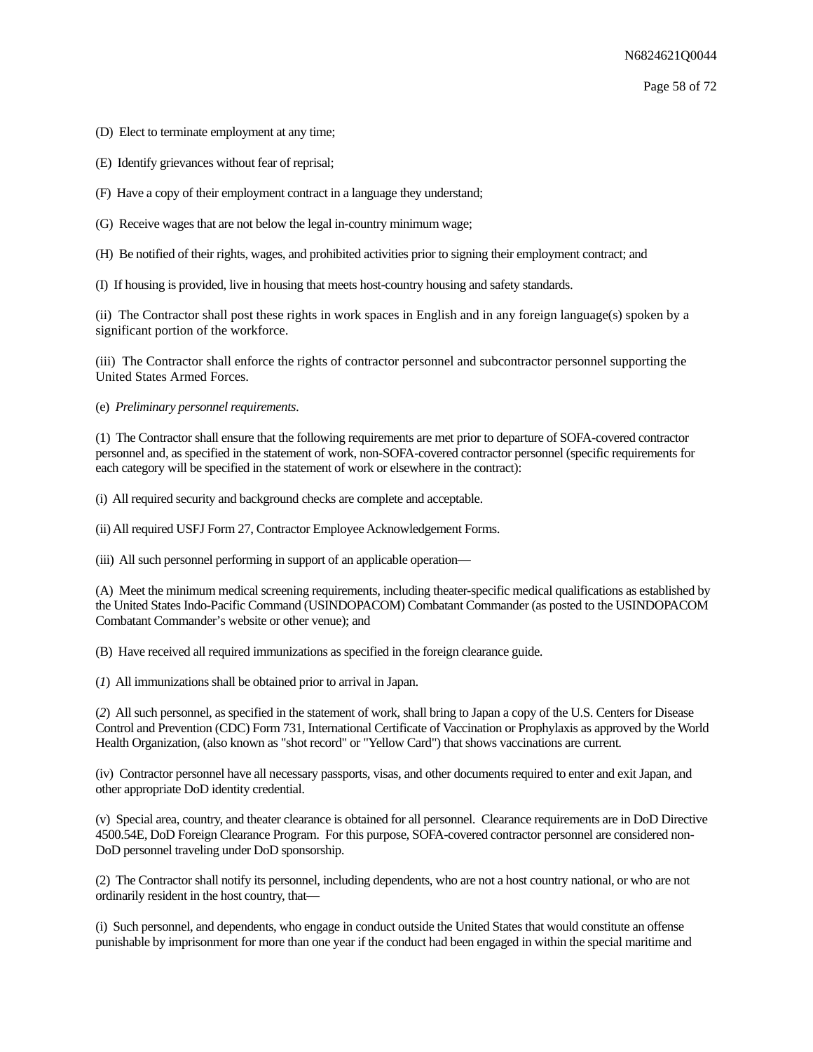(D) Elect to terminate employment at any time;

- (E) Identify grievances without fear of reprisal;
- (F) Have a copy of their employment contract in a language they understand;
- (G) Receive wages that are not below the legal in-country minimum wage;
- (H) Be notified of their rights, wages, and prohibited activities prior to signing their employment contract; and
- (I) If housing is provided, live in housing that meets host-country housing and safety standards.

(ii) The Contractor shall post these rights in work spaces in English and in any foreign language(s) spoken by a significant portion of the workforce.

(iii) The Contractor shall enforce the rights of contractor personnel and subcontractor personnel supporting the United States Armed Forces.

(e) *Preliminary personnel requirements*.

(1) The Contractor shall ensure that the following requirements are met prior to departure of SOFA-covered contractor personnel and, as specified in the statement of work, non-SOFA-covered contractor personnel (specific requirements for each category will be specified in the statement of work or elsewhere in the contract):

(i) All required security and background checks are complete and acceptable.

(ii) All required USFJ Form 27, Contractor Employee Acknowledgement Forms.

(iii) All such personnel performing in support of an applicable operation—

(A) Meet the minimum medical screening requirements, including theater-specific medical qualifications as established by the United States Indo-Pacific Command (USINDOPACOM) Combatant Commander (as posted to the USINDOPACOM Combatant Commander's website or other venue); and

(B) Have received all required immunizations as specified in the foreign clearance guide.

(*1*) All immunizations shall be obtained prior to arrival in Japan.

(*2*) All such personnel, as specified in the statement of work, shall bring to Japan a copy of the U.S. Centers for Disease Control and Prevention (CDC) Form 731, International Certificate of Vaccination or Prophylaxis as approved by the World Health Organization, (also known as "shot record" or "Yellow Card") that shows vaccinations are current.

(iv) Contractor personnel have all necessary passports, visas, and other documents required to enter and exit Japan, and other appropriate DoD identity credential.

(v) Special area, country, and theater clearance is obtained for all personnel. Clearance requirements are in DoD Directive 4500.54E, DoD Foreign Clearance Program. For this purpose, SOFA-covered contractor personnel are considered non-DoD personnel traveling under DoD sponsorship.

(2) The Contractor shall notify its personnel, including dependents, who are not a host country national, or who are not ordinarily resident in the host country, that—

(i) Such personnel, and dependents, who engage in conduct outside the United States that would constitute an offense punishable by imprisonment for more than one year if the conduct had been engaged in within the special maritime and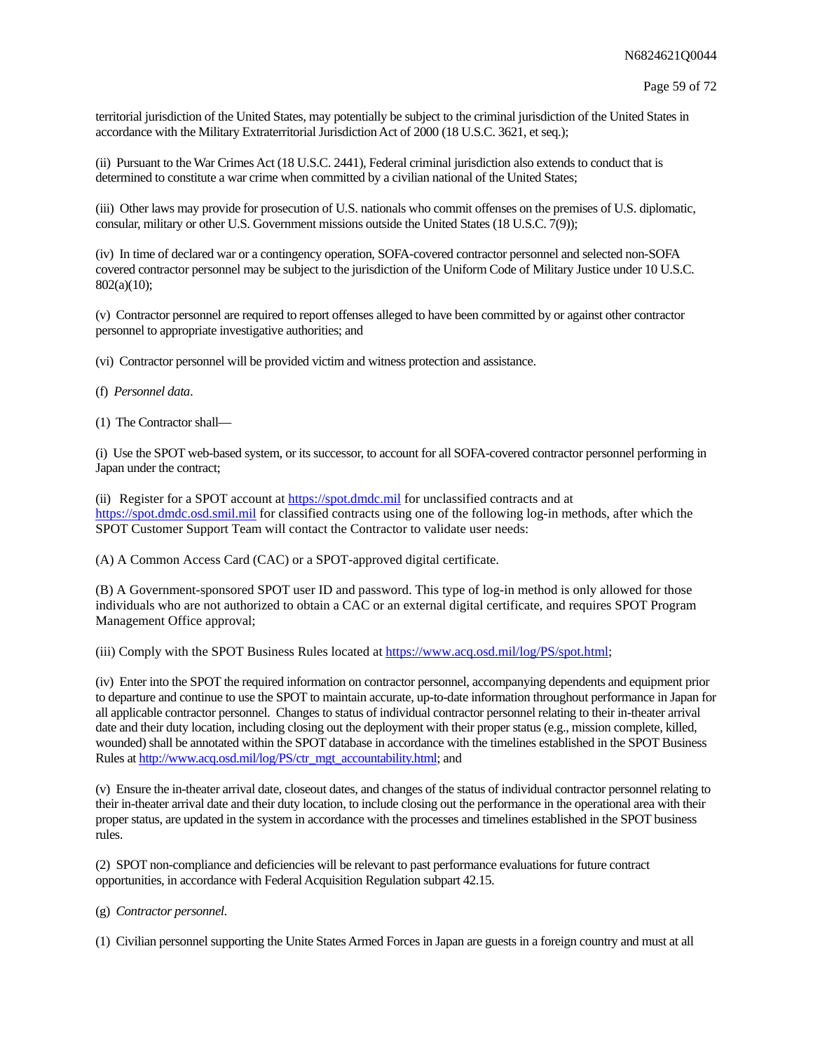territorial jurisdiction of the United States, may potentially be subject to the criminal jurisdiction of the United States in accordance with the Military Extraterritorial Jurisdiction Act of 2000 (18 U.S.C. 3621, et seq.);

(ii) Pursuant to the War Crimes Act (18 U.S.C. 2441), Federal criminal jurisdiction also extends to conduct that is determined to constitute a war crime when committed by a civilian national of the United States;

(iii) Other laws may provide for prosecution of U.S. nationals who commit offenses on the premises of U.S. diplomatic, consular, military or other U.S. Government missions outside the United States (18 U.S.C. 7(9));

(iv) In time of declared war or a contingency operation, SOFA-covered contractor personnel and selected non-SOFA covered contractor personnel may be subject to the jurisdiction of the Uniform Code of Military Justice under 10 U.S.C. 802(a)(10);

(v) Contractor personnel are required to report offenses alleged to have been committed by or against other contractor personnel to appropriate investigative authorities; and

(vi) Contractor personnel will be provided victim and witness protection and assistance.

#### (f) *Personnel data*.

(1) The Contractor shall—

(i) Use the SPOT web-based system, or its successor, to account for all SOFA-covered contractor personnel performing in Japan under the contract;

(ii) Register for a SPOT account at [https://spot.dmdc.mil](https://spot.dmdc.mil/) for unclassified contracts and at [https://spot.dmdc.osd.smil.mil](https://spot.dmdc.osd.smil.mil/) for classified contracts using one of the following log-in methods, after which the SPOT Customer Support Team will contact the Contractor to validate user needs:

(A) A Common Access Card (CAC) or a SPOT-approved digital certificate.

(B) A Government-sponsored SPOT user ID and password. This type of log-in method is only allowed for those individuals who are not authorized to obtain a CAC or an external digital certificate, and requires SPOT Program Management Office approval;

(iii) Comply with the SPOT Business Rules located a[t https://www.acq.osd.mil/log/PS/spot.html;](https://www.acq.osd.mil/log/PS/spot.html)

(iv) Enter into the SPOT the required information on contractor personnel, accompanying dependents and equipment prior to departure and continue to use the SPOT to maintain accurate, up-to-date information throughout performance in Japan for all applicable contractor personnel. Changes to status of individual contractor personnel relating to their in-theater arrival date and their duty location, including closing out the deployment with their proper status (e.g., mission complete, killed, wounded) shall be annotated within the SPOT database in accordance with the timelines established in the SPOT Business Rules a[t http://www.acq.osd.mil/log/PS/ctr\\_mgt\\_accountability.html;](http://www.acq.osd.mil/log/PS/ctr_mgt_accountability.html) and

(v) Ensure the in-theater arrival date, closeout dates, and changes of the status of individual contractor personnel relating to their in-theater arrival date and their duty location, to include closing out the performance in the operational area with their proper status, are updated in the system in accordance with the processes and timelines established in the SPOT business rules.

(2) SPOT non-compliance and deficiencies will be relevant to past performance evaluations for future contract opportunities, in accordance with Federal Acquisition Regulation subpart 42.15.

(g) *Contractor personnel*.

(1) Civilian personnel supporting the Unite States Armed Forces in Japan are guests in a foreign country and must at all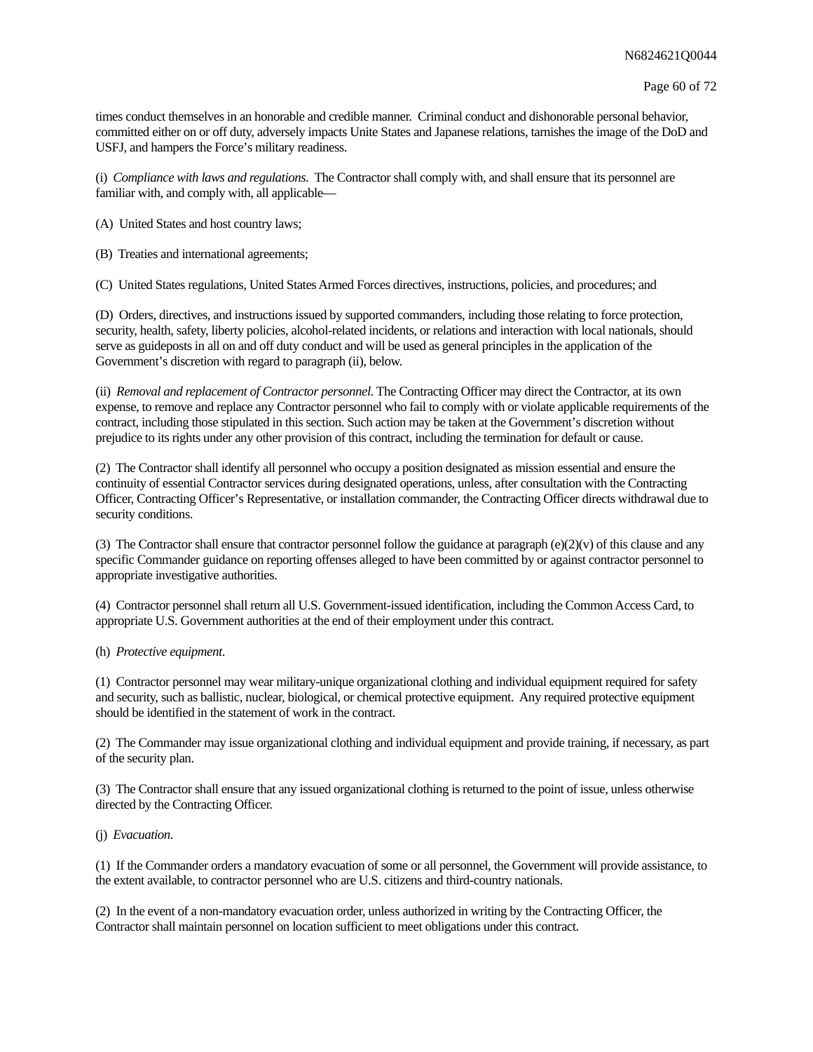times conduct themselves in an honorable and credible manner. Criminal conduct and dishonorable personal behavior, committed either on or off duty, adversely impacts Unite States and Japanese relations, tarnishes the image of the DoD and USFJ, and hampers the Force's military readiness.

(i) *Compliance with laws and regulations*. The Contractor shall comply with, and shall ensure that its personnel are familiar with, and comply with, all applicable—

(A) United States and host country laws;

(B) Treaties and international agreements;

(C) United States regulations, United States Armed Forces directives, instructions, policies, and procedures; and

(D) Orders, directives, and instructions issued by supported commanders, including those relating to force protection, security, health, safety, liberty policies, alcohol-related incidents, or relations and interaction with local nationals, should serve as guideposts in all on and off duty conduct and will be used as general principles in the application of the Government's discretion with regard to paragraph (ii), below.

(ii) *Removal and replacement of Contractor personnel*. The Contracting Officer may direct the Contractor, at its own expense, to remove and replace any Contractor personnel who fail to comply with or violate applicable requirements of the contract, including those stipulated in this section. Such action may be taken at the Government's discretion without prejudice to its rights under any other provision of this contract, including the termination for default or cause.

(2) The Contractor shall identify all personnel who occupy a position designated as mission essential and ensure the continuity of essential Contractor services during designated operations, unless, after consultation with the Contracting Officer, Contracting Officer's Representative, or installation commander, the Contracting Officer directs withdrawal due to security conditions.

(3) The Contractor shall ensure that contractor personnel follow the guidance at paragraph  $(e)(2)(v)$  of this clause and any specific Commander guidance on reporting offenses alleged to have been committed by or against contractor personnel to appropriate investigative authorities.

(4) Contractor personnel shall return all U.S. Government-issued identification, including the Common Access Card, to appropriate U.S. Government authorities at the end of their employment under this contract.

(h) *Protective equipment*.

(1) Contractor personnel may wear military-unique organizational clothing and individual equipment required for safety and security, such as ballistic, nuclear, biological, or chemical protective equipment. Any required protective equipment should be identified in the statement of work in the contract.

(2) The Commander may issue organizational clothing and individual equipment and provide training, if necessary, as part of the security plan.

(3) The Contractor shall ensure that any issued organizational clothing is returned to the point of issue, unless otherwise directed by the Contracting Officer.

(j) *Evacuation*.

(1) If the Commander orders a mandatory evacuation of some or all personnel, the Government will provide assistance, to the extent available, to contractor personnel who are U.S. citizens and third-country nationals.

(2) In the event of a non-mandatory evacuation order, unless authorized in writing by the Contracting Officer, the Contractor shall maintain personnel on location sufficient to meet obligations under this contract.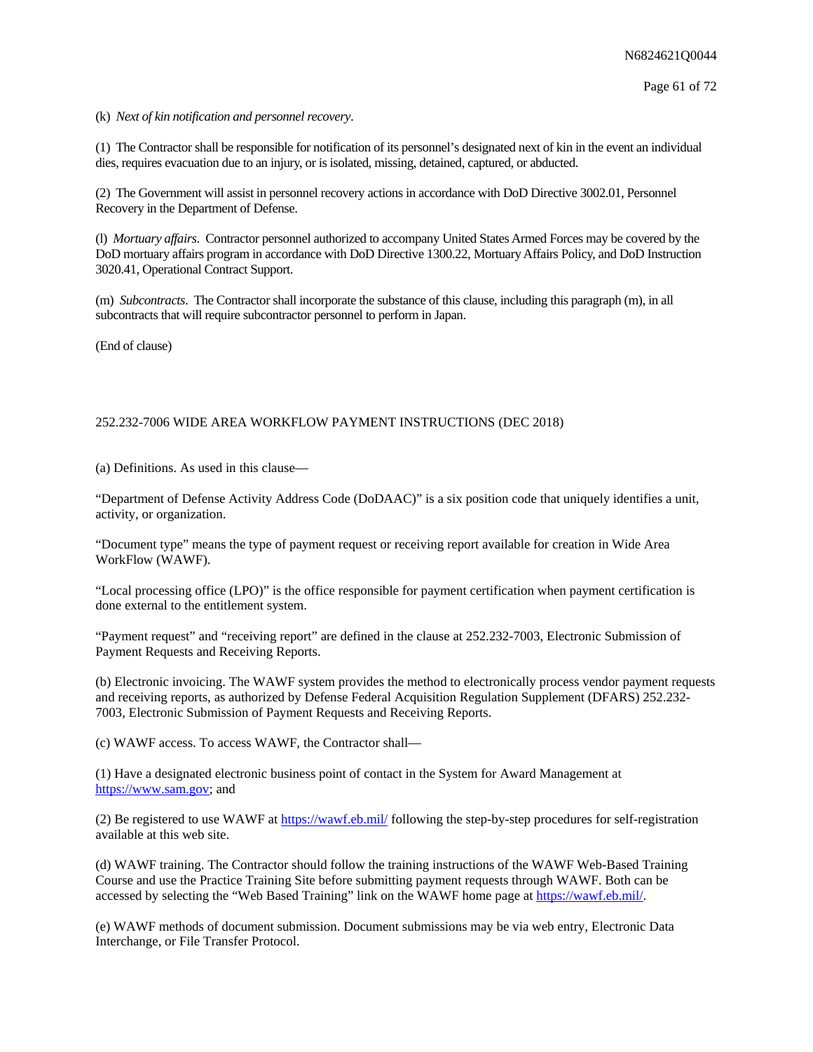(k) *Next of kin notification and personnel recovery*.

(1) The Contractor shall be responsible for notification of its personnel's designated next of kin in the event an individual dies, requires evacuation due to an injury, or is isolated, missing, detained, captured, or abducted.

(2) The Government will assist in personnel recovery actions in accordance with DoD Directive 3002.01, Personnel Recovery in the Department of Defense.

(l) *Mortuary affairs*. Contractor personnel authorized to accompany United States Armed Forces may be covered by the DoD mortuary affairs program in accordance with DoD Directive 1300.22, Mortuary Affairs Policy, and DoD Instruction 3020.41, Operational Contract Support.

(m) *Subcontracts*. The Contractor shall incorporate the substance of this clause, including this paragraph (m), in all subcontracts that will require subcontractor personnel to perform in Japan.

(End of clause)

## 252.232-7006 WIDE AREA WORKFLOW PAYMENT INSTRUCTIONS (DEC 2018)

(a) Definitions. As used in this clause—

"Department of Defense Activity Address Code (DoDAAC)" is a six position code that uniquely identifies a unit, activity, or organization.

"Document type" means the type of payment request or receiving report available for creation in Wide Area WorkFlow (WAWF).

"Local processing office (LPO)" is the office responsible for payment certification when payment certification is done external to the entitlement system.

"Payment request" and "receiving report" are defined in the clause at 252.232-7003, Electronic Submission of Payment Requests and Receiving Reports.

(b) Electronic invoicing. The WAWF system provides the method to electronically process vendor payment requests and receiving reports, as authorized by Defense Federal Acquisition Regulation Supplement (DFARS) 252.232- 7003, Electronic Submission of Payment Requests and Receiving Reports.

(c) WAWF access. To access WAWF, the Contractor shall—

(1) Have a designated electronic business point of contact in the System for Award Management at [https://www.sam.gov;](https://www.sam.gov/) and

(2) Be registered to use WAWF a[t https://wawf.eb.mil/](https://wawf.eb.mil/) following the step-by-step procedures for self-registration available at this web site.

(d) WAWF training. The Contractor should follow the training instructions of the WAWF Web-Based Training Course and use the Practice Training Site before submitting payment requests through WAWF. Both can be accessed by selecting the "Web Based Training" link on the WAWF home page at [https://wawf.eb.mil/.](https://wawf.eb.mil/)

(e) WAWF methods of document submission. Document submissions may be via web entry, Electronic Data Interchange, or File Transfer Protocol.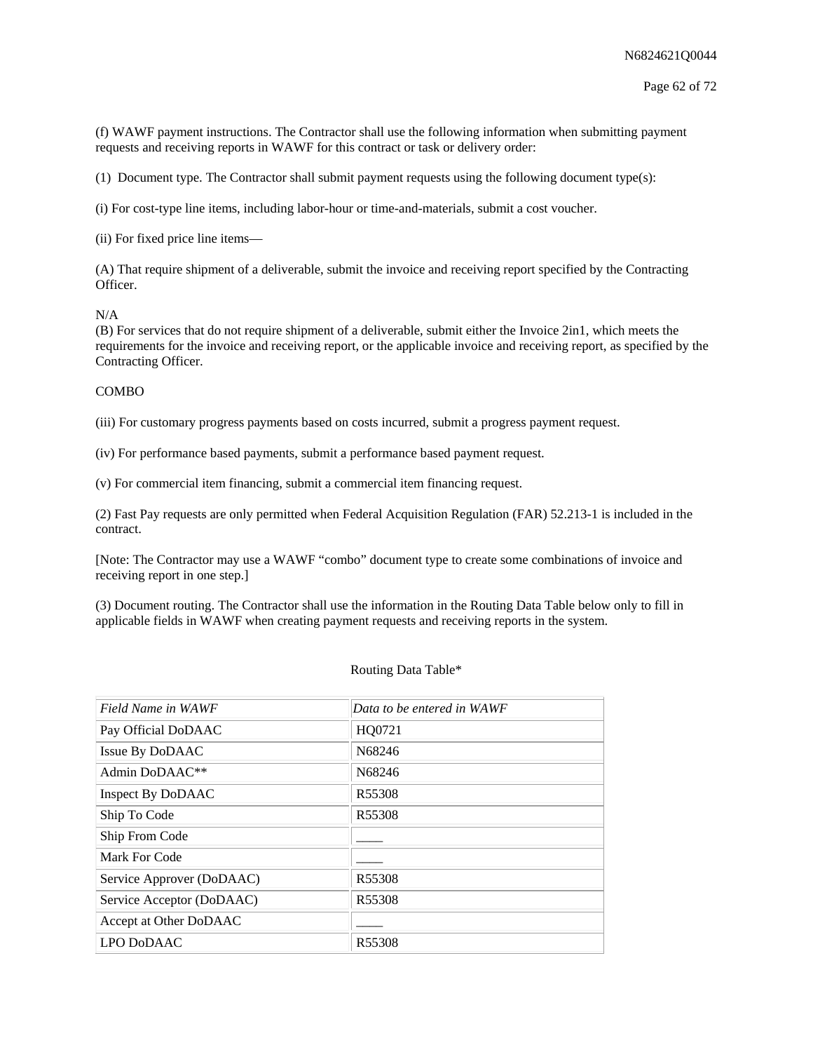(f) WAWF payment instructions. The Contractor shall use the following information when submitting payment requests and receiving reports in WAWF for this contract or task or delivery order:

(1) Document type. The Contractor shall submit payment requests using the following document type(s):

(i) For cost-type line items, including labor-hour or time-and-materials, submit a cost voucher.

(ii) For fixed price line items—

(A) That require shipment of a deliverable, submit the invoice and receiving report specified by the Contracting Officer.

N/A

(B) For services that do not require shipment of a deliverable, submit either the Invoice 2in1, which meets the requirements for the invoice and receiving report, or the applicable invoice and receiving report, as specified by the Contracting Officer.

#### COMBO

(iii) For customary progress payments based on costs incurred, submit a progress payment request.

(iv) For performance based payments, submit a performance based payment request.

(v) For commercial item financing, submit a commercial item financing request.

(2) Fast Pay requests are only permitted when Federal Acquisition Regulation (FAR) 52.213-1 is included in the contract.

[Note: The Contractor may use a WAWF "combo" document type to create some combinations of invoice and receiving report in one step.]

(3) Document routing. The Contractor shall use the information in the Routing Data Table below only to fill in applicable fields in WAWF when creating payment requests and receiving reports in the system.

#### Routing Data Table\*

| Field Name in WAWF        | Data to be entered in WAWF |
|---------------------------|----------------------------|
| Pay Official DoDAAC       | HQ0721                     |
| Issue By DoDAAC           | N68246                     |
| Admin DoDAAC**            | N68246                     |
| Inspect By DoDAAC         | R55308                     |
| Ship To Code              | R55308                     |
| Ship From Code            |                            |
| Mark For Code             |                            |
| Service Approver (DoDAAC) | R55308                     |
| Service Acceptor (DoDAAC) | R55308                     |
| Accept at Other DoDAAC    |                            |
| LPO DoDAAC                | R55308                     |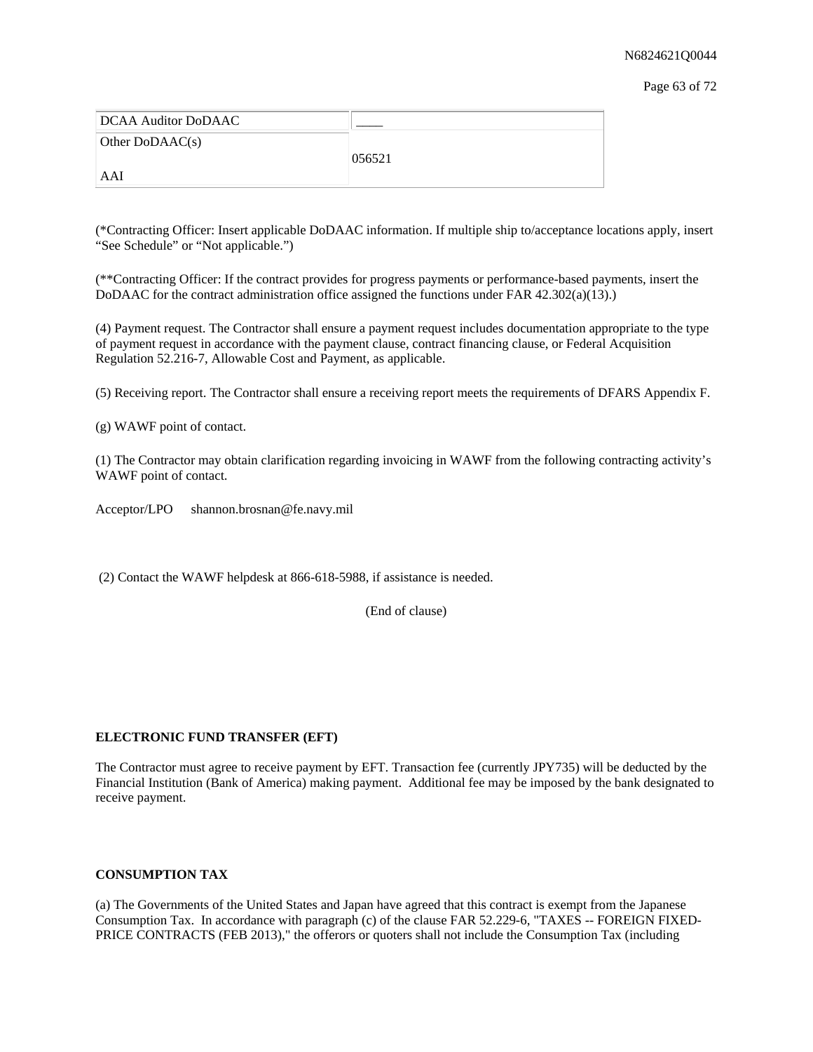### N6824621Q0044

## Page 63 of 72

| DCAA Auditor DoDAAC |        |
|---------------------|--------|
| Other $DoDAAC(s)$   | 056521 |
| AAI                 |        |

(\*Contracting Officer: Insert applicable DoDAAC information. If multiple ship to/acceptance locations apply, insert "See Schedule" or "Not applicable.")

(\*\*Contracting Officer: If the contract provides for progress payments or performance-based payments, insert the DoDAAC for the contract administration office assigned the functions under FAR 42.302(a)(13).)

(4) Payment request. The Contractor shall ensure a payment request includes documentation appropriate to the type of payment request in accordance with the payment clause, contract financing clause, or Federal Acquisition Regulation 52.216-7, Allowable Cost and Payment, as applicable.

(5) Receiving report. The Contractor shall ensure a receiving report meets the requirements of DFARS Appendix F.

(g) WAWF point of contact.

(1) The Contractor may obtain clarification regarding invoicing in WAWF from the following contracting activity's WAWF point of contact.

Acceptor/LPO shannon.brosnan@fe.navy.mil

(2) Contact the WAWF helpdesk at 866-618-5988, if assistance is needed.

(End of clause)

#### **ELECTRONIC FUND TRANSFER (EFT)**

The Contractor must agree to receive payment by EFT. Transaction fee (currently JPY735) will be deducted by the Financial Institution (Bank of America) making payment. Additional fee may be imposed by the bank designated to receive payment.

## **CONSUMPTION TAX**

(a) The Governments of the United States and Japan have agreed that this contract is exempt from the Japanese Consumption Tax. In accordance with paragraph (c) of the clause FAR 52.229-6, "TAXES -- FOREIGN FIXED-PRICE CONTRACTS (FEB 2013)," the offerors or quoters shall not include the Consumption Tax (including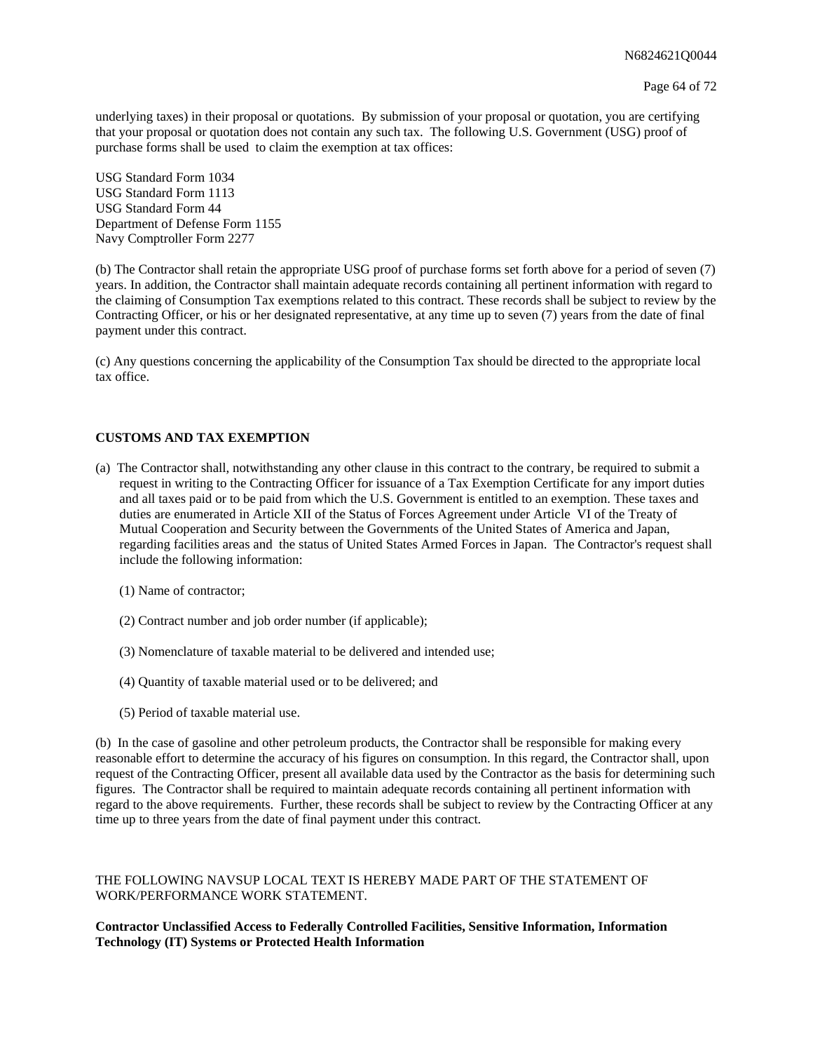underlying taxes) in their proposal or quotations. By submission of your proposal or quotation, you are certifying that your proposal or quotation does not contain any such tax. The following U.S. Government (USG) proof of purchase forms shall be used to claim the exemption at tax offices:

USG Standard Form 1034 USG Standard Form 1113 USG Standard Form 44 Department of Defense Form 1155 Navy Comptroller Form 2277

(b) The Contractor shall retain the appropriate USG proof of purchase forms set forth above for a period of seven (7) years. In addition, the Contractor shall maintain adequate records containing all pertinent information with regard to the claiming of Consumption Tax exemptions related to this contract. These records shall be subject to review by the Contracting Officer, or his or her designated representative, at any time up to seven (7) years from the date of final payment under this contract.

(c) Any questions concerning the applicability of the Consumption Tax should be directed to the appropriate local tax office.

## **CUSTOMS AND TAX EXEMPTION**

- (a) The Contractor shall, notwithstanding any other clause in this contract to the contrary, be required to submit a request in writing to the Contracting Officer for issuance of a Tax Exemption Certificate for any import duties and all taxes paid or to be paid from which the U.S. Government is entitled to an exemption. These taxes and duties are enumerated in Article XII of the Status of Forces Agreement under Article VI of the Treaty of Mutual Cooperation and Security between the Governments of the United States of America and Japan, regarding facilities areas and the status of United States Armed Forces in Japan. The Contractor's request shall include the following information:
	- (1) Name of contractor;
	- (2) Contract number and job order number (if applicable);
	- (3) Nomenclature of taxable material to be delivered and intended use;
	- (4) Quantity of taxable material used or to be delivered; and
	- (5) Period of taxable material use.

(b) In the case of gasoline and other petroleum products, the Contractor shall be responsible for making every reasonable effort to determine the accuracy of his figures on consumption. In this regard, the Contractor shall, upon request of the Contracting Officer, present all available data used by the Contractor as the basis for determining such figures. The Contractor shall be required to maintain adequate records containing all pertinent information with regard to the above requirements. Further, these records shall be subject to review by the Contracting Officer at any time up to three years from the date of final payment under this contract.

## THE FOLLOWING NAVSUP LOCAL TEXT IS HEREBY MADE PART OF THE STATEMENT OF WORK/PERFORMANCE WORK STATEMENT.

### **Contractor Unclassified Access to Federally Controlled Facilities, Sensitive Information, Information Technology (IT) Systems or Protected Health Information**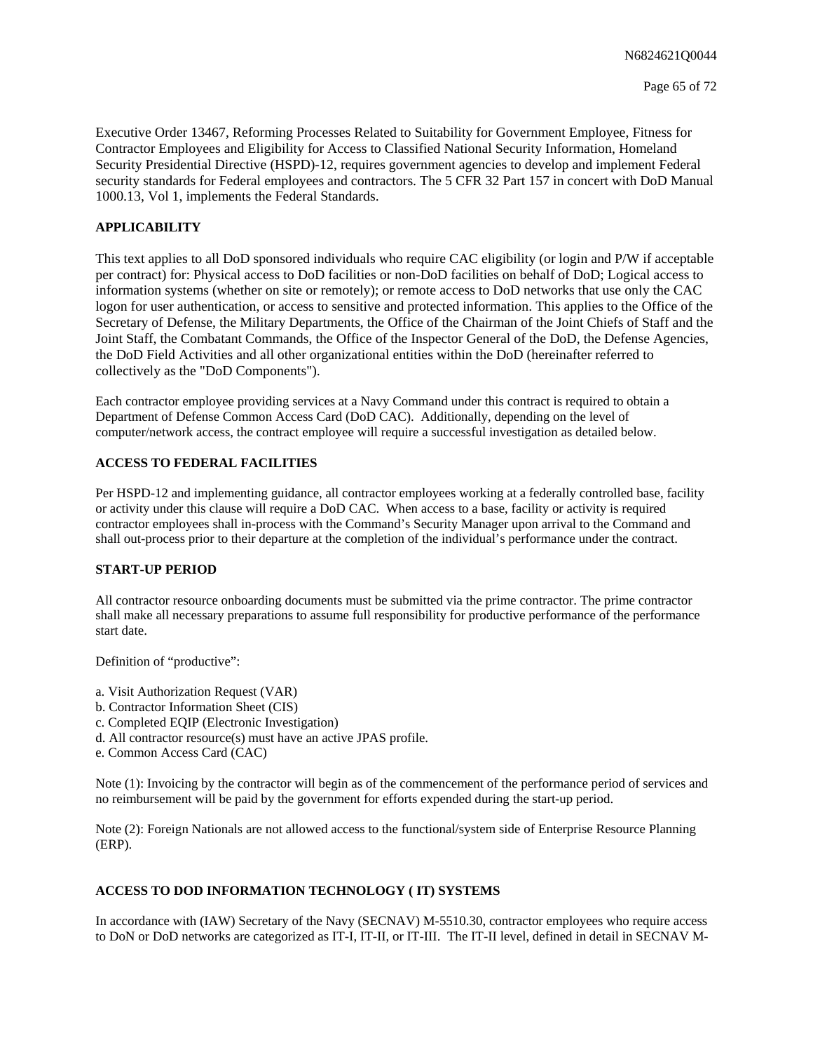Executive Order 13467, Reforming Processes Related to Suitability for Government Employee, Fitness for Contractor Employees and Eligibility for Access to Classified National Security Information, Homeland Security Presidential Directive (HSPD)-12, requires government agencies to develop and implement Federal security standards for Federal employees and contractors. The 5 CFR 32 Part 157 in concert with DoD Manual 1000.13, Vol 1, implements the Federal Standards.

## **APPLICABILITY**

This text applies to all DoD sponsored individuals who require CAC eligibility (or login and P/W if acceptable per contract) for: Physical access to DoD facilities or non-DoD facilities on behalf of DoD; Logical access to information systems (whether on site or remotely); or remote access to DoD networks that use only the CAC logon for user authentication, or access to sensitive and protected information. This applies to the Office of the Secretary of Defense, the Military Departments, the Office of the Chairman of the Joint Chiefs of Staff and the Joint Staff, the Combatant Commands, the Office of the Inspector General of the DoD, the Defense Agencies, the DoD Field Activities and all other organizational entities within the DoD (hereinafter referred to collectively as the "DoD Components").

Each contractor employee providing services at a Navy Command under this contract is required to obtain a Department of Defense Common Access Card (DoD CAC). Additionally, depending on the level of computer/network access, the contract employee will require a successful investigation as detailed below.

## **ACCESS TO FEDERAL FACILITIES**

Per HSPD-12 and implementing guidance, all contractor employees working at a federally controlled base, facility or activity under this clause will require a DoD CAC. When access to a base, facility or activity is required contractor employees shall in-process with the Command's Security Manager upon arrival to the Command and shall out-process prior to their departure at the completion of the individual's performance under the contract.

# **START-UP PERIOD**

All contractor resource onboarding documents must be submitted via the prime contractor. The prime contractor shall make all necessary preparations to assume full responsibility for productive performance of the performance start date.

Definition of "productive":

- a. Visit Authorization Request (VAR)
- b. Contractor Information Sheet (CIS)
- c. Completed EQIP (Electronic Investigation)
- d. All contractor resource(s) must have an active JPAS profile.
- e. Common Access Card (CAC)

Note (1): Invoicing by the contractor will begin as of the commencement of the performance period of services and no reimbursement will be paid by the government for efforts expended during the start-up period.

Note (2): Foreign Nationals are not allowed access to the functional/system side of Enterprise Resource Planning (ERP).

## **ACCESS TO DOD INFORMATION TECHNOLOGY ( IT) SYSTEMS**

In accordance with (IAW) Secretary of the Navy (SECNAV) M-5510.30, contractor employees who require access to DoN or DoD networks are categorized as IT-I, IT-II, or IT-III. The IT-II level, defined in detail in SECNAV M-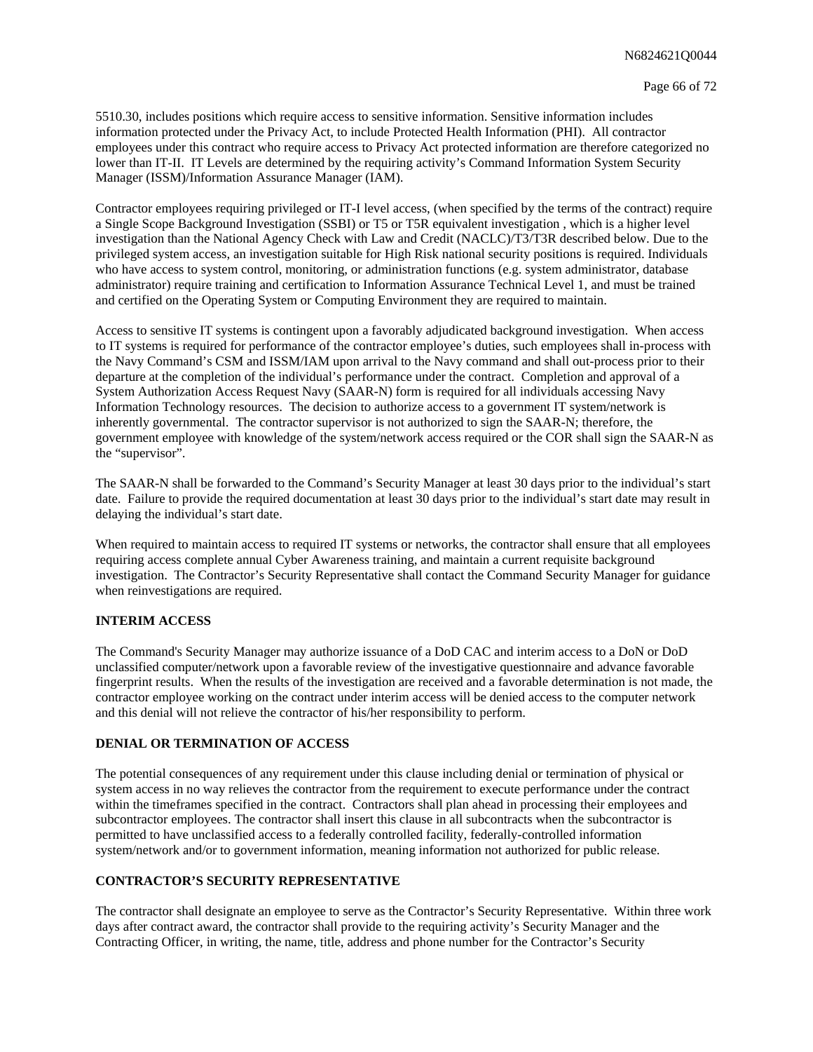5510.30, includes positions which require access to sensitive information. Sensitive information includes information protected under the Privacy Act, to include Protected Health Information (PHI). All contractor employees under this contract who require access to Privacy Act protected information are therefore categorized no lower than IT-II. IT Levels are determined by the requiring activity's Command Information System Security Manager (ISSM)/Information Assurance Manager (IAM).

Contractor employees requiring privileged or IT-I level access, (when specified by the terms of the contract) require a Single Scope Background Investigation (SSBI) or T5 or T5R equivalent investigation , which is a higher level investigation than the National Agency Check with Law and Credit (NACLC)/T3/T3R described below. Due to the privileged system access, an investigation suitable for High Risk national security positions is required. Individuals who have access to system control, monitoring, or administration functions (e.g. system administrator, database administrator) require training and certification to Information Assurance Technical Level 1, and must be trained and certified on the Operating System or Computing Environment they are required to maintain.

Access to sensitive IT systems is contingent upon a favorably adjudicated background investigation. When access to IT systems is required for performance of the contractor employee's duties, such employees shall in-process with the Navy Command's CSM and ISSM/IAM upon arrival to the Navy command and shall out-process prior to their departure at the completion of the individual's performance under the contract. Completion and approval of a System Authorization Access Request Navy (SAAR-N) form is required for all individuals accessing Navy Information Technology resources. The decision to authorize access to a government IT system/network is inherently governmental. The contractor supervisor is not authorized to sign the SAAR-N; therefore, the government employee with knowledge of the system/network access required or the COR shall sign the SAAR-N as the "supervisor".

The SAAR-N shall be forwarded to the Command's Security Manager at least 30 days prior to the individual's start date. Failure to provide the required documentation at least 30 days prior to the individual's start date may result in delaying the individual's start date.

When required to maintain access to required IT systems or networks, the contractor shall ensure that all employees requiring access complete annual Cyber Awareness training, and maintain a current requisite background investigation. The Contractor's Security Representative shall contact the Command Security Manager for guidance when reinvestigations are required.

## **INTERIM ACCESS**

The Command's Security Manager may authorize issuance of a DoD CAC and interim access to a DoN or DoD unclassified computer/network upon a favorable review of the investigative questionnaire and advance favorable fingerprint results. When the results of the investigation are received and a favorable determination is not made, the contractor employee working on the contract under interim access will be denied access to the computer network and this denial will not relieve the contractor of his/her responsibility to perform.

#### **DENIAL OR TERMINATION OF ACCESS**

The potential consequences of any requirement under this clause including denial or termination of physical or system access in no way relieves the contractor from the requirement to execute performance under the contract within the timeframes specified in the contract. Contractors shall plan ahead in processing their employees and subcontractor employees. The contractor shall insert this clause in all subcontracts when the subcontractor is permitted to have unclassified access to a federally controlled facility, federally-controlled information system/network and/or to government information, meaning information not authorized for public release.

#### **CONTRACTOR'S SECURITY REPRESENTATIVE**

The contractor shall designate an employee to serve as the Contractor's Security Representative. Within three work days after contract award, the contractor shall provide to the requiring activity's Security Manager and the Contracting Officer, in writing, the name, title, address and phone number for the Contractor's Security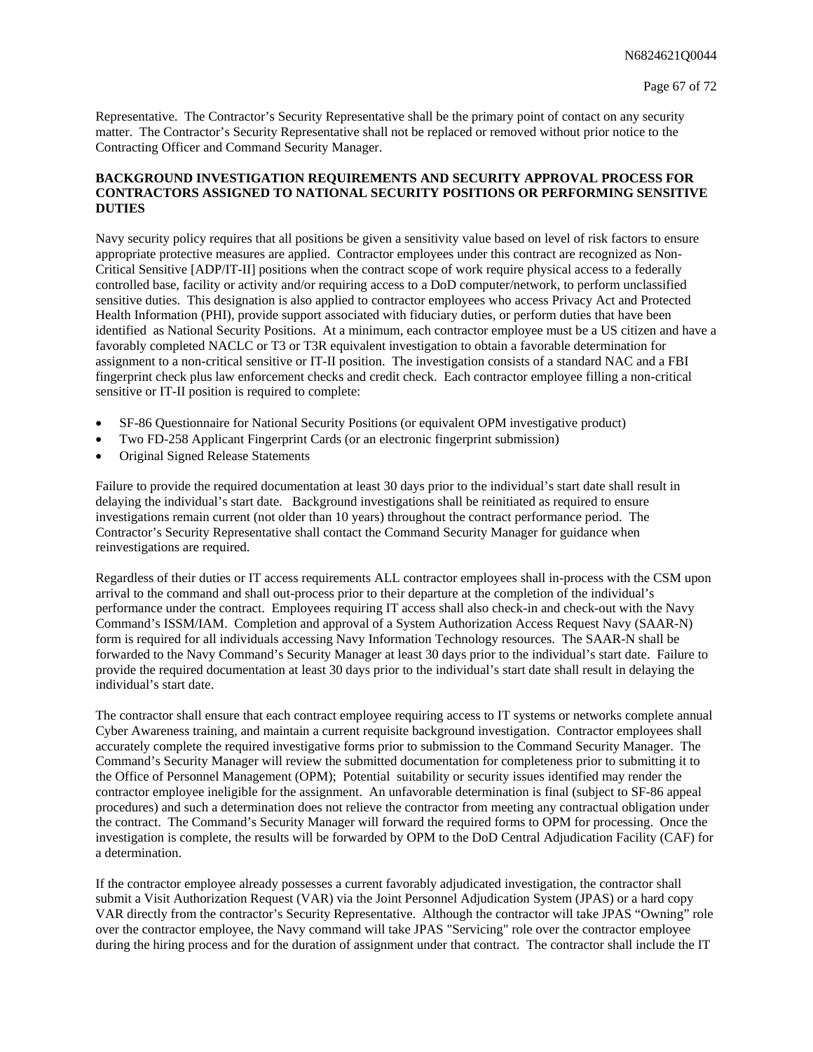Representative. The Contractor's Security Representative shall be the primary point of contact on any security matter. The Contractor's Security Representative shall not be replaced or removed without prior notice to the Contracting Officer and Command Security Manager.

## **BACKGROUND INVESTIGATION REQUIREMENTS AND SECURITY APPROVAL PROCESS FOR CONTRACTORS ASSIGNED TO NATIONAL SECURITY POSITIONS OR PERFORMING SENSITIVE DUTIES**

Navy security policy requires that all positions be given a sensitivity value based on level of risk factors to ensure appropriate protective measures are applied. Contractor employees under this contract are recognized as Non-Critical Sensitive [ADP/IT-II] positions when the contract scope of work require physical access to a federally controlled base, facility or activity and/or requiring access to a DoD computer/network, to perform unclassified sensitive duties. This designation is also applied to contractor employees who access Privacy Act and Protected Health Information (PHI), provide support associated with fiduciary duties, or perform duties that have been identified as National Security Positions. At a minimum, each contractor employee must be a US citizen and have a favorably completed NACLC or T3 or T3R equivalent investigation to obtain a favorable determination for assignment to a non-critical sensitive or IT-II position. The investigation consists of a standard NAC and a FBI fingerprint check plus law enforcement checks and credit check. Each contractor employee filling a non-critical sensitive or IT-II position is required to complete:

- SF-86 Questionnaire for National Security Positions (or equivalent OPM investigative product)
- Two FD-258 Applicant Fingerprint Cards (or an electronic fingerprint submission)
- Original Signed Release Statements

Failure to provide the required documentation at least 30 days prior to the individual's start date shall result in delaying the individual's start date. Background investigations shall be reinitiated as required to ensure investigations remain current (not older than 10 years) throughout the contract performance period. The Contractor's Security Representative shall contact the Command Security Manager for guidance when reinvestigations are required.

Regardless of their duties or IT access requirements ALL contractor employees shall in-process with the CSM upon arrival to the command and shall out-process prior to their departure at the completion of the individual's performance under the contract. Employees requiring IT access shall also check-in and check-out with the Navy Command's ISSM/IAM. Completion and approval of a System Authorization Access Request Navy (SAAR-N) form is required for all individuals accessing Navy Information Technology resources. The SAAR-N shall be forwarded to the Navy Command's Security Manager at least 30 days prior to the individual's start date. Failure to provide the required documentation at least 30 days prior to the individual's start date shall result in delaying the individual's start date.

The contractor shall ensure that each contract employee requiring access to IT systems or networks complete annual Cyber Awareness training, and maintain a current requisite background investigation. Contractor employees shall accurately complete the required investigative forms prior to submission to the Command Security Manager. The Command's Security Manager will review the submitted documentation for completeness prior to submitting it to the Office of Personnel Management (OPM); Potential suitability or security issues identified may render the contractor employee ineligible for the assignment. An unfavorable determination is final (subject to SF-86 appeal procedures) and such a determination does not relieve the contractor from meeting any contractual obligation under the contract. The Command's Security Manager will forward the required forms to OPM for processing. Once the investigation is complete, the results will be forwarded by OPM to the DoD Central Adjudication Facility (CAF) for a determination.

If the contractor employee already possesses a current favorably adjudicated investigation, the contractor shall submit a Visit Authorization Request (VAR) via the Joint Personnel Adjudication System (JPAS) or a hard copy VAR directly from the contractor's Security Representative. Although the contractor will take JPAS "Owning" role over the contractor employee, the Navy command will take JPAS "Servicing" role over the contractor employee during the hiring process and for the duration of assignment under that contract. The contractor shall include the IT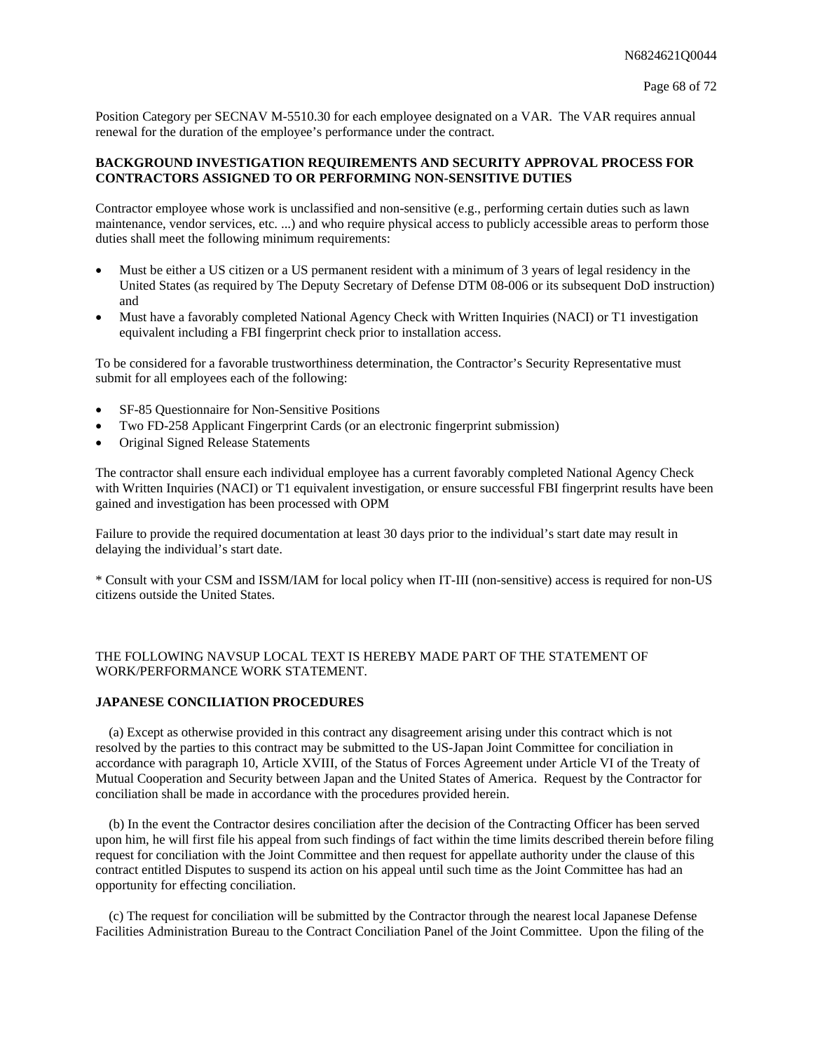Position Category per SECNAV M-5510.30 for each employee designated on a VAR. The VAR requires annual renewal for the duration of the employee's performance under the contract.

### **BACKGROUND INVESTIGATION REQUIREMENTS AND SECURITY APPROVAL PROCESS FOR CONTRACTORS ASSIGNED TO OR PERFORMING NON-SENSITIVE DUTIES**

Contractor employee whose work is unclassified and non-sensitive (e.g., performing certain duties such as lawn maintenance, vendor services, etc. ...) and who require physical access to publicly accessible areas to perform those duties shall meet the following minimum requirements:

- Must be either a US citizen or a US permanent resident with a minimum of 3 years of legal residency in the United States (as required by The Deputy Secretary of Defense DTM 08-006 or its subsequent DoD instruction) and
- Must have a favorably completed National Agency Check with Written Inquiries (NACI) or T1 investigation equivalent including a FBI fingerprint check prior to installation access.

To be considered for a favorable trustworthiness determination, the Contractor's Security Representative must submit for all employees each of the following:

- SF-85 Questionnaire for Non-Sensitive Positions
- Two FD-258 Applicant Fingerprint Cards (or an electronic fingerprint submission)
- Original Signed Release Statements

The contractor shall ensure each individual employee has a current favorably completed National Agency Check with Written Inquiries (NACI) or T1 equivalent investigation, or ensure successful FBI fingerprint results have been gained and investigation has been processed with OPM

Failure to provide the required documentation at least 30 days prior to the individual's start date may result in delaying the individual's start date.

\* Consult with your CSM and ISSM/IAM for local policy when IT-III (non-sensitive) access is required for non-US citizens outside the United States.

### THE FOLLOWING NAVSUP LOCAL TEXT IS HEREBY MADE PART OF THE STATEMENT OF WORK/PERFORMANCE WORK STATEMENT.

## **JAPANESE CONCILIATION PROCEDURES**

 (a) Except as otherwise provided in this contract any disagreement arising under this contract which is not resolved by the parties to this contract may be submitted to the US-Japan Joint Committee for conciliation in accordance with paragraph 10, Article XVIII, of the Status of Forces Agreement under Article VI of the Treaty of Mutual Cooperation and Security between Japan and the United States of America. Request by the Contractor for conciliation shall be made in accordance with the procedures provided herein.

 (b) In the event the Contractor desires conciliation after the decision of the Contracting Officer has been served upon him, he will first file his appeal from such findings of fact within the time limits described therein before filing request for conciliation with the Joint Committee and then request for appellate authority under the clause of this contract entitled Disputes to suspend its action on his appeal until such time as the Joint Committee has had an opportunity for effecting conciliation.

 (c) The request for conciliation will be submitted by the Contractor through the nearest local Japanese Defense Facilities Administration Bureau to the Contract Conciliation Panel of the Joint Committee. Upon the filing of the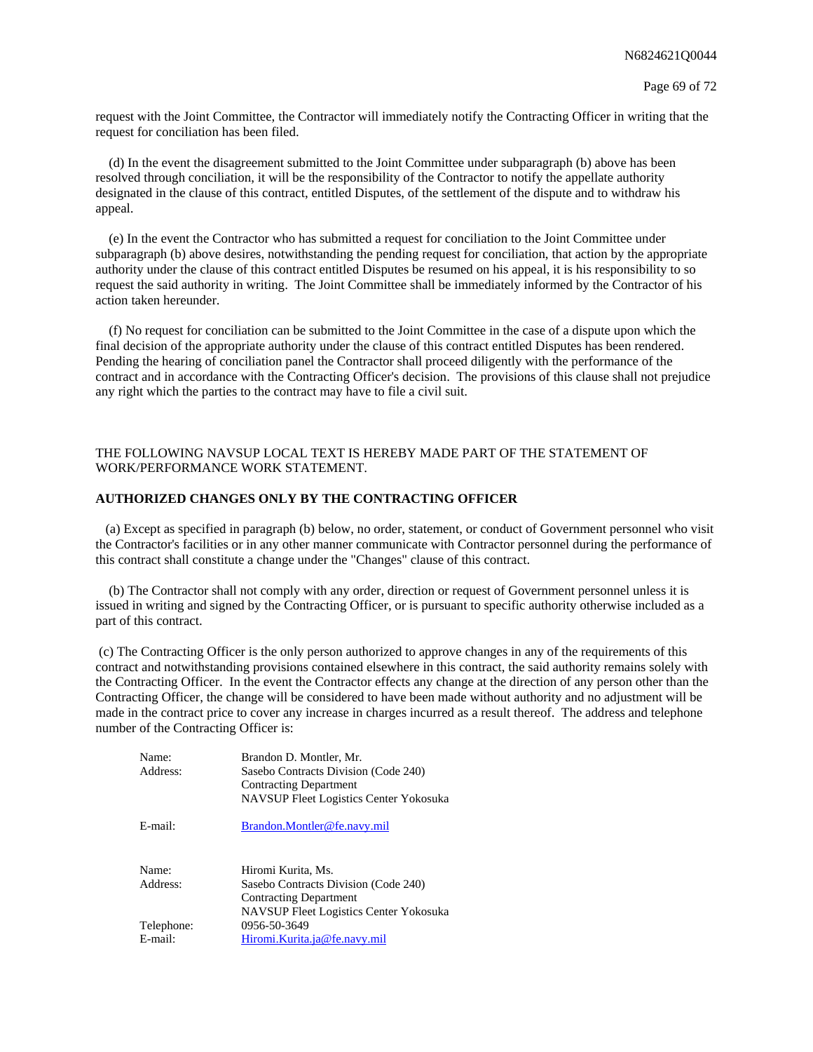request with the Joint Committee, the Contractor will immediately notify the Contracting Officer in writing that the request for conciliation has been filed.

 (d) In the event the disagreement submitted to the Joint Committee under subparagraph (b) above has been resolved through conciliation, it will be the responsibility of the Contractor to notify the appellate authority designated in the clause of this contract, entitled Disputes, of the settlement of the dispute and to withdraw his appeal.

 (e) In the event the Contractor who has submitted a request for conciliation to the Joint Committee under subparagraph (b) above desires, notwithstanding the pending request for conciliation, that action by the appropriate authority under the clause of this contract entitled Disputes be resumed on his appeal, it is his responsibility to so request the said authority in writing. The Joint Committee shall be immediately informed by the Contractor of his action taken hereunder.

 (f) No request for conciliation can be submitted to the Joint Committee in the case of a dispute upon which the final decision of the appropriate authority under the clause of this contract entitled Disputes has been rendered. Pending the hearing of conciliation panel the Contractor shall proceed diligently with the performance of the contract and in accordance with the Contracting Officer's decision. The provisions of this clause shall not prejudice any right which the parties to the contract may have to file a civil suit.

### THE FOLLOWING NAVSUP LOCAL TEXT IS HEREBY MADE PART OF THE STATEMENT OF WORK/PERFORMANCE WORK STATEMENT.

### **AUTHORIZED CHANGES ONLY BY THE CONTRACTING OFFICER**

 (a) Except as specified in paragraph (b) below, no order, statement, or conduct of Government personnel who visit the Contractor's facilities or in any other manner communicate with Contractor personnel during the performance of this contract shall constitute a change under the "Changes" clause of this contract.

 (b) The Contractor shall not comply with any order, direction or request of Government personnel unless it is issued in writing and signed by the Contracting Officer, or is pursuant to specific authority otherwise included as a part of this contract.

(c) The Contracting Officer is the only person authorized to approve changes in any of the requirements of this contract and notwithstanding provisions contained elsewhere in this contract, the said authority remains solely with the Contracting Officer. In the event the Contractor effects any change at the direction of any person other than the Contracting Officer, the change will be considered to have been made without authority and no adjustment will be made in the contract price to cover any increase in charges incurred as a result thereof. The address and telephone number of the Contracting Officer is:

| Name:      | Brandon D. Montler, Mr.                |
|------------|----------------------------------------|
| Address:   | Sasebo Contracts Division (Code 240)   |
|            | <b>Contracting Department</b>          |
|            | NAVSUP Fleet Logistics Center Yokosuka |
| E-mail:    | Brandon.Montler@fe.navy.mil            |
| Name:      | Hiromi Kurita, Ms.                     |
| Address:   | Sasebo Contracts Division (Code 240)   |
|            | <b>Contracting Department</b>          |
|            | NAVSUP Fleet Logistics Center Yokosuka |
| Telephone: | 0956-50-3649                           |
| E-mail:    | Hiromi.Kurita.ja@fe.navy.mil           |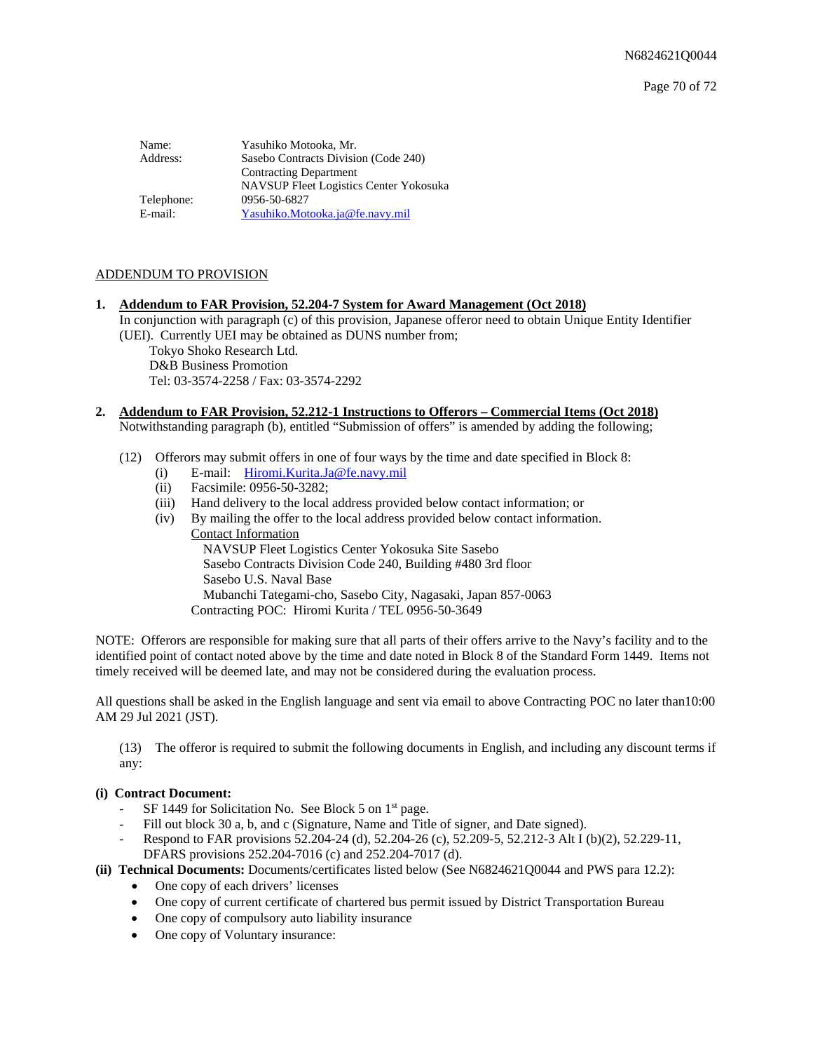Page 70 of 72

| Name:      | Yasuhiko Motooka, Mr.                  |
|------------|----------------------------------------|
| Address:   | Sasebo Contracts Division (Code 240)   |
|            | <b>Contracting Department</b>          |
|            | NAVSUP Fleet Logistics Center Yokosuka |
| Telephone: | 0956-50-6827                           |
| E-mail:    | Yasuhiko.Motooka.ja@fe.navy.mil        |

# ADDENDUM TO PROVISION

**1. Addendum to FAR Provision, 52.204-7 System for Award Management (Oct 2018)**

In conjunction with paragraph (c) of this provision, Japanese offeror need to obtain Unique Entity Identifier (UEI). Currently UEI may be obtained as DUNS number from;

Tokyo Shoko Research Ltd. D&B Business Promotion Tel: 03-3574-2258 / Fax: 03-3574-2292

- **2. Addendum to FAR Provision, 52.212-1 Instructions to Offerors – Commercial Items (Oct 2018)** Notwithstanding paragraph (b), entitled "Submission of offers" is amended by adding the following;
	- (12) Offerors may submit offers in one of four ways by the time and date specified in Block 8:
		- (i) E-mail: [Hiromi.Kurita.Ja@fe.navy.mil](mailto:Hiromi.Kurita.Ja@fe.navy.mil)
		- (ii) Facsimile: 0956-50-3282;
		- (iii) Hand delivery to the local address provided below contact information; or
		- (iv) By mailing the offer to the local address provided below contact information. Contact Information NAVSUP Fleet Logistics Center Yokosuka Site Sasebo Sasebo Contracts Division Code 240, Building #480 3rd floor Sasebo U.S. Naval Base

Mubanchi Tategami-cho, Sasebo City, Nagasaki, Japan 857-0063 Contracting POC: Hiromi Kurita / TEL 0956-50-3649

NOTE: Offerors are responsible for making sure that all parts of their offers arrive to the Navy's facility and to the identified point of contact noted above by the time and date noted in Block 8 of the Standard Form 1449. Items not timely received will be deemed late, and may not be considered during the evaluation process.

All questions shall be asked in the English language and sent via email to above Contracting POC no later than10:00 AM 29 Jul 2021 (JST).

(13) The offeror is required to submit the following documents in English, and including any discount terms if any:

## **(i) Contract Document:**

- SF 1449 for Solicitation No. See Block 5 on 1<sup>st</sup> page.
- Fill out block 30 a, b, and c (Signature, Name and Title of signer, and Date signed).
- Respond to FAR provisions 52.204-24 (d), 52.204-26 (c), 52.209-5, 52.212-3 Alt I (b)(2), 52.229-11, DFARS provisions 252.204-7016 (c) and 252.204-7017 (d).

#### **(ii) Technical Documents:** Documents/certificates listed below (See N6824621Q0044 and PWS para 12.2):

- One copy of each drivers' licenses
- One copy of current certificate of chartered bus permit issued by District Transportation Bureau
- One copy of compulsory auto liability insurance
- One copy of Voluntary insurance: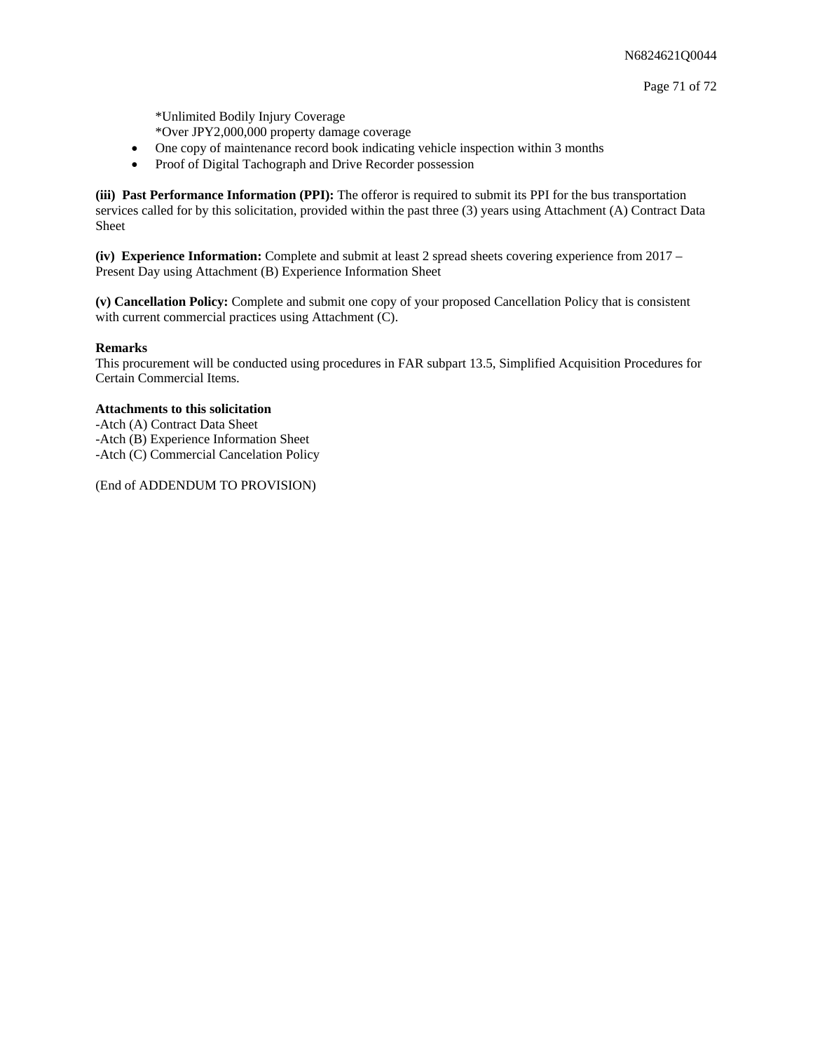Page 71 of 72

\*Unlimited Bodily Injury Coverage

- \*Over JPY2,000,000 property damage coverage
- One copy of maintenance record book indicating vehicle inspection within 3 months
- Proof of Digital Tachograph and Drive Recorder possession

**(iii) Past Performance Information (PPI):** The offeror is required to submit its PPI for the bus transportation services called for by this solicitation, provided within the past three (3) years using Attachment (A) Contract Data Sheet

**(iv) Experience Information:** Complete and submit at least 2 spread sheets covering experience from 2017 – Present Day using Attachment (B) Experience Information Sheet

**(v) Cancellation Policy:** Complete and submit one copy of your proposed Cancellation Policy that is consistent with current commercial practices using Attachment (C).

## **Remarks**

This procurement will be conducted using procedures in FAR subpart 13.5, Simplified Acquisition Procedures for Certain Commercial Items.

### **Attachments to this solicitation**

- -Atch (A) Contract Data Sheet
- -Atch (B) Experience Information Sheet
- -Atch (C) Commercial Cancelation Policy

(End of ADDENDUM TO PROVISION)